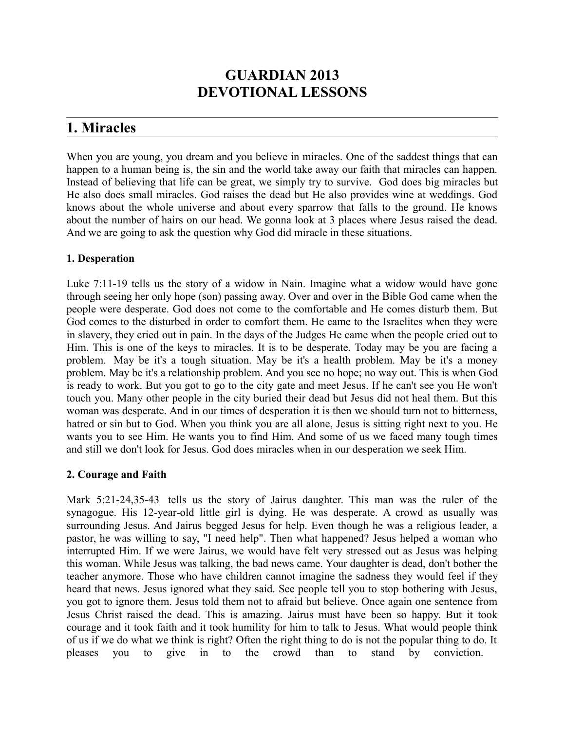# **GUARDIAN 2013 DEVOTIONAL LESSONS**

# **1. Miracles**

When you are young, you dream and you believe in miracles. One of the saddest things that can happen to a human being is, the sin and the world take away our faith that miracles can happen. Instead of believing that life can be great, we simply try to survive. God does big miracles but He also does small miracles. God raises the dead but He also provides wine at weddings. God knows about the whole universe and about every sparrow that falls to the ground. He knows about the number of hairs on our head. We gonna look at 3 places where Jesus raised the dead. And we are going to ask the question why God did miracle in these situations.

## **1. Desperation**

Luke 7:11-19 tells us the story of a widow in Nain. Imagine what a widow would have gone through seeing her only hope (son) passing away. Over and over in the Bible God came when the people were desperate. God does not come to the comfortable and He comes disturb them. But God comes to the disturbed in order to comfort them. He came to the Israelites when they were in slavery, they cried out in pain. In the days of the Judges He came when the people cried out to Him. This is one of the keys to miracles. It is to be desperate. Today may be you are facing a problem. May be it's a tough situation. May be it's a health problem. May be it's a money problem. May be it's a relationship problem. And you see no hope; no way out. This is when God is ready to work. But you got to go to the city gate and meet Jesus. If he can't see you He won't touch you. Many other people in the city buried their dead but Jesus did not heal them. But this woman was desperate. And in our times of desperation it is then we should turn not to bitterness, hatred or sin but to God. When you think you are all alone, Jesus is sitting right next to you. He wants you to see Him. He wants you to find Him. And some of us we faced many tough times and still we don't look for Jesus. God does miracles when in our desperation we seek Him.

### **2. Courage and Faith**

Mark 5:21-24,35-43 tells us the story of Jairus daughter. This man was the ruler of the synagogue. His 12-year-old little girl is dying. He was desperate. A crowd as usually was surrounding Jesus. And Jairus begged Jesus for help. Even though he was a religious leader, a pastor, he was willing to say, "I need help". Then what happened? Jesus helped a woman who interrupted Him. If we were Jairus, we would have felt very stressed out as Jesus was helping this woman. While Jesus was talking, the bad news came. Your daughter is dead, don't bother the teacher anymore. Those who have children cannot imagine the sadness they would feel if they heard that news. Jesus ignored what they said. See people tell you to stop bothering with Jesus, you got to ignore them. Jesus told them not to afraid but believe. Once again one sentence from Jesus Christ raised the dead. This is amazing. Jairus must have been so happy. But it took courage and it took faith and it took humility for him to talk to Jesus. What would people think of us if we do what we think is right? Often the right thing to do is not the popular thing to do. It pleases you to give in to the crowd than to stand by conviction.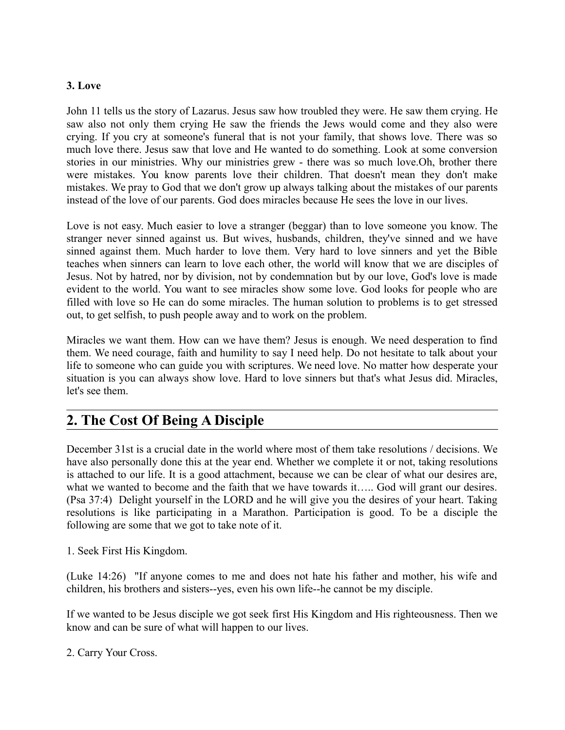### **3. Love**

John 11 tells us the story of Lazarus. Jesus saw how troubled they were. He saw them crying. He saw also not only them crying He saw the friends the Jews would come and they also were crying. If you cry at someone's funeral that is not your family, that shows love. There was so much love there. Jesus saw that love and He wanted to do something. Look at some conversion stories in our ministries. Why our ministries grew - there was so much love.Oh, brother there were mistakes. You know parents love their children. That doesn't mean they don't make mistakes. We pray to God that we don't grow up always talking about the mistakes of our parents instead of the love of our parents. God does miracles because He sees the love in our lives.

Love is not easy. Much easier to love a stranger (beggar) than to love someone you know. The stranger never sinned against us. But wives, husbands, children, they've sinned and we have sinned against them. Much harder to love them. Very hard to love sinners and yet the Bible teaches when sinners can learn to love each other, the world will know that we are disciples of Jesus. Not by hatred, nor by division, not by condemnation but by our love, God's love is made evident to the world. You want to see miracles show some love. God looks for people who are filled with love so He can do some miracles. The human solution to problems is to get stressed out, to get selfish, to push people away and to work on the problem.

Miracles we want them. How can we have them? Jesus is enough. We need desperation to find them. We need courage, faith and humility to say I need help. Do not hesitate to talk about your life to someone who can guide you with scriptures. We need love. No matter how desperate your situation is you can always show love. Hard to love sinners but that's what Jesus did. Miracles, let's see them.

# **2. The Cost Of Being A Disciple**

December 31st is a crucial date in the world where most of them take resolutions / decisions. We have also personally done this at the year end. Whether we complete it or not, taking resolutions is attached to our life. It is a good attachment, because we can be clear of what our desires are, what we wanted to become and the faith that we have towards it….. God will grant our desires. (Psa 37:4) Delight yourself in the LORD and he will give you the desires of your heart. Taking resolutions is like participating in a Marathon. Participation is good. To be a disciple the following are some that we got to take note of it.

1. Seek First His Kingdom.

(Luke 14:26) "If anyone comes to me and does not hate his father and mother, his wife and children, his brothers and sisters--yes, even his own life--he cannot be my disciple.

If we wanted to be Jesus disciple we got seek first His Kingdom and His righteousness. Then we know and can be sure of what will happen to our lives.

2. Carry Your Cross.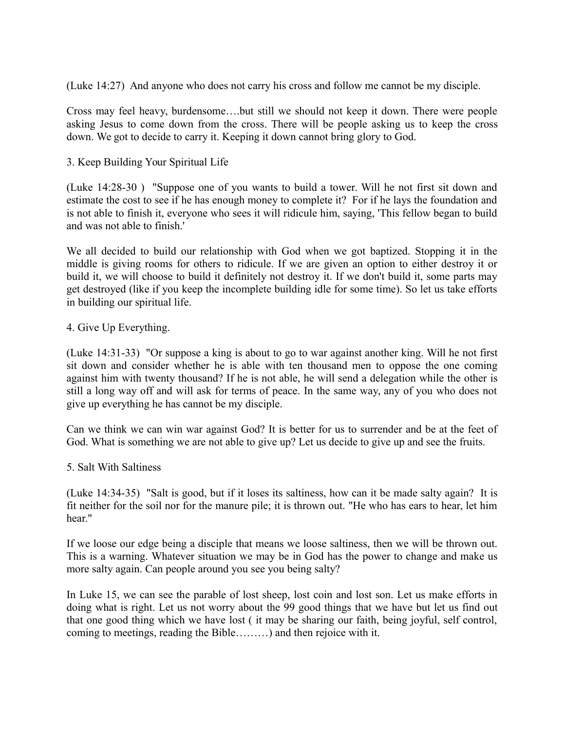(Luke 14:27) And anyone who does not carry his cross and follow me cannot be my disciple.

Cross may feel heavy, burdensome….but still we should not keep it down. There were people asking Jesus to come down from the cross. There will be people asking us to keep the cross down. We got to decide to carry it. Keeping it down cannot bring glory to God.

3. Keep Building Your Spiritual Life

(Luke 14:28-30 ) "Suppose one of you wants to build a tower. Will he not first sit down and estimate the cost to see if he has enough money to complete it? For if he lays the foundation and is not able to finish it, everyone who sees it will ridicule him, saying, 'This fellow began to build and was not able to finish.'

We all decided to build our relationship with God when we got baptized. Stopping it in the middle is giving rooms for others to ridicule. If we are given an option to either destroy it or build it, we will choose to build it definitely not destroy it. If we don't build it, some parts may get destroyed (like if you keep the incomplete building idle for some time). So let us take efforts in building our spiritual life.

4. Give Up Everything.

(Luke 14:31-33) "Or suppose a king is about to go to war against another king. Will he not first sit down and consider whether he is able with ten thousand men to oppose the one coming against him with twenty thousand? If he is not able, he will send a delegation while the other is still a long way off and will ask for terms of peace. In the same way, any of you who does not give up everything he has cannot be my disciple.

Can we think we can win war against God? It is better for us to surrender and be at the feet of God. What is something we are not able to give up? Let us decide to give up and see the fruits.

### 5. Salt With Saltiness

(Luke 14:34-35) "Salt is good, but if it loses its saltiness, how can it be made salty again? It is fit neither for the soil nor for the manure pile; it is thrown out. "He who has ears to hear, let him hear."

If we loose our edge being a disciple that means we loose saltiness, then we will be thrown out. This is a warning. Whatever situation we may be in God has the power to change and make us more salty again. Can people around you see you being salty?

In Luke 15, we can see the parable of lost sheep, lost coin and lost son. Let us make efforts in doing what is right. Let us not worry about the 99 good things that we have but let us find out that one good thing which we have lost ( it may be sharing our faith, being joyful, self control, coming to meetings, reading the Bible………) and then rejoice with it.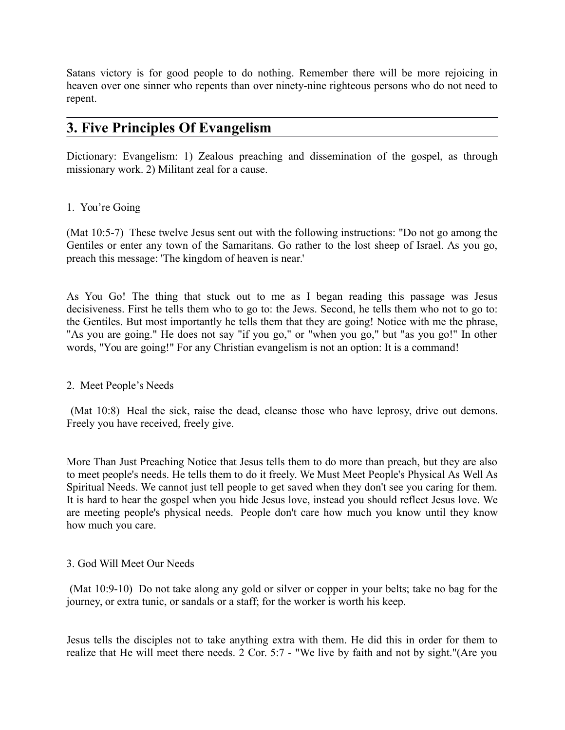Satans victory is for good people to do nothing. Remember there will be more rejoicing in heaven over one sinner who repents than over ninety-nine righteous persons who do not need to repent.

# **3. Five Principles Of Evangelism**

Dictionary: Evangelism: 1) Zealous preaching and dissemination of the gospel, as through missionary work. 2) Militant zeal for a cause.

### 1. You're Going

(Mat 10:5-7) These twelve Jesus sent out with the following instructions: "Do not go among the Gentiles or enter any town of the Samaritans. Go rather to the lost sheep of Israel. As you go, preach this message: 'The kingdom of heaven is near.'

As You Go! The thing that stuck out to me as I began reading this passage was Jesus decisiveness. First he tells them who to go to: the Jews. Second, he tells them who not to go to: the Gentiles. But most importantly he tells them that they are going! Notice with me the phrase, "As you are going." He does not say "if you go," or "when you go," but "as you go!" In other words, "You are going!" For any Christian evangelism is not an option: It is a command!

### 2. Meet People's Needs

 (Mat 10:8) Heal the sick, raise the dead, cleanse those who have leprosy, drive out demons. Freely you have received, freely give.

More Than Just Preaching Notice that Jesus tells them to do more than preach, but they are also to meet people's needs. He tells them to do it freely. We Must Meet People's Physical As Well As Spiritual Needs. We cannot just tell people to get saved when they don't see you caring for them. It is hard to hear the gospel when you hide Jesus love, instead you should reflect Jesus love. We are meeting people's physical needs. People don't care how much you know until they know how much you care.

### 3. God Will Meet Our Needs

 (Mat 10:9-10) Do not take along any gold or silver or copper in your belts; take no bag for the journey, or extra tunic, or sandals or a staff; for the worker is worth his keep.

Jesus tells the disciples not to take anything extra with them. He did this in order for them to realize that He will meet there needs. 2 Cor. 5:7 - "We live by faith and not by sight."(Are you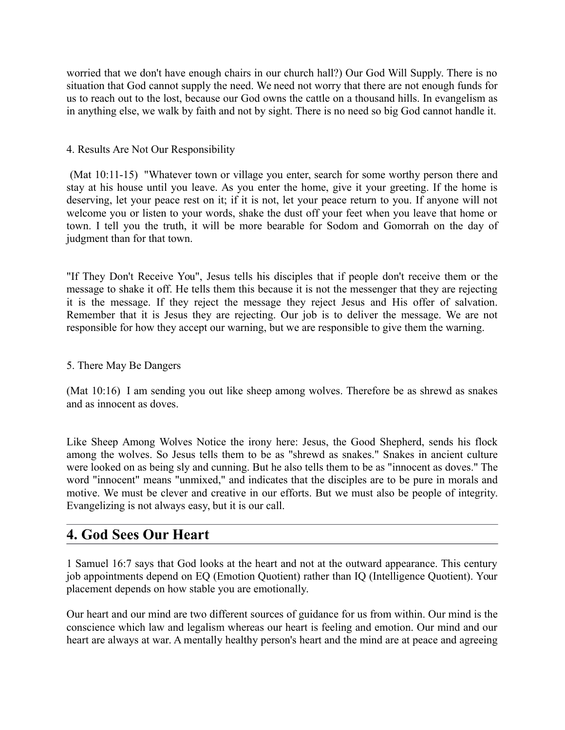worried that we don't have enough chairs in our church hall?) Our God Will Supply. There is no situation that God cannot supply the need. We need not worry that there are not enough funds for us to reach out to the lost, because our God owns the cattle on a thousand hills. In evangelism as in anything else, we walk by faith and not by sight. There is no need so big God cannot handle it.

### 4. Results Are Not Our Responsibility

 (Mat 10:11-15) "Whatever town or village you enter, search for some worthy person there and stay at his house until you leave. As you enter the home, give it your greeting. If the home is deserving, let your peace rest on it; if it is not, let your peace return to you. If anyone will not welcome you or listen to your words, shake the dust off your feet when you leave that home or town. I tell you the truth, it will be more bearable for Sodom and Gomorrah on the day of judgment than for that town.

"If They Don't Receive You", Jesus tells his disciples that if people don't receive them or the message to shake it off. He tells them this because it is not the messenger that they are rejecting it is the message. If they reject the message they reject Jesus and His offer of salvation. Remember that it is Jesus they are rejecting. Our job is to deliver the message. We are not responsible for how they accept our warning, but we are responsible to give them the warning.

### 5. There May Be Dangers

(Mat 10:16) I am sending you out like sheep among wolves. Therefore be as shrewd as snakes and as innocent as doves.

Like Sheep Among Wolves Notice the irony here: Jesus, the Good Shepherd, sends his flock among the wolves. So Jesus tells them to be as "shrewd as snakes." Snakes in ancient culture were looked on as being sly and cunning. But he also tells them to be as "innocent as doves." The word "innocent" means "unmixed," and indicates that the disciples are to be pure in morals and motive. We must be clever and creative in our efforts. But we must also be people of integrity. Evangelizing is not always easy, but it is our call.

# **4. God Sees Our Heart**

1 Samuel 16:7 says that God looks at the heart and not at the outward appearance. This century job appointments depend on EQ (Emotion Quotient) rather than IQ (Intelligence Quotient). Your placement depends on how stable you are emotionally.

Our heart and our mind are two different sources of guidance for us from within. Our mind is the conscience which law and legalism whereas our heart is feeling and emotion. Our mind and our heart are always at war. A mentally healthy person's heart and the mind are at peace and agreeing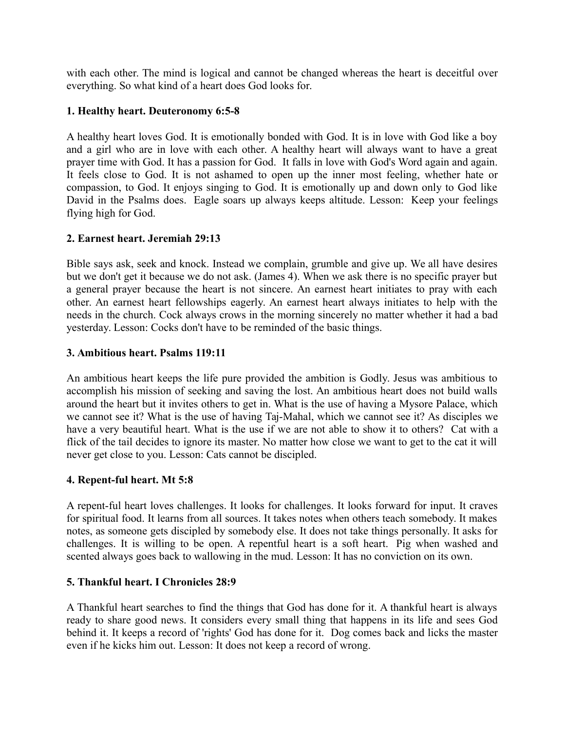with each other. The mind is logical and cannot be changed whereas the heart is deceitful over everything. So what kind of a heart does God looks for.

### **1. Healthy heart. Deuteronomy 6:5-8**

A healthy heart loves God. It is emotionally bonded with God. It is in love with God like a boy and a girl who are in love with each other. A healthy heart will always want to have a great prayer time with God. It has a passion for God. It falls in love with God's Word again and again. It feels close to God. It is not ashamed to open up the inner most feeling, whether hate or compassion, to God. It enjoys singing to God. It is emotionally up and down only to God like David in the Psalms does. Eagle soars up always keeps altitude. Lesson: Keep your feelings flying high for God.

### **2. Earnest heart. Jeremiah 29:13**

Bible says ask, seek and knock. Instead we complain, grumble and give up. We all have desires but we don't get it because we do not ask. (James 4). When we ask there is no specific prayer but a general prayer because the heart is not sincere. An earnest heart initiates to pray with each other. An earnest heart fellowships eagerly. An earnest heart always initiates to help with the needs in the church. Cock always crows in the morning sincerely no matter whether it had a bad yesterday. Lesson: Cocks don't have to be reminded of the basic things.

### **3. Ambitious heart. Psalms 119:11**

An ambitious heart keeps the life pure provided the ambition is Godly. Jesus was ambitious to accomplish his mission of seeking and saving the lost. An ambitious heart does not build walls around the heart but it invites others to get in. What is the use of having a Mysore Palace, which we cannot see it? What is the use of having Taj-Mahal, which we cannot see it? As disciples we have a very beautiful heart. What is the use if we are not able to show it to others? Cat with a flick of the tail decides to ignore its master. No matter how close we want to get to the cat it will never get close to you. Lesson: Cats cannot be discipled.

### **4. Repent-ful heart. Mt 5:8**

A repent-ful heart loves challenges. It looks for challenges. It looks forward for input. It craves for spiritual food. It learns from all sources. It takes notes when others teach somebody. It makes notes, as someone gets discipled by somebody else. It does not take things personally. It asks for challenges. It is willing to be open. A repentful heart is a soft heart. Pig when washed and scented always goes back to wallowing in the mud. Lesson: It has no conviction on its own.

### **5. Thankful heart. I Chronicles 28:9**

A Thankful heart searches to find the things that God has done for it. A thankful heart is always ready to share good news. It considers every small thing that happens in its life and sees God behind it. It keeps a record of 'rights' God has done for it. Dog comes back and licks the master even if he kicks him out. Lesson: It does not keep a record of wrong.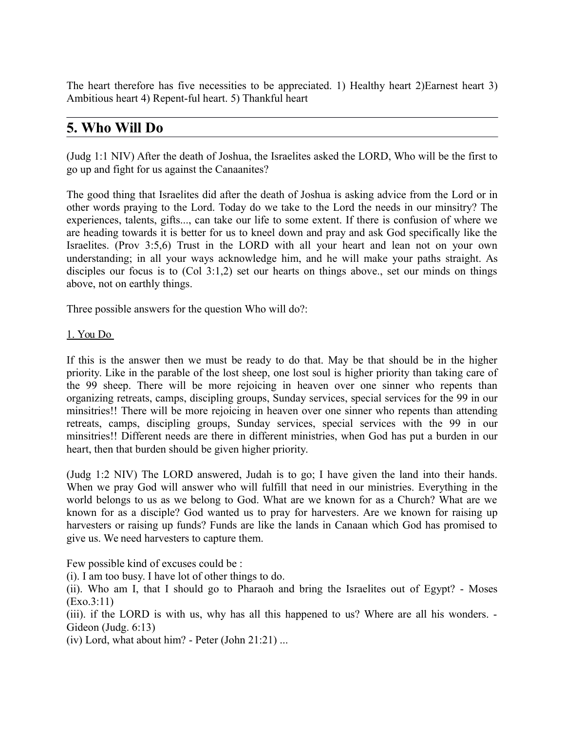The heart therefore has five necessities to be appreciated. 1) Healthy heart 2)Earnest heart 3) Ambitious heart 4) Repent-ful heart. 5) Thankful heart

# **5. Who Will Do**

(Judg 1:1 NIV) After the death of Joshua, the Israelites asked the LORD, Who will be the first to go up and fight for us against the Canaanites?

The good thing that Israelites did after the death of Joshua is asking advice from the Lord or in other words praying to the Lord. Today do we take to the Lord the needs in our minsitry? The experiences, talents, gifts..., can take our life to some extent. If there is confusion of where we are heading towards it is better for us to kneel down and pray and ask God specifically like the Israelites. (Prov 3:5,6) Trust in the LORD with all your heart and lean not on your own understanding; in all your ways acknowledge him, and he will make your paths straight. As disciples our focus is to (Col 3:1,2) set our hearts on things above., set our minds on things above, not on earthly things.

Three possible answers for the question Who will do?:

### 1. You Do

If this is the answer then we must be ready to do that. May be that should be in the higher priority. Like in the parable of the lost sheep, one lost soul is higher priority than taking care of the 99 sheep. There will be more rejoicing in heaven over one sinner who repents than organizing retreats, camps, discipling groups, Sunday services, special services for the 99 in our minsitries!! There will be more rejoicing in heaven over one sinner who repents than attending retreats, camps, discipling groups, Sunday services, special services with the 99 in our minsitries!! Different needs are there in different ministries, when God has put a burden in our heart, then that burden should be given higher priority.

(Judg 1:2 NIV) The LORD answered, Judah is to go; I have given the land into their hands. When we pray God will answer who will fulfill that need in our ministries. Everything in the world belongs to us as we belong to God. What are we known for as a Church? What are we known for as a disciple? God wanted us to pray for harvesters. Are we known for raising up harvesters or raising up funds? Funds are like the lands in Canaan which God has promised to give us. We need harvesters to capture them.

Few possible kind of excuses could be :

(i). I am too busy. I have lot of other things to do.

(ii). Who am I, that I should go to Pharaoh and bring the Israelites out of Egypt? - Moses (Exo.3:11)

(iii). if the LORD is with us, why has all this happened to us? Where are all his wonders. - Gideon (Judg. 6:13)

(iv) Lord, what about him? - Peter (John  $21:21$ ) ...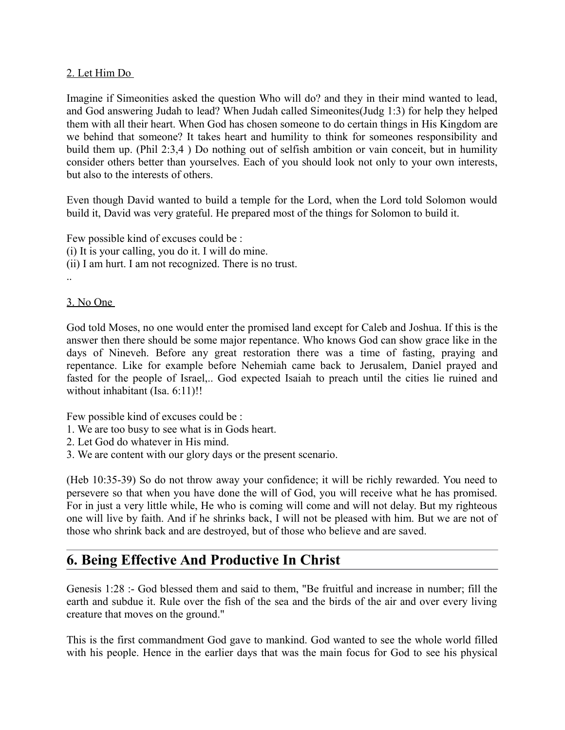### 2. Let Him Do

Imagine if Simeonities asked the question Who will do? and they in their mind wanted to lead, and God answering Judah to lead? When Judah called Simeonites(Judg 1:3) for help they helped them with all their heart. When God has chosen someone to do certain things in His Kingdom are we behind that someone? It takes heart and humility to think for someones responsibility and build them up. (Phil 2:3,4 ) Do nothing out of selfish ambition or vain conceit, but in humility consider others better than yourselves. Each of you should look not only to your own interests, but also to the interests of others.

Even though David wanted to build a temple for the Lord, when the Lord told Solomon would build it, David was very grateful. He prepared most of the things for Solomon to build it.

Few possible kind of excuses could be : (i) It is your calling, you do it. I will do mine. (ii) I am hurt. I am not recognized. There is no trust. ..

### 3. No One

God told Moses, no one would enter the promised land except for Caleb and Joshua. If this is the answer then there should be some major repentance. Who knows God can show grace like in the days of Nineveh. Before any great restoration there was a time of fasting, praying and repentance. Like for example before Nehemiah came back to Jerusalem, Daniel prayed and fasted for the people of Israel,.. God expected Isaiah to preach until the cities lie ruined and without inhabitant (Isa. 6:11)!!

Few possible kind of excuses could be :

- 1. We are too busy to see what is in Gods heart.
- 2. Let God do whatever in His mind.
- 3. We are content with our glory days or the present scenario.

(Heb 10:35-39) So do not throw away your confidence; it will be richly rewarded. You need to persevere so that when you have done the will of God, you will receive what he has promised. For in just a very little while, He who is coming will come and will not delay. But my righteous one will live by faith. And if he shrinks back, I will not be pleased with him. But we are not of those who shrink back and are destroyed, but of those who believe and are saved.

# **6. Being Effective And Productive In Christ**

Genesis 1:28 :- God blessed them and said to them, "Be fruitful and increase in number; fill the earth and subdue it. Rule over the fish of the sea and the birds of the air and over every living creature that moves on the ground."

This is the first commandment God gave to mankind. God wanted to see the whole world filled with his people. Hence in the earlier days that was the main focus for God to see his physical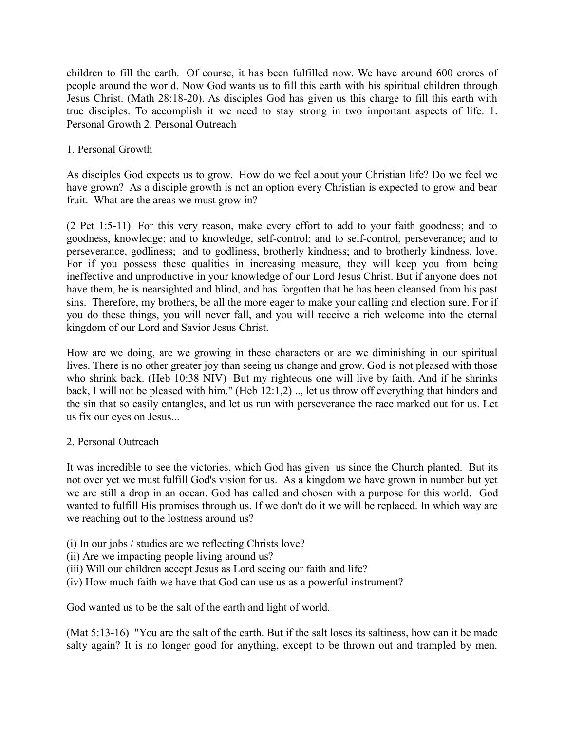children to fill the earth. Of course, it has been fulfilled now. We have around 600 crores of people around the world. Now God wants us to fill this earth with his spiritual children through Jesus Christ. (Math 28:18-20). As disciples God has given us this charge to fill this earth with true disciples. To accomplish it we need to stay strong in two important aspects of life. 1. Personal Growth 2. Personal Outreach

### 1. Personal Growth

As disciples God expects us to grow. How do we feel about your Christian life? Do we feel we have grown? As a disciple growth is not an option every Christian is expected to grow and bear fruit. What are the areas we must grow in?

(2 Pet 1:5-11) For this very reason, make every effort to add to your faith goodness; and to goodness, knowledge; and to knowledge, self-control; and to self-control, perseverance; and to perseverance, godliness; and to godliness, brotherly kindness; and to brotherly kindness, love. For if you possess these qualities in increasing measure, they will keep you from being ineffective and unproductive in your knowledge of our Lord Jesus Christ. But if anyone does not have them, he is nearsighted and blind, and has forgotten that he has been cleansed from his past sins. Therefore, my brothers, be all the more eager to make your calling and election sure. For if you do these things, you will never fall, and you will receive a rich welcome into the eternal kingdom of our Lord and Savior Jesus Christ.

How are we doing, are we growing in these characters or are we diminishing in our spiritual lives. There is no other greater joy than seeing us change and grow. God is not pleased with those who shrink back. (Heb 10:38 NIV) But my righteous one will live by faith. And if he shrinks back, I will not be pleased with him." (Heb 12:1,2) .., let us throw off everything that hinders and the sin that so easily entangles, and let us run with perseverance the race marked out for us. Let us fix our eyes on Jesus...

### 2. Personal Outreach

It was incredible to see the victories, which God has given us since the Church planted. But its not over yet we must fulfill God's vision for us. As a kingdom we have grown in number but yet we are still a drop in an ocean. God has called and chosen with a purpose for this world. God wanted to fulfill His promises through us. If we don't do it we will be replaced. In which way are we reaching out to the lostness around us?

- (i) In our jobs / studies are we reflecting Christs love?
- (ii) Are we impacting people living around us?
- (iii) Will our children accept Jesus as Lord seeing our faith and life?
- (iv) How much faith we have that God can use us as a powerful instrument?

God wanted us to be the salt of the earth and light of world.

(Mat 5:13-16) "You are the salt of the earth. But if the salt loses its saltiness, how can it be made salty again? It is no longer good for anything, except to be thrown out and trampled by men.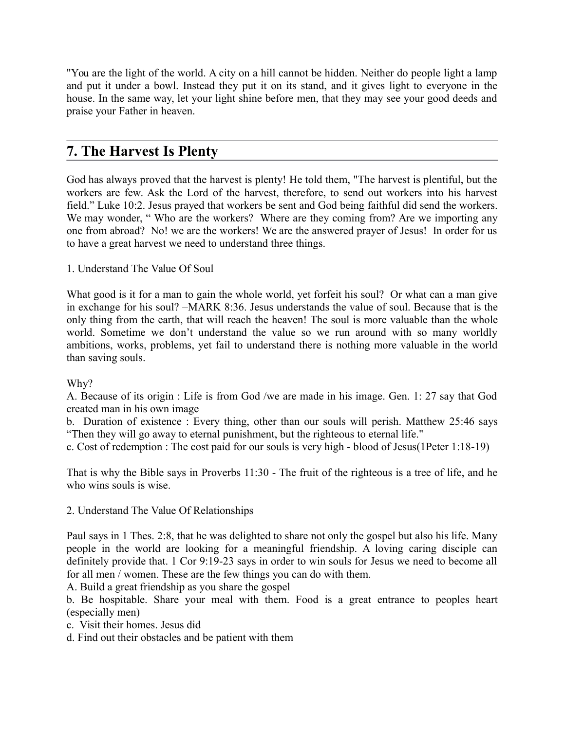"You are the light of the world. A city on a hill cannot be hidden. Neither do people light a lamp and put it under a bowl. Instead they put it on its stand, and it gives light to everyone in the house. In the same way, let your light shine before men, that they may see your good deeds and praise your Father in heaven.

# **7. The Harvest Is Plenty**

God has always proved that the harvest is plenty! He told them, "The harvest is plentiful, but the workers are few. Ask the Lord of the harvest, therefore, to send out workers into his harvest field." Luke 10:2. Jesus prayed that workers be sent and God being faithful did send the workers. We may wonder, "Who are the workers? Where are they coming from? Are we importing any one from abroad? No! we are the workers! We are the answered prayer of Jesus! In order for us to have a great harvest we need to understand three things.

1. Understand The Value Of Soul

What good is it for a man to gain the whole world, yet forfeit his soul? Or what can a man give in exchange for his soul? –MARK 8:36. Jesus understands the value of soul. Because that is the only thing from the earth, that will reach the heaven! The soul is more valuable than the whole world. Sometime we don't understand the value so we run around with so many worldly ambitions, works, problems, yet fail to understand there is nothing more valuable in the world than saving souls.

### Why?

A. Because of its origin : Life is from God /we are made in his image. Gen. 1: 27 say that God created man in his own image

b. Duration of existence : Every thing, other than our souls will perish. Matthew 25:46 says "Then they will go away to eternal punishment, but the righteous to eternal life."

c. Cost of redemption : The cost paid for our souls is very high - blood of Jesus(1Peter 1:18-19)

That is why the Bible says in Proverbs 11:30 - The fruit of the righteous is a tree of life, and he who wins souls is wise.

2. Understand The Value Of Relationships

Paul says in 1 Thes. 2:8, that he was delighted to share not only the gospel but also his life. Many people in the world are looking for a meaningful friendship. A loving caring disciple can definitely provide that. 1 Cor 9:19-23 says in order to win souls for Jesus we need to become all for all men / women. These are the few things you can do with them.

A. Build a great friendship as you share the gospel

b. Be hospitable. Share your meal with them. Food is a great entrance to peoples heart (especially men)

c. Visit their homes. Jesus did

d. Find out their obstacles and be patient with them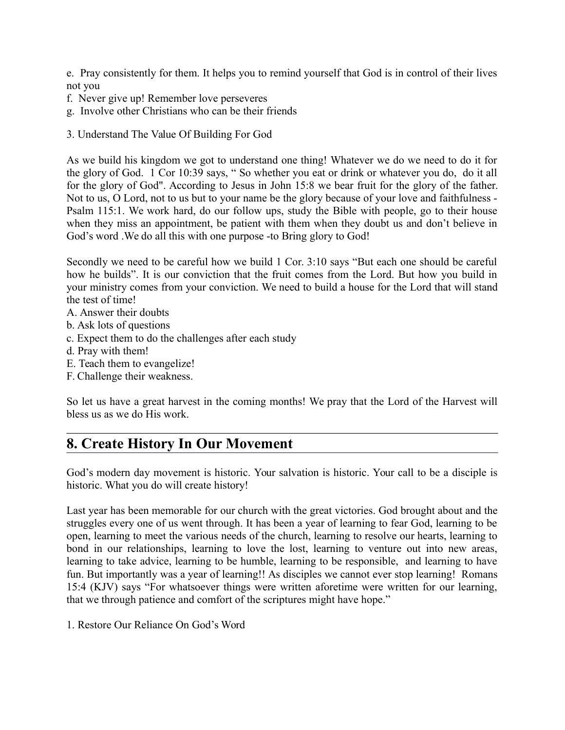e. Pray consistently for them. It helps you to remind yourself that God is in control of their lives not you

- f. Never give up! Remember love perseveres
- g. Involve other Christians who can be their friends
- 3. Understand The Value Of Building For God

As we build his kingdom we got to understand one thing! Whatever we do we need to do it for the glory of God. 1 Cor 10:39 says, " So whether you eat or drink or whatever you do, do it all for the glory of God". According to Jesus in John 15:8 we bear fruit for the glory of the father. Not to us, O Lord, not to us but to your name be the glory because of your love and faithfulness - Psalm 115:1. We work hard, do our follow ups, study the Bible with people, go to their house when they miss an appointment, be patient with them when they doubt us and don't believe in God's word .We do all this with one purpose -to Bring glory to God!

Secondly we need to be careful how we build 1 Cor. 3:10 says "But each one should be careful how he builds". It is our conviction that the fruit comes from the Lord. But how you build in your ministry comes from your conviction. We need to build a house for the Lord that will stand the test of time!

- A. Answer their doubts
- b. Ask lots of questions
- c. Expect them to do the challenges after each study
- d. Pray with them!
- E. Teach them to evangelize!
- F. Challenge their weakness.

So let us have a great harvest in the coming months! We pray that the Lord of the Harvest will bless us as we do His work.

# **8. Create History In Our Movement**

God's modern day movement is historic. Your salvation is historic. Your call to be a disciple is historic. What you do will create history!

Last year has been memorable for our church with the great victories. God brought about and the struggles every one of us went through. It has been a year of learning to fear God, learning to be open, learning to meet the various needs of the church, learning to resolve our hearts, learning to bond in our relationships, learning to love the lost, learning to venture out into new areas, learning to take advice, learning to be humble, learning to be responsible, and learning to have fun. But importantly was a year of learning!! As disciples we cannot ever stop learning! Romans 15:4 (KJV) says "For whatsoever things were written aforetime were written for our learning, that we through patience and comfort of the scriptures might have hope."

1. Restore Our Reliance On God's Word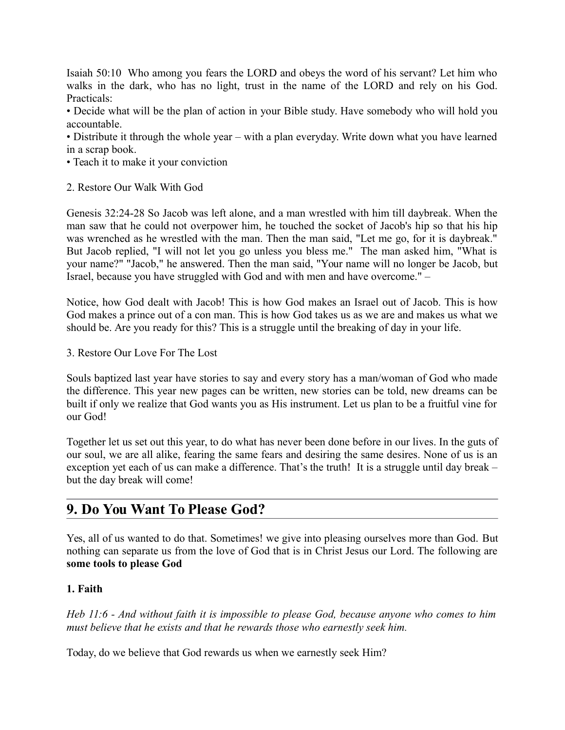Isaiah 50:10 Who among you fears the LORD and obeys the word of his servant? Let him who walks in the dark, who has no light, trust in the name of the LORD and rely on his God. Practicals:

• Decide what will be the plan of action in your Bible study. Have somebody who will hold you accountable.

• Distribute it through the whole year – with a plan everyday. Write down what you have learned in a scrap book.

- Teach it to make it your conviction
- 2. Restore Our Walk With God

Genesis 32:24-28 So Jacob was left alone, and a man wrestled with him till daybreak. When the man saw that he could not overpower him, he touched the socket of Jacob's hip so that his hip was wrenched as he wrestled with the man. Then the man said, "Let me go, for it is daybreak." But Jacob replied, "I will not let you go unless you bless me." The man asked him, "What is your name?" "Jacob," he answered. Then the man said, "Your name will no longer be Jacob, but Israel, because you have struggled with God and with men and have overcome." –

Notice, how God dealt with Jacob! This is how God makes an Israel out of Jacob. This is how God makes a prince out of a con man. This is how God takes us as we are and makes us what we should be. Are you ready for this? This is a struggle until the breaking of day in your life.

3. Restore Our Love For The Lost

Souls baptized last year have stories to say and every story has a man/woman of God who made the difference. This year new pages can be written, new stories can be told, new dreams can be built if only we realize that God wants you as His instrument. Let us plan to be a fruitful vine for our God!

Together let us set out this year, to do what has never been done before in our lives. In the guts of our soul, we are all alike, fearing the same fears and desiring the same desires. None of us is an exception yet each of us can make a difference. That's the truth! It is a struggle until day break – but the day break will come!

# **9. Do You Want To Please God?**

Yes, all of us wanted to do that. Sometimes! we give into pleasing ourselves more than God. But nothing can separate us from the love of God that is in Christ Jesus our Lord. The following are **some tools to please God**

### **1. Faith**

*Heb 11:6 - And without faith it is impossible to please God, because anyone who comes to him must believe that he exists and that he rewards those who earnestly seek him.*

Today, do we believe that God rewards us when we earnestly seek Him?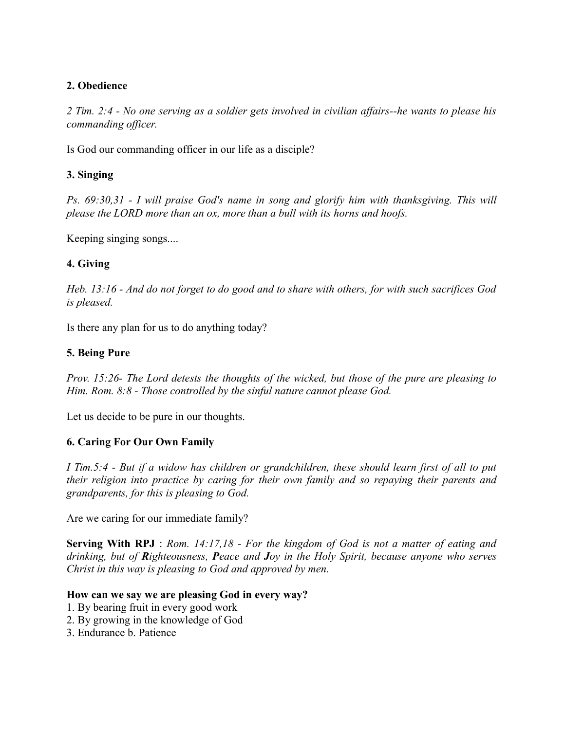### **2. Obedience**

*2 Tim. 2:4 - No one serving as a soldier gets involved in civilian affairs--he wants to please his commanding officer.*

Is God our commanding officer in our life as a disciple?

## **3. Singing**

*Ps. 69:30,31 - I will praise God's name in song and glorify him with thanksgiving. This will please the LORD more than an ox, more than a bull with its horns and hoofs.*

Keeping singing songs....

## **4. Giving**

*Heb. 13:16 - And do not forget to do good and to share with others, for with such sacrifices God is pleased.*

Is there any plan for us to do anything today?

## **5. Being Pure**

*Prov. 15:26- The Lord detests the thoughts of the wicked, but those of the pure are pleasing to Him. Rom. 8:8 - Those controlled by the sinful nature cannot please God.*

Let us decide to be pure in our thoughts.

## **6. Caring For Our Own Family**

*I Tim.5:4 - But if a widow has children or grandchildren, these should learn first of all to put their religion into practice by caring for their own family and so repaying their parents and grandparents, for this is pleasing to God.*

Are we caring for our immediate family?

**Serving With RPJ** : *Rom. 14:17,18 - For the kingdom of God is not a matter of eating and drinking, but of Righteousness, Peace and Joy in the Holy Spirit, because anyone who serves Christ in this way is pleasing to God and approved by men.*

### **How can we say we are pleasing God in every way?**

- 1. By bearing fruit in every good work
- 2. By growing in the knowledge of God
- 3. Endurance b. Patience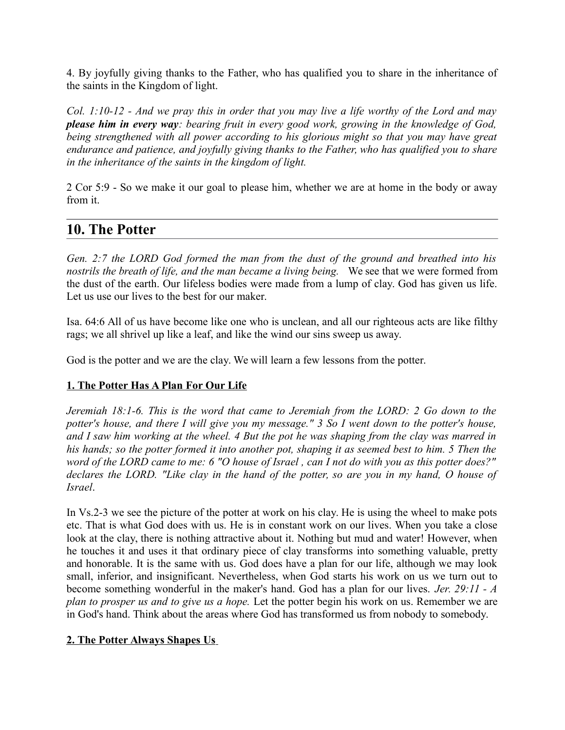4. By joyfully giving thanks to the Father, who has qualified you to share in the inheritance of the saints in the Kingdom of light.

*Col. 1:10-12 - And we pray this in order that you may live a life worthy of the Lord and may please him in every way: bearing fruit in every good work, growing in the knowledge of God, being strengthened with all power according to his glorious might so that you may have great endurance and patience, and joyfully giving thanks to the Father, who has qualified you to share in the inheritance of the saints in the kingdom of light.*

2 Cor 5:9 - So we make it our goal to please him, whether we are at home in the body or away from it.

# **10. The Potter**

*Gen. 2:7 the LORD God formed the man from the dust of the ground and breathed into his nostrils the breath of life, and the man became a living being.* We see that we were formed from the dust of the earth. Our lifeless bodies were made from a lump of clay. God has given us life. Let us use our lives to the best for our maker.

Isa. 64:6 All of us have become like one who is unclean, and all our righteous acts are like filthy rags; we all shrivel up like a leaf, and like the wind our sins sweep us away.

God is the potter and we are the clay. We will learn a few lessons from the potter.

### **1. The Potter Has A Plan For Our Life**

*Jeremiah 18:1-6. This is the word that came to Jeremiah from the LORD: 2 Go down to the potter's house, and there I will give you my message." 3 So I went down to the potter's house, and I saw him working at the wheel. 4 But the pot he was shaping from the clay was marred in his hands; so the potter formed it into another pot, shaping it as seemed best to him. 5 Then the word of the LORD came to me: 6 "O house of Israel , can I not do with you as this potter does?" declares the LORD. "Like clay in the hand of the potter, so are you in my hand, O house of Israel*.

In Vs.2-3 we see the picture of the potter at work on his clay. He is using the wheel to make pots etc. That is what God does with us. He is in constant work on our lives. When you take a close look at the clay, there is nothing attractive about it. Nothing but mud and water! However, when he touches it and uses it that ordinary piece of clay transforms into something valuable, pretty and honorable. It is the same with us. God does have a plan for our life, although we may look small, inferior, and insignificant. Nevertheless, when God starts his work on us we turn out to become something wonderful in the maker's hand. God has a plan for our lives. *Jer. 29:11 - A plan to prosper us and to give us a hope.* Let the potter begin his work on us. Remember we are in God's hand. Think about the areas where God has transformed us from nobody to somebody.

### **2. The Potter Always Shapes Us**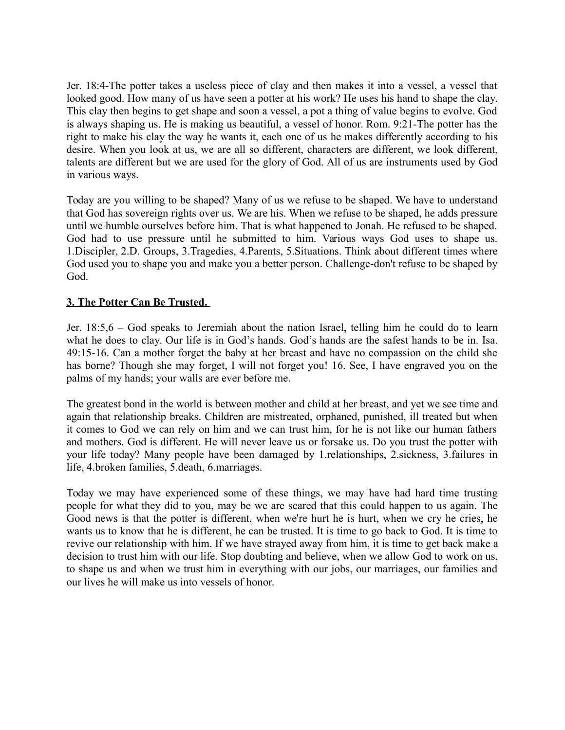Jer. 18:4-The potter takes a useless piece of clay and then makes it into a vessel, a vessel that looked good. How many of us have seen a potter at his work? He uses his hand to shape the clay. This clay then begins to get shape and soon a vessel, a pot a thing of value begins to evolve. God is always shaping us. He is making us beautiful, a vessel of honor. Rom. 9:21-The potter has the right to make his clay the way he wants it, each one of us he makes differently according to his desire. When you look at us, we are all so different, characters are different, we look different, talents are different but we are used for the glory of God. All of us are instruments used by God in various ways.

Today are you willing to be shaped? Many of us we refuse to be shaped. We have to understand that God has sovereign rights over us. We are his. When we refuse to be shaped, he adds pressure until we humble ourselves before him. That is what happened to Jonah. He refused to be shaped. God had to use pressure until he submitted to him. Various ways God uses to shape us. 1.Discipler, 2.D. Groups, 3.Tragedies, 4.Parents, 5.Situations. Think about different times where God used you to shape you and make you a better person. Challenge-don't refuse to be shaped by God.

### **3. The Potter Can Be Trusted.**

Jer. 18:5,6 – God speaks to Jeremiah about the nation Israel, telling him he could do to learn what he does to clay. Our life is in God's hands. God's hands are the safest hands to be in. Isa. 49:15-16. Can a mother forget the baby at her breast and have no compassion on the child she has borne? Though she may forget, I will not forget you! 16. See, I have engraved you on the palms of my hands; your walls are ever before me.

The greatest bond in the world is between mother and child at her breast, and yet we see time and again that relationship breaks. Children are mistreated, orphaned, punished, ill treated but when it comes to God we can rely on him and we can trust him, for he is not like our human fathers and mothers. God is different. He will never leave us or forsake us. Do you trust the potter with your life today? Many people have been damaged by 1.relationships, 2.sickness, 3.failures in life, 4.broken families, 5.death, 6.marriages.

Today we may have experienced some of these things, we may have had hard time trusting people for what they did to you, may be we are scared that this could happen to us again. The Good news is that the potter is different, when we're hurt he is hurt, when we cry he cries, he wants us to know that he is different, he can be trusted. It is time to go back to God. It is time to revive our relationship with him. If we have strayed away from him, it is time to get back make a decision to trust him with our life. Stop doubting and believe, when we allow God to work on us, to shape us and when we trust him in everything with our jobs, our marriages, our families and our lives he will make us into vessels of honor.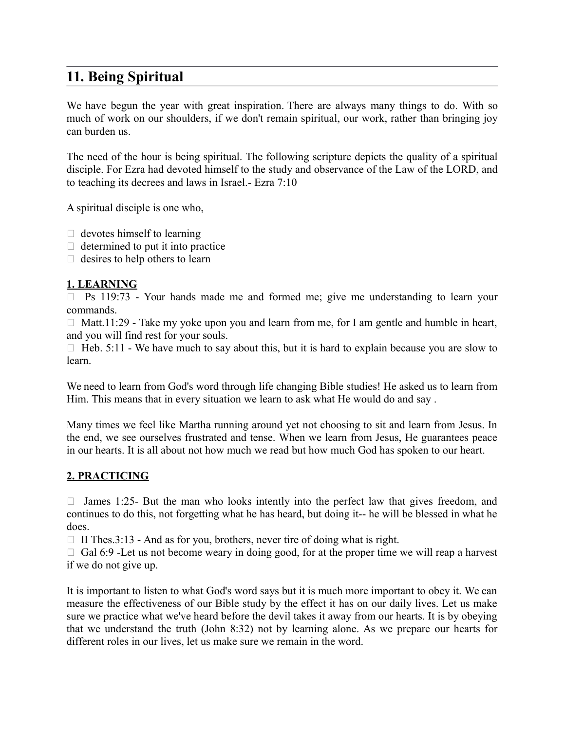# **11. Being Spiritual**

We have begun the year with great inspiration. There are always many things to do. With so much of work on our shoulders, if we don't remain spiritual, our work, rather than bringing joy can burden us.

The need of the hour is being spiritual. The following scripture depicts the quality of a spiritual disciple. For Ezra had devoted himself to the study and observance of the Law of the LORD, and to teaching its decrees and laws in Israel.- Ezra 7:10

A spiritual disciple is one who,

- $\Box$  devotes himself to learning
- $\Box$  determined to put it into practice
- $\Box$  desires to help others to learn

### **1. LEARNING**

 $\Box$  Ps 119:73 - Your hands made me and formed me; give me understanding to learn your commands.

 $\Box$  Matt.11:29 - Take my yoke upon you and learn from me, for I am gentle and humble in heart, and you will find rest for your souls.

 $\Box$  Heb. 5:11 - We have much to say about this, but it is hard to explain because you are slow to learn.

We need to learn from God's word through life changing Bible studies! He asked us to learn from Him. This means that in every situation we learn to ask what He would do and say .

Many times we feel like Martha running around yet not choosing to sit and learn from Jesus. In the end, we see ourselves frustrated and tense. When we learn from Jesus, He guarantees peace in our hearts. It is all about not how much we read but how much God has spoken to our heart.

### **2. PRACTICING**

 $\Box$  James 1:25- But the man who looks intently into the perfect law that gives freedom, and continues to do this, not forgetting what he has heard, but doing it-- he will be blessed in what he does.

 $\Box$  II Thes.3:13 - And as for you, brothers, never tire of doing what is right.

 $\Box$  Gal 6:9 -Let us not become weary in doing good, for at the proper time we will reap a harvest if we do not give up.

It is important to listen to what God's word says but it is much more important to obey it. We can measure the effectiveness of our Bible study by the effect it has on our daily lives. Let us make sure we practice what we've heard before the devil takes it away from our hearts. It is by obeying that we understand the truth (John 8:32) not by learning alone. As we prepare our hearts for different roles in our lives, let us make sure we remain in the word.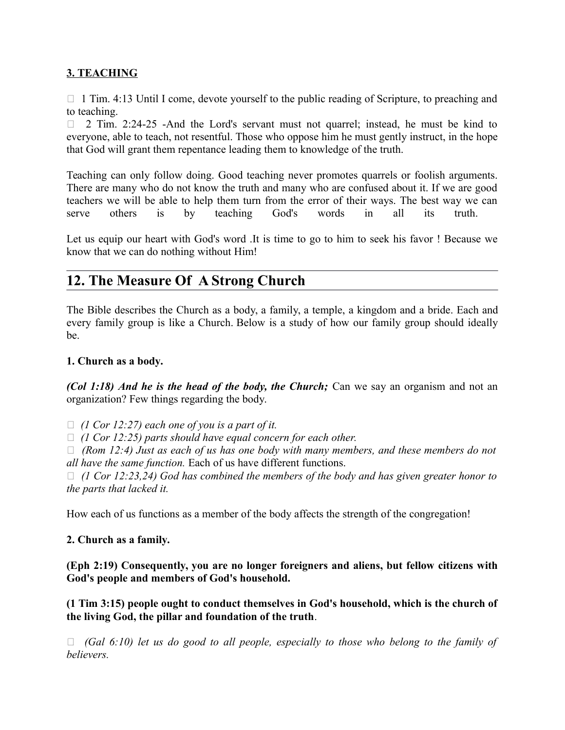## **3. TEACHING**

 $\Box$  1 Tim. 4:13 Until I come, devote yourself to the public reading of Scripture, to preaching and to teaching.

 $\Box$  2 Tim. 2:24-25 -And the Lord's servant must not quarrel; instead, he must be kind to everyone, able to teach, not resentful. Those who oppose him he must gently instruct, in the hope that God will grant them repentance leading them to knowledge of the truth.

Teaching can only follow doing. Good teaching never promotes quarrels or foolish arguments. There are many who do not know the truth and many who are confused about it. If we are good teachers we will be able to help them turn from the error of their ways. The best way we can serve others is by teaching God's words in all its truth.

Let us equip our heart with God's word .It is time to go to him to seek his favor ! Because we know that we can do nothing without Him!

# **12. The Measure Of A Strong Church**

The Bible describes the Church as a body, a family, a temple, a kingdom and a bride. Each and every family group is like a Church. Below is a study of how our family group should ideally be.

### **1. Church as a body.**

*(Col 1:18) And he is the head of the body, the Church;* Can we say an organism and not an organization? Few things regarding the body.

 $\Box$  (1 Cor 12:27) each one of you is a part of it.

*(1 Cor 12:25) parts should have equal concern for each other.* 

 *(Rom 12:4) Just as each of us has one body with many members, and these members do not all have the same function.* Each of us have different functions.

 *(1 Cor 12:23,24) God has combined the members of the body and has given greater honor to the parts that lacked it.*

How each of us functions as a member of the body affects the strength of the congregation!

### **2. Church as a family.**

**(Eph 2:19) Consequently, you are no longer foreigners and aliens, but fellow citizens with God's people and members of God's household.** 

**(1 Tim 3:15) people ought to conduct themselves in God's household, which is the church of the living God, the pillar and foundation of the truth**.

 *(Gal 6:10) let us do good to all people, especially to those who belong to the family of believers.*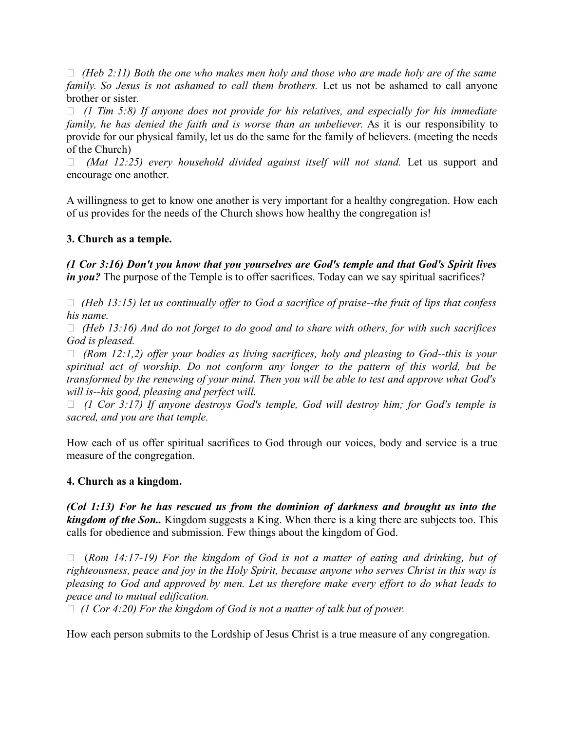*(Heb 2:11) Both the one who makes men holy and those who are made holy are of the same family. So Jesus is not ashamed to call them brothers.* Let us not be ashamed to call anyone brother or sister.

 *(1 Tim 5:8) If anyone does not provide for his relatives, and especially for his immediate family, he has denied the faith and is worse than an unbeliever.* As it is our responsibility to provide for our physical family, let us do the same for the family of believers. (meeting the needs of the Church)

 *(Mat 12:25) every household divided against itself will not stand.* Let us support and encourage one another.

A willingness to get to know one another is very important for a healthy congregation. How each of us provides for the needs of the Church shows how healthy the congregation is!

### **3. Church as a temple.**

*(1 Cor 3:16) Don't you know that you yourselves are God's temple and that God's Spirit lives in you?* The purpose of the Temple is to offer sacrifices. Today can we say spiritual sacrifices?

 *(Heb 13:15) let us continually offer to God a sacrifice of praise--the fruit of lips that confess his name.* 

 *(Heb 13:16) And do not forget to do good and to share with others, for with such sacrifices God is pleased.* 

 *(Rom 12:1,2) offer your bodies as living sacrifices, holy and pleasing to God--this is your spiritual act of worship. Do not conform any longer to the pattern of this world, but be transformed by the renewing of your mind. Then you will be able to test and approve what God's will is--his good, pleasing and perfect will.* 

 *(1 Cor 3:17) If anyone destroys God's temple, God will destroy him; for God's temple is sacred, and you are that temple.*

How each of us offer spiritual sacrifices to God through our voices, body and service is a true measure of the congregation.

### **4. Church as a kingdom.**

*(Col 1:13) For he has rescued us from the dominion of darkness and brought us into the kingdom of the Son..* Kingdom suggests a King. When there is a king there are subjects too. This calls for obedience and submission. Few things about the kingdom of God.

 (*Rom 14:17-19) For the kingdom of God is not a matter of eating and drinking, but of righteousness, peace and joy in the Holy Spirit, because anyone who serves Christ in this way is pleasing to God and approved by men. Let us therefore make every effort to do what leads to peace and to mutual edification.* 

*(1 Cor 4:20) For the kingdom of God is not a matter of talk but of power.*

How each person submits to the Lordship of Jesus Christ is a true measure of any congregation.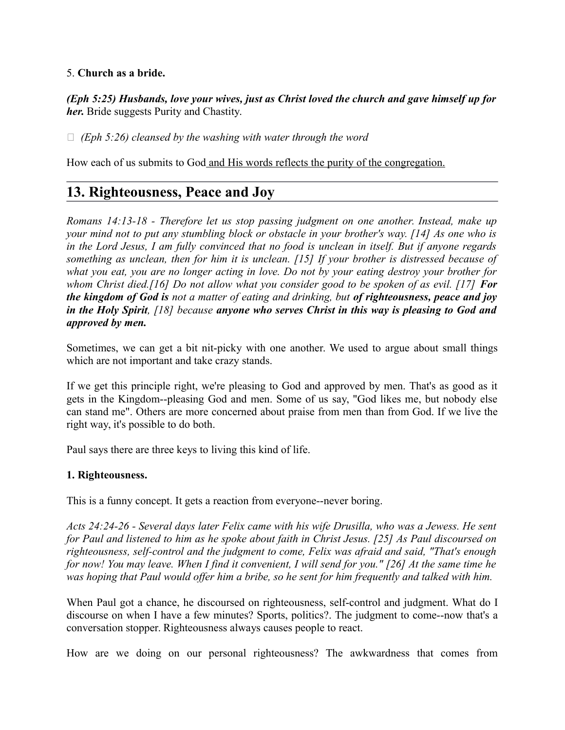### 5. **Church as a bride.**

*(Eph 5:25) Husbands, love your wives, just as Christ loved the church and gave himself up for her.* Bride suggests Purity and Chastity.

*(Eph 5:26) cleansed by the washing with water through the word*

How each of us submits to God and His words reflects the purity of the congregation.

# **13. Righteousness, Peace and Joy**

*Romans 14:13-18 - Therefore let us stop passing judgment on one another. Instead, make up your mind not to put any stumbling block or obstacle in your brother's way. [14] As one who is in the Lord Jesus, I am fully convinced that no food is unclean in itself. But if anyone regards something as unclean, then for him it is unclean. [15] If your brother is distressed because of what you eat, you are no longer acting in love. Do not by your eating destroy your brother for whom Christ died.[16] Do not allow what you consider good to be spoken of as evil. [17] For the kingdom of God is not a matter of eating and drinking, but of righteousness, peace and joy in the Holy Spirit, [18] because anyone who serves Christ in this way is pleasing to God and approved by men.*

Sometimes, we can get a bit nit-picky with one another. We used to argue about small things which are not important and take crazy stands.

If we get this principle right, we're pleasing to God and approved by men. That's as good as it gets in the Kingdom--pleasing God and men. Some of us say, "God likes me, but nobody else can stand me". Others are more concerned about praise from men than from God. If we live the right way, it's possible to do both.

Paul says there are three keys to living this kind of life.

### **1. Righteousness.**

This is a funny concept. It gets a reaction from everyone--never boring.

*Acts 24:24-26 - Several days later Felix came with his wife Drusilla, who was a Jewess. He sent for Paul and listened to him as he spoke about faith in Christ Jesus. [25] As Paul discoursed on righteousness, self-control and the judgment to come, Felix was afraid and said, "That's enough for now! You may leave. When I find it convenient, I will send for you." [26] At the same time he was hoping that Paul would offer him a bribe, so he sent for him frequently and talked with him.*

When Paul got a chance, he discoursed on righteousness, self-control and judgment. What do I discourse on when I have a few minutes? Sports, politics?. The judgment to come--now that's a conversation stopper. Righteousness always causes people to react.

How are we doing on our personal righteousness? The awkwardness that comes from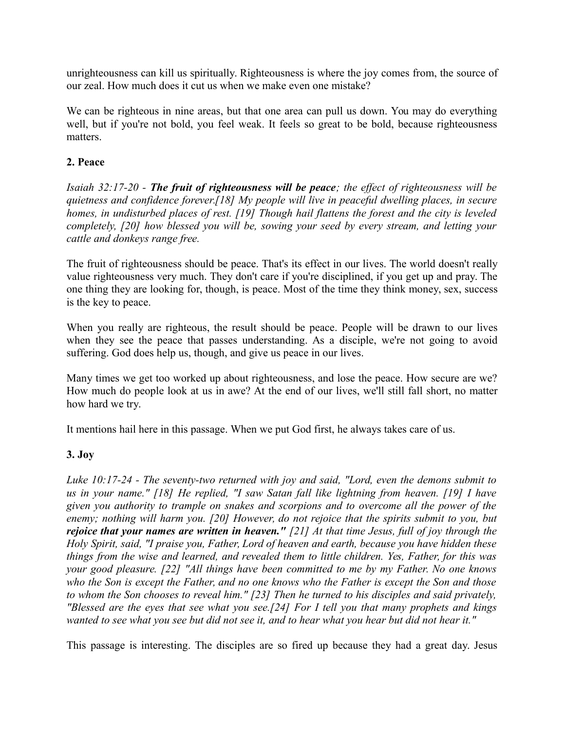unrighteousness can kill us spiritually. Righteousness is where the joy comes from, the source of our zeal. How much does it cut us when we make even one mistake?

We can be righteous in nine areas, but that one area can pull us down. You may do everything well, but if you're not bold, you feel weak. It feels so great to be bold, because righteousness matters.

### **2. Peace**

*Isaiah 32:17-20 - The fruit of righteousness will be peace; the effect of righteousness will be quietness and confidence forever.[18] My people will live in peaceful dwelling places, in secure homes, in undisturbed places of rest. [19] Though hail flattens the forest and the city is leveled completely, [20] how blessed you will be, sowing your seed by every stream, and letting your cattle and donkeys range free.*

The fruit of righteousness should be peace. That's its effect in our lives. The world doesn't really value righteousness very much. They don't care if you're disciplined, if you get up and pray. The one thing they are looking for, though, is peace. Most of the time they think money, sex, success is the key to peace.

When you really are righteous, the result should be peace. People will be drawn to our lives when they see the peace that passes understanding. As a disciple, we're not going to avoid suffering. God does help us, though, and give us peace in our lives.

Many times we get too worked up about righteousness, and lose the peace. How secure are we? How much do people look at us in awe? At the end of our lives, we'll still fall short, no matter how hard we try.

It mentions hail here in this passage. When we put God first, he always takes care of us.

### **3. Joy**

*Luke 10:17-24 - The seventy-two returned with joy and said, "Lord, even the demons submit to us in your name." [18] He replied, "I saw Satan fall like lightning from heaven. [19] I have given you authority to trample on snakes and scorpions and to overcome all the power of the enemy; nothing will harm you. [20] However, do not rejoice that the spirits submit to you, but rejoice that your names are written in heaven." [21] At that time Jesus, full of joy through the Holy Spirit, said, "I praise you, Father, Lord of heaven and earth, because you have hidden these things from the wise and learned, and revealed them to little children. Yes, Father, for this was your good pleasure. [22] "All things have been committed to me by my Father. No one knows who the Son is except the Father, and no one knows who the Father is except the Son and those to whom the Son chooses to reveal him." [23] Then he turned to his disciples and said privately, "Blessed are the eyes that see what you see.[24] For I tell you that many prophets and kings wanted to see what you see but did not see it, and to hear what you hear but did not hear it."*

This passage is interesting. The disciples are so fired up because they had a great day. Jesus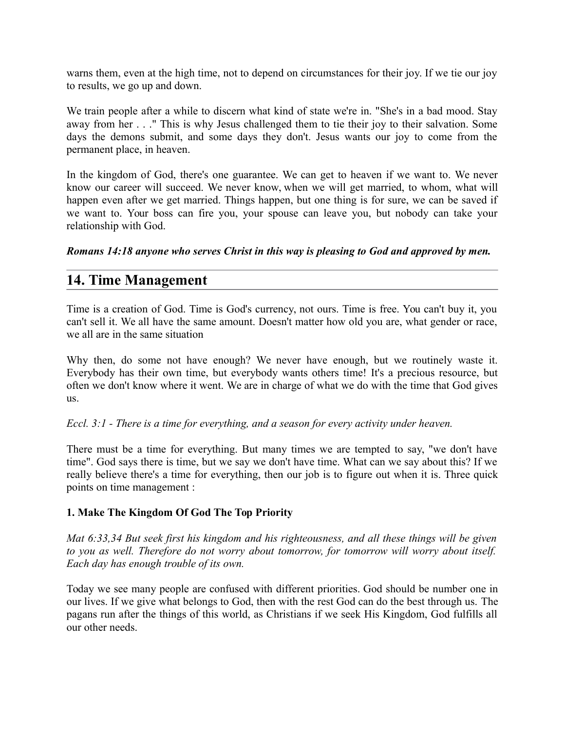warns them, even at the high time, not to depend on circumstances for their joy. If we tie our joy to results, we go up and down.

We train people after a while to discern what kind of state we're in. "She's in a bad mood. Stay away from her . . ." This is why Jesus challenged them to tie their joy to their salvation. Some days the demons submit, and some days they don't. Jesus wants our joy to come from the permanent place, in heaven.

In the kingdom of God, there's one guarantee. We can get to heaven if we want to. We never know our career will succeed. We never know, when we will get married, to whom, what will happen even after we get married. Things happen, but one thing is for sure, we can be saved if we want to. Your boss can fire you, your spouse can leave you, but nobody can take your relationship with God.

*Romans 14:18 anyone who serves Christ in this way is pleasing to God and approved by men.*

## **14. Time Management**

Time is a creation of God. Time is God's currency, not ours. Time is free. You can't buy it, you can't sell it. We all have the same amount. Doesn't matter how old you are, what gender or race, we all are in the same situation

Why then, do some not have enough? We never have enough, but we routinely waste it. Everybody has their own time, but everybody wants others time! It's a precious resource, but often we don't know where it went. We are in charge of what we do with the time that God gives us.

### *Eccl. 3:1 - There is a time for everything, and a season for every activity under heaven.*

There must be a time for everything. But many times we are tempted to say, "we don't have time". God says there is time, but we say we don't have time. What can we say about this? If we really believe there's a time for everything, then our job is to figure out when it is. Three quick points on time management :

### **1. Make The Kingdom Of God The Top Priority**

*Mat 6:33,34 But seek first his kingdom and his righteousness, and all these things will be given to you as well. Therefore do not worry about tomorrow, for tomorrow will worry about itself. Each day has enough trouble of its own.*

Today we see many people are confused with different priorities. God should be number one in our lives. If we give what belongs to God, then with the rest God can do the best through us. The pagans run after the things of this world, as Christians if we seek His Kingdom, God fulfills all our other needs.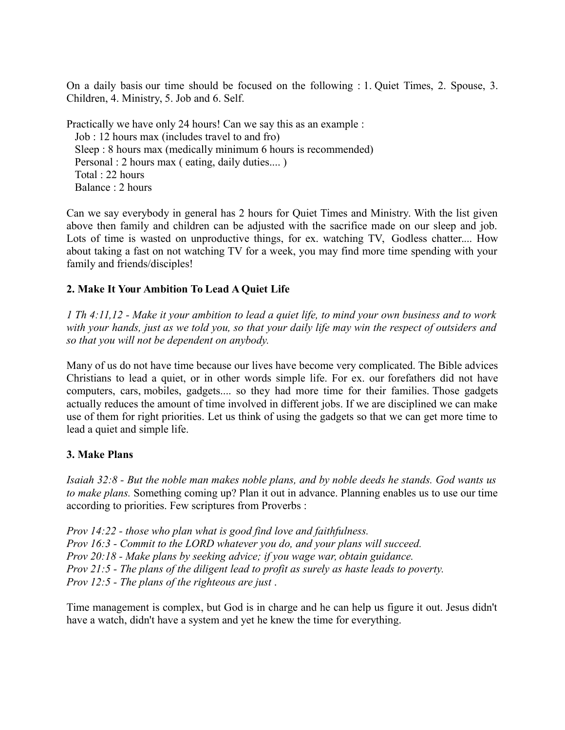On a daily basis our time should be focused on the following : 1. Quiet Times, 2. Spouse, 3. Children, 4. Ministry, 5. Job and 6. Self.

Practically we have only 24 hours! Can we say this as an example : Job : 12 hours max (includes travel to and fro) Sleep : 8 hours max (medically minimum 6 hours is recommended) Personal : 2 hours max ( eating, daily duties.... ) Total : 22 hours Balance : 2 hours

Can we say everybody in general has 2 hours for Quiet Times and Ministry. With the list given above then family and children can be adjusted with the sacrifice made on our sleep and job. Lots of time is wasted on unproductive things, for ex. watching TV, Godless chatter.... How about taking a fast on not watching TV for a week, you may find more time spending with your family and friends/disciples!

## **2. Make It Your Ambition To Lead A Quiet Life**

*1 Th 4:11,12 - Make it your ambition to lead a quiet life, to mind your own business and to work with your hands, just as we told you, so that your daily life may win the respect of outsiders and so that you will not be dependent on anybody.* 

Many of us do not have time because our lives have become very complicated. The Bible advices Christians to lead a quiet, or in other words simple life. For ex. our forefathers did not have computers, cars, mobiles, gadgets.... so they had more time for their families. Those gadgets actually reduces the amount of time involved in different jobs. If we are disciplined we can make use of them for right priorities. Let us think of using the gadgets so that we can get more time to lead a quiet and simple life.

### **3. Make Plans**

*Isaiah 32:8 - But the noble man makes noble plans, and by noble deeds he stands. God wants us to make plans.* Something coming up? Plan it out in advance. Planning enables us to use our time according to priorities. Few scriptures from Proverbs :

*Prov 14:22 - those who plan what is good find love and faithfulness. Prov 16:3 - Commit to the LORD whatever you do, and your plans will succeed. Prov 20:18 - Make plans by seeking advice; if you wage war, obtain guidance. Prov 21:5 - The plans of the diligent lead to profit as surely as haste leads to poverty. Prov 12:5 - The plans of the righteous are just* .

Time management is complex, but God is in charge and he can help us figure it out. Jesus didn't have a watch, didn't have a system and yet he knew the time for everything.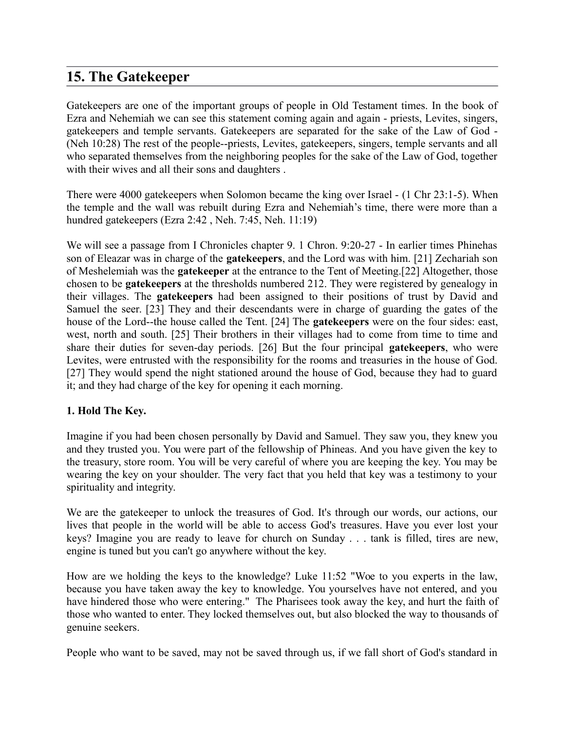# **15. The Gatekeeper**

Gatekeepers are one of the important groups of people in Old Testament times. In the book of Ezra and Nehemiah we can see this statement coming again and again - priests, Levites, singers, gatekeepers and temple servants. Gatekeepers are separated for the sake of the Law of God - (Neh 10:28) The rest of the people--priests, Levites, gatekeepers, singers, temple servants and all who separated themselves from the neighboring peoples for the sake of the Law of God, together with their wives and all their sons and daughters.

There were 4000 gatekeepers when Solomon became the king over Israel - (1 Chr 23:1-5). When the temple and the wall was rebuilt during Ezra and Nehemiah's time, there were more than a hundred gatekeepers (Ezra 2:42 , Neh. 7:45, Neh. 11:19)

We will see a passage from I Chronicles chapter 9. 1 Chron. 9:20-27 - In earlier times Phinehas son of Eleazar was in charge of the **gatekeepers**, and the Lord was with him. [21] Zechariah son of Meshelemiah was the **gatekeeper** at the entrance to the Tent of Meeting.[22] Altogether, those chosen to be **gatekeepers** at the thresholds numbered 212. They were registered by genealogy in their villages. The **gatekeepers** had been assigned to their positions of trust by David and Samuel the seer. [23] They and their descendants were in charge of guarding the gates of the house of the Lord--the house called the Tent. [24] The **gatekeepers** were on the four sides: east, west, north and south. [25] Their brothers in their villages had to come from time to time and share their duties for seven-day periods. [26] But the four principal **gatekeepers**, who were Levites, were entrusted with the responsibility for the rooms and treasuries in the house of God. [27] They would spend the night stationed around the house of God, because they had to guard it; and they had charge of the key for opening it each morning.

## **1. Hold The Key.**

Imagine if you had been chosen personally by David and Samuel. They saw you, they knew you and they trusted you. You were part of the fellowship of Phineas. And you have given the key to the treasury, store room. You will be very careful of where you are keeping the key. You may be wearing the key on your shoulder. The very fact that you held that key was a testimony to your spirituality and integrity.

We are the gatekeeper to unlock the treasures of God. It's through our words, our actions, our lives that people in the world will be able to access God's treasures. Have you ever lost your keys? Imagine you are ready to leave for church on Sunday . . . tank is filled, tires are new, engine is tuned but you can't go anywhere without the key.

How are we holding the keys to the knowledge? Luke 11:52 "Woe to you experts in the law, because you have taken away the key to knowledge. You yourselves have not entered, and you have hindered those who were entering." The Pharisees took away the key, and hurt the faith of those who wanted to enter. They locked themselves out, but also blocked the way to thousands of genuine seekers.

People who want to be saved, may not be saved through us, if we fall short of God's standard in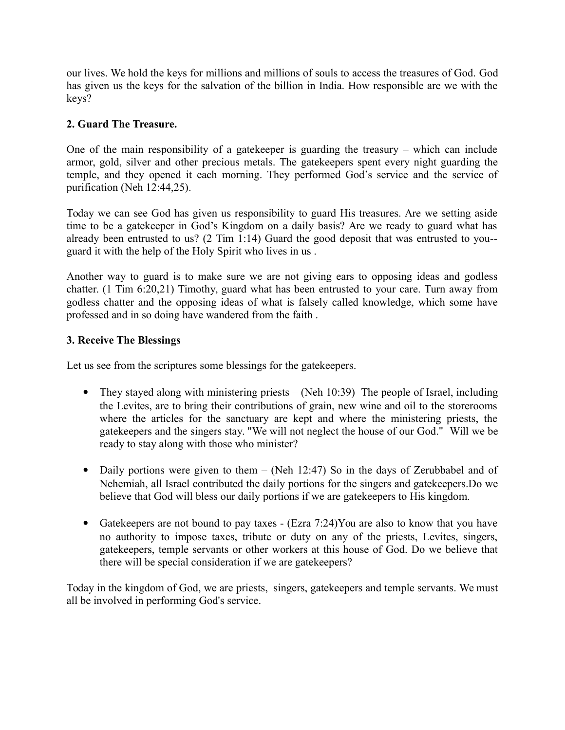our lives. We hold the keys for millions and millions of souls to access the treasures of God. God has given us the keys for the salvation of the billion in India. How responsible are we with the keys?

## **2. Guard The Treasure.**

One of the main responsibility of a gatekeeper is guarding the treasury – which can include armor, gold, silver and other precious metals. The gatekeepers spent every night guarding the temple, and they opened it each morning. They performed God's service and the service of purification (Neh 12:44,25).

Today we can see God has given us responsibility to guard His treasures. Are we setting aside time to be a gatekeeper in God's Kingdom on a daily basis? Are we ready to guard what has already been entrusted to us? (2 Tim 1:14) Guard the good deposit that was entrusted to you- guard it with the help of the Holy Spirit who lives in us .

Another way to guard is to make sure we are not giving ears to opposing ideas and godless chatter. (1 Tim 6:20,21) Timothy, guard what has been entrusted to your care. Turn away from godless chatter and the opposing ideas of what is falsely called knowledge, which some have professed and in so doing have wandered from the faith .

### **3. Receive The Blessings**

Let us see from the scriptures some blessings for the gatekeepers.

- They stayed along with ministering priests (Neh 10:39) The people of Israel, including the Levites, are to bring their contributions of grain, new wine and oil to the storerooms where the articles for the sanctuary are kept and where the ministering priests, the gatekeepers and the singers stay. "We will not neglect the house of our God." Will we be ready to stay along with those who minister?
- Daily portions were given to them (Neh 12:47) So in the days of Zerubbabel and of Nehemiah, all Israel contributed the daily portions for the singers and gatekeepers.Do we believe that God will bless our daily portions if we are gatekeepers to His kingdom.
- Gatekeepers are not bound to pay taxes (Ezra 7:24)You are also to know that you have no authority to impose taxes, tribute or duty on any of the priests, Levites, singers, gatekeepers, temple servants or other workers at this house of God. Do we believe that there will be special consideration if we are gatekeepers?

Today in the kingdom of God, we are priests, singers, gatekeepers and temple servants. We must all be involved in performing God's service.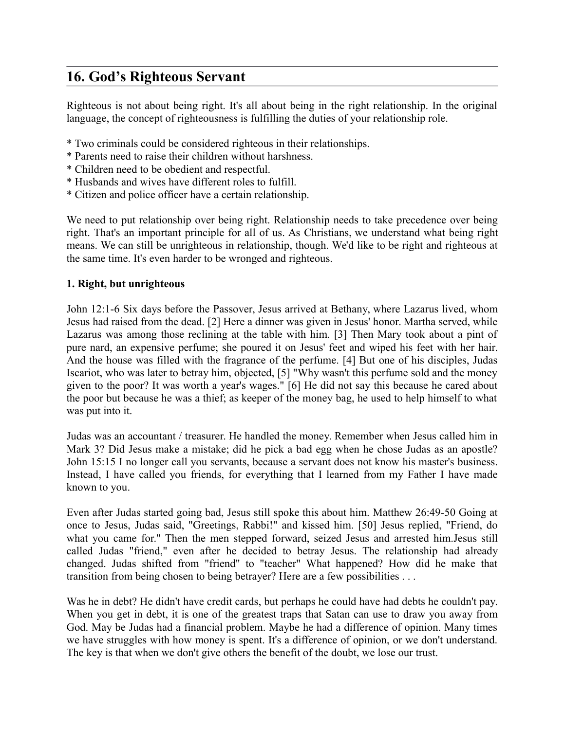# **16. God's Righteous Servant**

Righteous is not about being right. It's all about being in the right relationship. In the original language, the concept of righteousness is fulfilling the duties of your relationship role.

- \* Two criminals could be considered righteous in their relationships.
- \* Parents need to raise their children without harshness.
- \* Children need to be obedient and respectful.
- \* Husbands and wives have different roles to fulfill.
- \* Citizen and police officer have a certain relationship.

We need to put relationship over being right. Relationship needs to take precedence over being right. That's an important principle for all of us. As Christians, we understand what being right means. We can still be unrighteous in relationship, though. We'd like to be right and righteous at the same time. It's even harder to be wronged and righteous.

### **1. Right, but unrighteous**

John 12:1-6 Six days before the Passover, Jesus arrived at Bethany, where Lazarus lived, whom Jesus had raised from the dead. [2] Here a dinner was given in Jesus' honor. Martha served, while Lazarus was among those reclining at the table with him. [3] Then Mary took about a pint of pure nard, an expensive perfume; she poured it on Jesus' feet and wiped his feet with her hair. And the house was filled with the fragrance of the perfume. [4] But one of his disciples, Judas Iscariot, who was later to betray him, objected, [5] "Why wasn't this perfume sold and the money given to the poor? It was worth a year's wages." [6] He did not say this because he cared about the poor but because he was a thief; as keeper of the money bag, he used to help himself to what was put into it.

Judas was an accountant / treasurer. He handled the money. Remember when Jesus called him in Mark 3? Did Jesus make a mistake; did he pick a bad egg when he chose Judas as an apostle? John 15:15 I no longer call you servants, because a servant does not know his master's business. Instead, I have called you friends, for everything that I learned from my Father I have made known to you.

Even after Judas started going bad, Jesus still spoke this about him. Matthew 26:49-50 Going at once to Jesus, Judas said, "Greetings, Rabbi!" and kissed him. [50] Jesus replied, "Friend, do what you came for." Then the men stepped forward, seized Jesus and arrested him.Jesus still called Judas "friend," even after he decided to betray Jesus. The relationship had already changed. Judas shifted from "friend" to "teacher" What happened? How did he make that transition from being chosen to being betrayer? Here are a few possibilities . . .

Was he in debt? He didn't have credit cards, but perhaps he could have had debts he couldn't pay. When you get in debt, it is one of the greatest traps that Satan can use to draw you away from God. May be Judas had a financial problem. Maybe he had a difference of opinion. Many times we have struggles with how money is spent. It's a difference of opinion, or we don't understand. The key is that when we don't give others the benefit of the doubt, we lose our trust.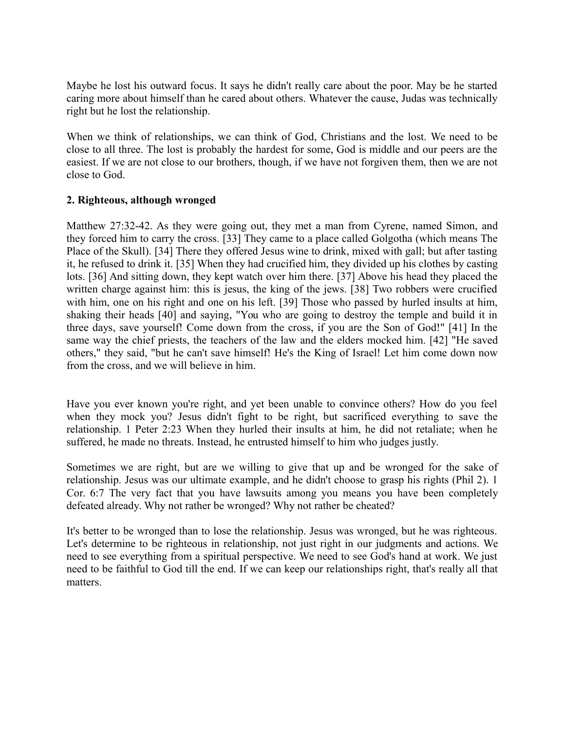Maybe he lost his outward focus. It says he didn't really care about the poor. May be he started caring more about himself than he cared about others. Whatever the cause, Judas was technically right but he lost the relationship.

When we think of relationships, we can think of God, Christians and the lost. We need to be close to all three. The lost is probably the hardest for some, God is middle and our peers are the easiest. If we are not close to our brothers, though, if we have not forgiven them, then we are not close to God.

### **2. Righteous, although wronged**

Matthew 27:32-42. As they were going out, they met a man from Cyrene, named Simon, and they forced him to carry the cross. [33] They came to a place called Golgotha (which means The Place of the Skull). [34] There they offered Jesus wine to drink, mixed with gall; but after tasting it, he refused to drink it. [35] When they had crucified him, they divided up his clothes by casting lots. [36] And sitting down, they kept watch over him there. [37] Above his head they placed the written charge against him: this is jesus, the king of the jews. [38] Two robbers were crucified with him, one on his right and one on his left. [39] Those who passed by hurled insults at him, shaking their heads [40] and saying, "You who are going to destroy the temple and build it in three days, save yourself! Come down from the cross, if you are the Son of God!" [41] In the same way the chief priests, the teachers of the law and the elders mocked him. [42] "He saved others," they said, "but he can't save himself! He's the King of Israel! Let him come down now from the cross, and we will believe in him.

Have you ever known you're right, and yet been unable to convince others? How do you feel when they mock you? Jesus didn't fight to be right, but sacrificed everything to save the relationship. 1 Peter 2:23 When they hurled their insults at him, he did not retaliate; when he suffered, he made no threats. Instead, he entrusted himself to him who judges justly.

Sometimes we are right, but are we willing to give that up and be wronged for the sake of relationship. Jesus was our ultimate example, and he didn't choose to grasp his rights (Phil 2). 1 Cor. 6:7 The very fact that you have lawsuits among you means you have been completely defeated already. Why not rather be wronged? Why not rather be cheated?

It's better to be wronged than to lose the relationship. Jesus was wronged, but he was righteous. Let's determine to be righteous in relationship, not just right in our judgments and actions. We need to see everything from a spiritual perspective. We need to see God's hand at work. We just need to be faithful to God till the end. If we can keep our relationships right, that's really all that matters.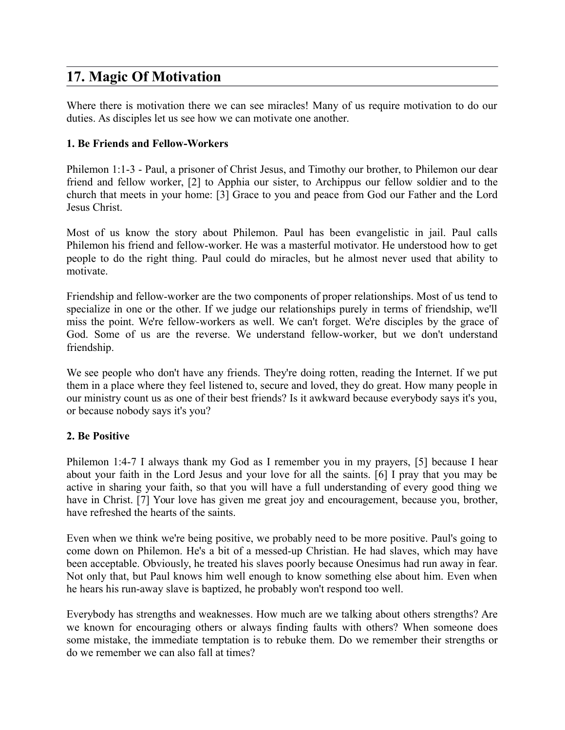# **17. Magic Of Motivation**

Where there is motivation there we can see miracles! Many of us require motivation to do our duties. As disciples let us see how we can motivate one another.

### **1. Be Friends and Fellow-Workers**

Philemon 1:1-3 - Paul, a prisoner of Christ Jesus, and Timothy our brother, to Philemon our dear friend and fellow worker, [2] to Apphia our sister, to Archippus our fellow soldier and to the church that meets in your home: [3] Grace to you and peace from God our Father and the Lord Jesus Christ.

Most of us know the story about Philemon. Paul has been evangelistic in jail. Paul calls Philemon his friend and fellow-worker. He was a masterful motivator. He understood how to get people to do the right thing. Paul could do miracles, but he almost never used that ability to motivate.

Friendship and fellow-worker are the two components of proper relationships. Most of us tend to specialize in one or the other. If we judge our relationships purely in terms of friendship, we'll miss the point. We're fellow-workers as well. We can't forget. We're disciples by the grace of God. Some of us are the reverse. We understand fellow-worker, but we don't understand friendship.

We see people who don't have any friends. They're doing rotten, reading the Internet. If we put them in a place where they feel listened to, secure and loved, they do great. How many people in our ministry count us as one of their best friends? Is it awkward because everybody says it's you, or because nobody says it's you?

### **2. Be Positive**

Philemon 1:4-7 I always thank my God as I remember you in my prayers, [5] because I hear about your faith in the Lord Jesus and your love for all the saints. [6] I pray that you may be active in sharing your faith, so that you will have a full understanding of every good thing we have in Christ. [7] Your love has given me great joy and encouragement, because you, brother, have refreshed the hearts of the saints.

Even when we think we're being positive, we probably need to be more positive. Paul's going to come down on Philemon. He's a bit of a messed-up Christian. He had slaves, which may have been acceptable. Obviously, he treated his slaves poorly because Onesimus had run away in fear. Not only that, but Paul knows him well enough to know something else about him. Even when he hears his run-away slave is baptized, he probably won't respond too well.

Everybody has strengths and weaknesses. How much are we talking about others strengths? Are we known for encouraging others or always finding faults with others? When someone does some mistake, the immediate temptation is to rebuke them. Do we remember their strengths or do we remember we can also fall at times?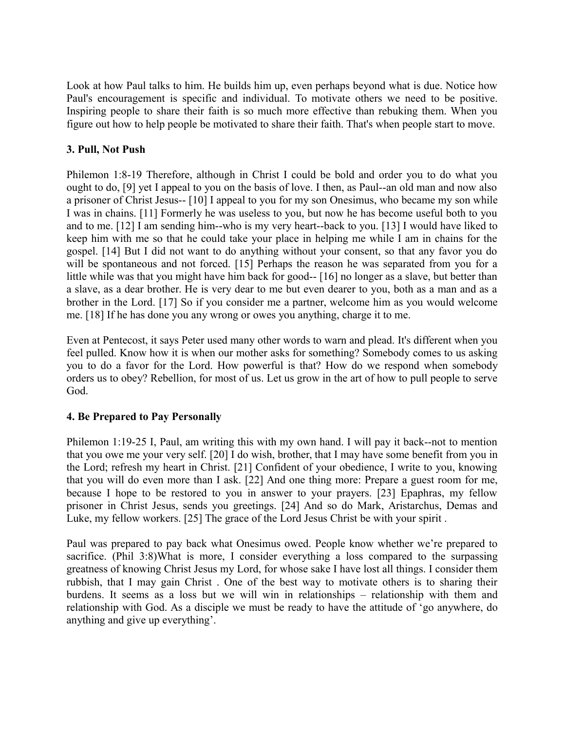Look at how Paul talks to him. He builds him up, even perhaps beyond what is due. Notice how Paul's encouragement is specific and individual. To motivate others we need to be positive. Inspiring people to share their faith is so much more effective than rebuking them. When you figure out how to help people be motivated to share their faith. That's when people start to move.

### **3. Pull, Not Push**

Philemon 1:8-19 Therefore, although in Christ I could be bold and order you to do what you ought to do, [9] yet I appeal to you on the basis of love. I then, as Paul--an old man and now also a prisoner of Christ Jesus-- [10] I appeal to you for my son Onesimus, who became my son while I was in chains. [11] Formerly he was useless to you, but now he has become useful both to you and to me. [12] I am sending him--who is my very heart--back to you. [13] I would have liked to keep him with me so that he could take your place in helping me while I am in chains for the gospel. [14] But I did not want to do anything without your consent, so that any favor you do will be spontaneous and not forced. [15] Perhaps the reason he was separated from you for a little while was that you might have him back for good-- [16] no longer as a slave, but better than a slave, as a dear brother. He is very dear to me but even dearer to you, both as a man and as a brother in the Lord. [17] So if you consider me a partner, welcome him as you would welcome me. [18] If he has done you any wrong or owes you anything, charge it to me.

Even at Pentecost, it says Peter used many other words to warn and plead. It's different when you feel pulled. Know how it is when our mother asks for something? Somebody comes to us asking you to do a favor for the Lord. How powerful is that? How do we respond when somebody orders us to obey? Rebellion, for most of us. Let us grow in the art of how to pull people to serve God.

### **4. Be Prepared to Pay Personally**

Philemon 1:19-25 I, Paul, am writing this with my own hand. I will pay it back--not to mention that you owe me your very self. [20] I do wish, brother, that I may have some benefit from you in the Lord; refresh my heart in Christ. [21] Confident of your obedience, I write to you, knowing that you will do even more than I ask. [22] And one thing more: Prepare a guest room for me, because I hope to be restored to you in answer to your prayers. [23] Epaphras, my fellow prisoner in Christ Jesus, sends you greetings. [24] And so do Mark, Aristarchus, Demas and Luke, my fellow workers. [25] The grace of the Lord Jesus Christ be with your spirit .

Paul was prepared to pay back what Onesimus owed. People know whether we're prepared to sacrifice. (Phil 3:8)What is more, I consider everything a loss compared to the surpassing greatness of knowing Christ Jesus my Lord, for whose sake I have lost all things. I consider them rubbish, that I may gain Christ . One of the best way to motivate others is to sharing their burdens. It seems as a loss but we will win in relationships – relationship with them and relationship with God. As a disciple we must be ready to have the attitude of 'go anywhere, do anything and give up everything'.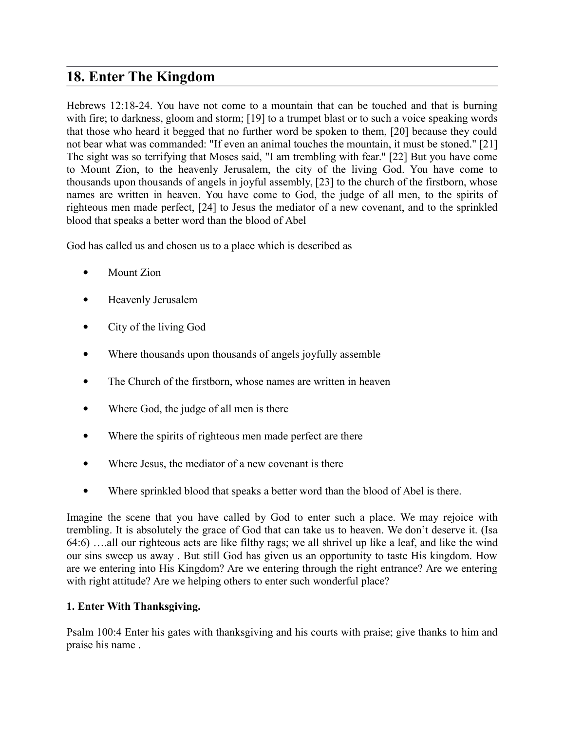# **18. Enter The Kingdom**

Hebrews 12:18-24. You have not come to a mountain that can be touched and that is burning with fire; to darkness, gloom and storm; [19] to a trumpet blast or to such a voice speaking words that those who heard it begged that no further word be spoken to them, [20] because they could not bear what was commanded: "If even an animal touches the mountain, it must be stoned." [21] The sight was so terrifying that Moses said, "I am trembling with fear." [22] But you have come to Mount Zion, to the heavenly Jerusalem, the city of the living God. You have come to thousands upon thousands of angels in joyful assembly, [23] to the church of the firstborn, whose names are written in heaven. You have come to God, the judge of all men, to the spirits of righteous men made perfect, [24] to Jesus the mediator of a new covenant, and to the sprinkled blood that speaks a better word than the blood of Abel

God has called us and chosen us to a place which is described as

- Mount Zion
- Heavenly Jerusalem
- City of the living God
- Where thousands upon thousands of angels joyfully assemble
- The Church of the firstborn, whose names are written in heaven
- Where God, the judge of all men is there
- Where the spirits of righteous men made perfect are there
- Where Jesus, the mediator of a new covenant is there
- Where sprinkled blood that speaks a better word than the blood of Abel is there.

Imagine the scene that you have called by God to enter such a place. We may rejoice with trembling. It is absolutely the grace of God that can take us to heaven. We don't deserve it. (Isa 64:6) ….all our righteous acts are like filthy rags; we all shrivel up like a leaf, and like the wind our sins sweep us away . But still God has given us an opportunity to taste His kingdom. How are we entering into His Kingdom? Are we entering through the right entrance? Are we entering with right attitude? Are we helping others to enter such wonderful place?

### **1. Enter With Thanksgiving.**

Psalm 100:4 Enter his gates with thanksgiving and his courts with praise; give thanks to him and praise his name .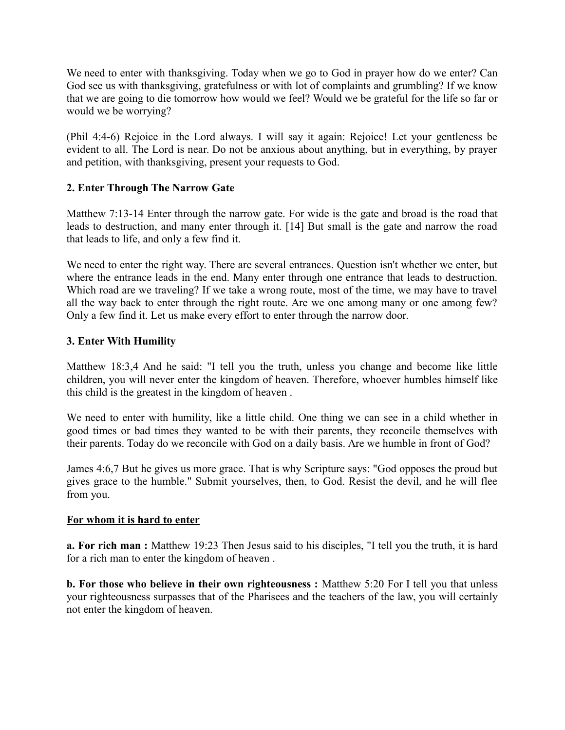We need to enter with thanksgiving. Today when we go to God in prayer how do we enter? Can God see us with thanksgiving, gratefulness or with lot of complaints and grumbling? If we know that we are going to die tomorrow how would we feel? Would we be grateful for the life so far or would we be worrying?

(Phil 4:4-6) Rejoice in the Lord always. I will say it again: Rejoice! Let your gentleness be evident to all. The Lord is near. Do not be anxious about anything, but in everything, by prayer and petition, with thanksgiving, present your requests to God.

### **2. Enter Through The Narrow Gate**

Matthew 7:13-14 Enter through the narrow gate. For wide is the gate and broad is the road that leads to destruction, and many enter through it. [14] But small is the gate and narrow the road that leads to life, and only a few find it.

We need to enter the right way. There are several entrances. Question isn't whether we enter, but where the entrance leads in the end. Many enter through one entrance that leads to destruction. Which road are we traveling? If we take a wrong route, most of the time, we may have to travel all the way back to enter through the right route. Are we one among many or one among few? Only a few find it. Let us make every effort to enter through the narrow door.

### **3. Enter With Humility**

Matthew 18:3,4 And he said: "I tell you the truth, unless you change and become like little children, you will never enter the kingdom of heaven. Therefore, whoever humbles himself like this child is the greatest in the kingdom of heaven .

We need to enter with humility, like a little child. One thing we can see in a child whether in good times or bad times they wanted to be with their parents, they reconcile themselves with their parents. Today do we reconcile with God on a daily basis. Are we humble in front of God?

James 4:6,7 But he gives us more grace. That is why Scripture says: "God opposes the proud but gives grace to the humble." Submit yourselves, then, to God. Resist the devil, and he will flee from you.

### **For whom it is hard to enter**

**a. For rich man :** Matthew 19:23 Then Jesus said to his disciples, "I tell you the truth, it is hard for a rich man to enter the kingdom of heaven .

**b. For those who believe in their own righteousness :** Matthew 5:20 For I tell you that unless your righteousness surpasses that of the Pharisees and the teachers of the law, you will certainly not enter the kingdom of heaven.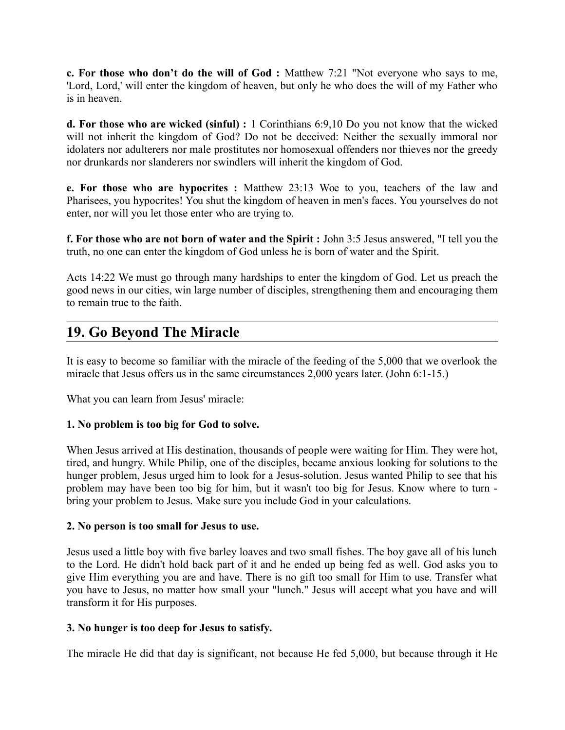**c. For those who don't do the will of God :** Matthew 7:21 "Not everyone who says to me, 'Lord, Lord,' will enter the kingdom of heaven, but only he who does the will of my Father who is in heaven.

**d. For those who are wicked (sinful) :** 1 Corinthians 6:9,10 Do you not know that the wicked will not inherit the kingdom of God? Do not be deceived: Neither the sexually immoral nor idolaters nor adulterers nor male prostitutes nor homosexual offenders nor thieves nor the greedy nor drunkards nor slanderers nor swindlers will inherit the kingdom of God.

**e. For those who are hypocrites :** Matthew 23:13 Woe to you, teachers of the law and Pharisees, you hypocrites! You shut the kingdom of heaven in men's faces. You yourselves do not enter, nor will you let those enter who are trying to.

**f. For those who are not born of water and the Spirit :** John 3:5 Jesus answered, "I tell you the truth, no one can enter the kingdom of God unless he is born of water and the Spirit.

Acts 14:22 We must go through many hardships to enter the kingdom of God. Let us preach the good news in our cities, win large number of disciples, strengthening them and encouraging them to remain true to the faith.

# **19. Go Beyond The Miracle**

It is easy to become so familiar with the miracle of the feeding of the 5,000 that we overlook the miracle that Jesus offers us in the same circumstances 2,000 years later. (John 6:1-15.)

What you can learn from Jesus' miracle:

### **1. No problem is too big for God to solve.**

When Jesus arrived at His destination, thousands of people were waiting for Him. They were hot, tired, and hungry. While Philip, one of the disciples, became anxious looking for solutions to the hunger problem, Jesus urged him to look for a Jesus-solution. Jesus wanted Philip to see that his problem may have been too big for him, but it wasn't too big for Jesus. Know where to turn bring your problem to Jesus. Make sure you include God in your calculations.

### **2. No person is too small for Jesus to use.**

Jesus used a little boy with five barley loaves and two small fishes. The boy gave all of his lunch to the Lord. He didn't hold back part of it and he ended up being fed as well. God asks you to give Him everything you are and have. There is no gift too small for Him to use. Transfer what you have to Jesus, no matter how small your "lunch." Jesus will accept what you have and will transform it for His purposes.

### **3. No hunger is too deep for Jesus to satisfy.**

The miracle He did that day is significant, not because He fed 5,000, but because through it He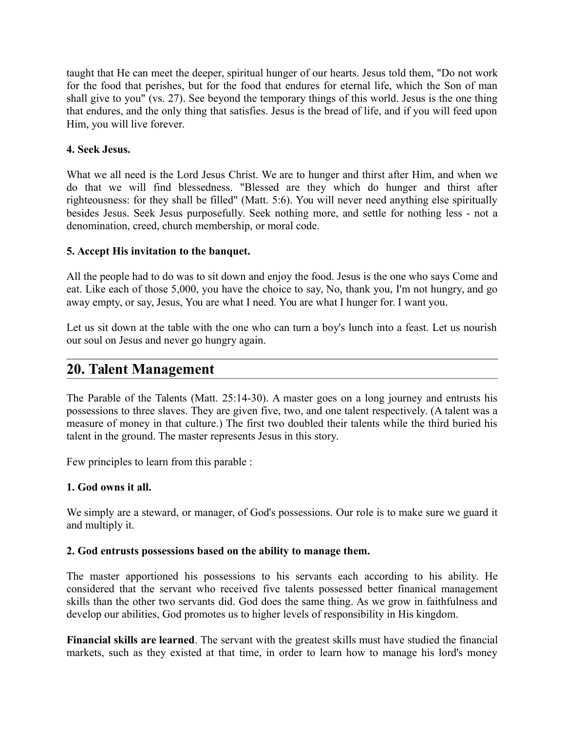taught that He can meet the deeper, spiritual hunger of our hearts. Jesus told them, "Do not work for the food that perishes, but for the food that endures for eternal life, which the Son of man shall give to you" (vs. 27). See beyond the temporary things of this world. Jesus is the one thing that endures, and the only thing that satisfies. Jesus is the bread of life, and if you will feed upon Him, you will live forever.

### **4. Seek Jesus.**

What we all need is the Lord Jesus Christ. We are to hunger and thirst after Him, and when we do that we will find blessedness. "Blessed are they which do hunger and thirst after righteousness: for they shall be filled" (Matt. 5:6). You will never need anything else spiritually besides Jesus. Seek Jesus purposefully. Seek nothing more, and settle for nothing less - not a denomination, creed, church membership, or moral code.

### **5. Accept His invitation to the banquet.**

All the people had to do was to sit down and enjoy the food. Jesus is the one who says Come and eat. Like each of those 5,000, you have the choice to say, No, thank you, I'm not hungry, and go away empty, or say, Jesus, You are what I need. You are what I hunger for. I want you.

Let us sit down at the table with the one who can turn a boy's lunch into a feast. Let us nourish our soul on Jesus and never go hungry again.

## **20. Talent Management**

The Parable of the Talents (Matt. 25:14-30). A master goes on a long journey and entrusts his possessions to three slaves. They are given five, two, and one talent respectively. (A talent was a measure of money in that culture.) The first two doubled their talents while the third buried his talent in the ground. The master represents Jesus in this story.

Few principles to learn from this parable :

### **1. God owns it all.**

We simply are a steward, or manager, of God's possessions. Our role is to make sure we guard it and multiply it.

### **2. God entrusts possessions based on the ability to manage them.**

The master apportioned his possessions to his servants each according to his ability. He considered that the servant who received five talents possessed better finanical management skills than the other two servants did. God does the same thing. As we grow in faithfulness and develop our abilities, God promotes us to higher levels of responsibility in His kingdom.

**Financial skills are learned**. The servant with the greatest skills must have studied the financial markets, such as they existed at that time, in order to learn how to manage his lord's money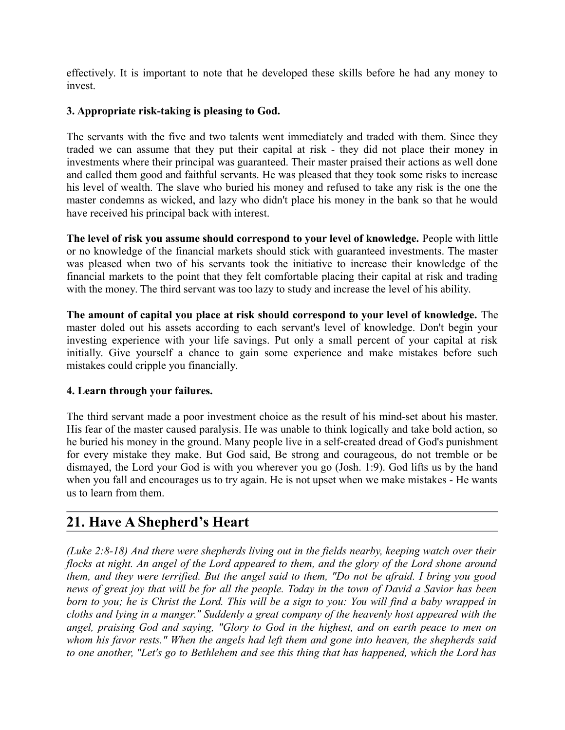effectively. It is important to note that he developed these skills before he had any money to invest.

### **3. Appropriate risk-taking is pleasing to God.**

The servants with the five and two talents went immediately and traded with them. Since they traded we can assume that they put their capital at risk - they did not place their money in investments where their principal was guaranteed. Their master praised their actions as well done and called them good and faithful servants. He was pleased that they took some risks to increase his level of wealth. The slave who buried his money and refused to take any risk is the one the master condemns as wicked, and lazy who didn't place his money in the bank so that he would have received his principal back with interest.

**The level of risk you assume should correspond to your level of knowledge.** People with little or no knowledge of the financial markets should stick with guaranteed investments. The master was pleased when two of his servants took the initiative to increase their knowledge of the financial markets to the point that they felt comfortable placing their capital at risk and trading with the money. The third servant was too lazy to study and increase the level of his ability.

**The amount of capital you place at risk should correspond to your level of knowledge.** The master doled out his assets according to each servant's level of knowledge. Don't begin your investing experience with your life savings. Put only a small percent of your capital at risk initially. Give yourself a chance to gain some experience and make mistakes before such mistakes could cripple you financially.

### **4. Learn through your failures.**

The third servant made a poor investment choice as the result of his mind-set about his master. His fear of the master caused paralysis. He was unable to think logically and take bold action, so he buried his money in the ground. Many people live in a self-created dread of God's punishment for every mistake they make. But God said, Be strong and courageous, do not tremble or be dismayed, the Lord your God is with you wherever you go (Josh. 1:9). God lifts us by the hand when you fall and encourages us to try again. He is not upset when we make mistakes - He wants us to learn from them.

# **21. Have A Shepherd's Heart**

*(Luke 2:8-18) And there were shepherds living out in the fields nearby, keeping watch over their flocks at night. An angel of the Lord appeared to them, and the glory of the Lord shone around them, and they were terrified. But the angel said to them, "Do not be afraid. I bring you good news of great joy that will be for all the people. Today in the town of David a Savior has been born to you; he is Christ the Lord. This will be a sign to you: You will find a baby wrapped in cloths and lying in a manger." Suddenly a great company of the heavenly host appeared with the angel, praising God and saying, "Glory to God in the highest, and on earth peace to men on whom his favor rests." When the angels had left them and gone into heaven, the shepherds said to one another, "Let's go to Bethlehem and see this thing that has happened, which the Lord has*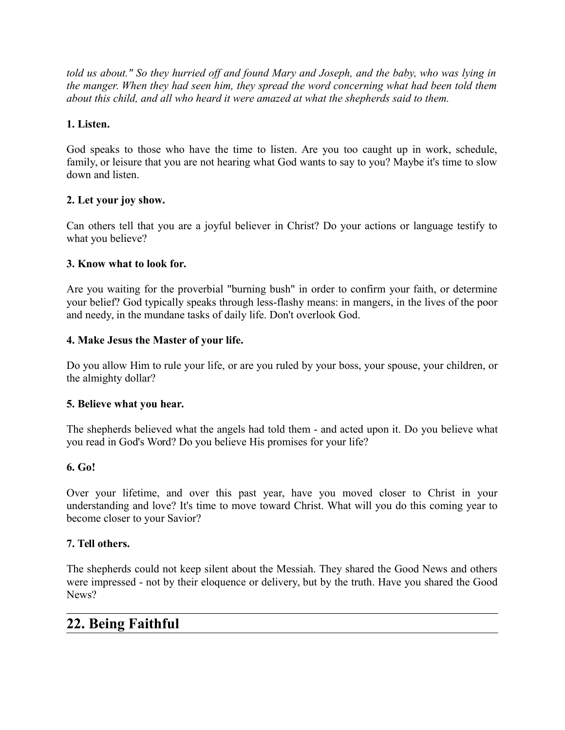*told us about." So they hurried off and found Mary and Joseph, and the baby, who was lying in the manger. When they had seen him, they spread the word concerning what had been told them about this child, and all who heard it were amazed at what the shepherds said to them.*

## **1. Listen.**

God speaks to those who have the time to listen. Are you too caught up in work, schedule, family, or leisure that you are not hearing what God wants to say to you? Maybe it's time to slow down and listen.

## **2. Let your joy show.**

Can others tell that you are a joyful believer in Christ? Do your actions or language testify to what you believe?

### **3. Know what to look for.**

Are you waiting for the proverbial "burning bush" in order to confirm your faith, or determine your belief? God typically speaks through less-flashy means: in mangers, in the lives of the poor and needy, in the mundane tasks of daily life. Don't overlook God.

## **4. Make Jesus the Master of your life.**

Do you allow Him to rule your life, or are you ruled by your boss, your spouse, your children, or the almighty dollar?

### **5. Believe what you hear.**

The shepherds believed what the angels had told them - and acted upon it. Do you believe what you read in God's Word? Do you believe His promises for your life?

### **6. Go!**

Over your lifetime, and over this past year, have you moved closer to Christ in your understanding and love? It's time to move toward Christ. What will you do this coming year to become closer to your Savior?

## **7. Tell others.**

The shepherds could not keep silent about the Messiah. They shared the Good News and others were impressed - not by their eloquence or delivery, but by the truth. Have you shared the Good News?

# **22. Being Faithful**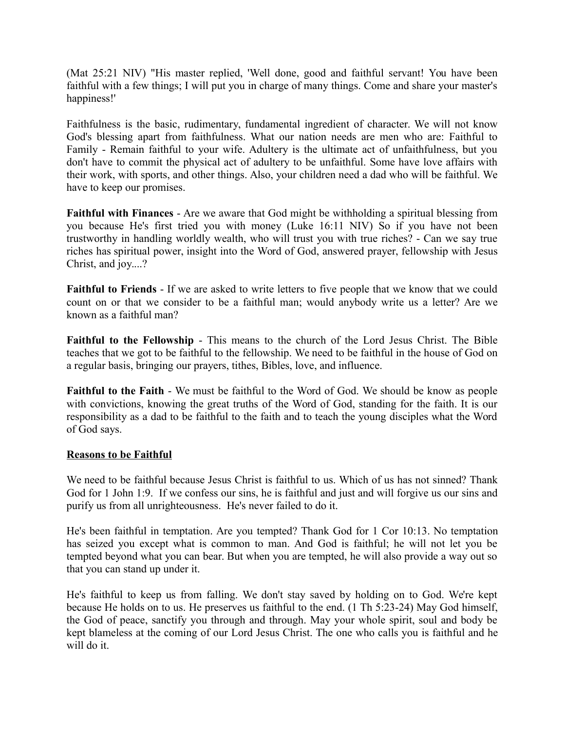(Mat 25:21 NIV) "His master replied, 'Well done, good and faithful servant! You have been faithful with a few things; I will put you in charge of many things. Come and share your master's happiness!'

Faithfulness is the basic, rudimentary, fundamental ingredient of character. We will not know God's blessing apart from faithfulness. What our nation needs are men who are: Faithful to Family - Remain faithful to your wife. Adultery is the ultimate act of unfaithfulness, but you don't have to commit the physical act of adultery to be unfaithful. Some have love affairs with their work, with sports, and other things. Also, your children need a dad who will be faithful. We have to keep our promises.

**Faithful with Finances** - Are we aware that God might be withholding a spiritual blessing from you because He's first tried you with money (Luke 16:11 NIV) So if you have not been trustworthy in handling worldly wealth, who will trust you with true riches? - Can we say true riches has spiritual power, insight into the Word of God, answered prayer, fellowship with Jesus Christ, and joy....?

**Faithful to Friends** - If we are asked to write letters to five people that we know that we could count on or that we consider to be a faithful man; would anybody write us a letter? Are we known as a faithful man?

**Faithful to the Fellowship** - This means to the church of the Lord Jesus Christ. The Bible teaches that we got to be faithful to the fellowship. We need to be faithful in the house of God on a regular basis, bringing our prayers, tithes, Bibles, love, and influence.

**Faithful to the Faith** - We must be faithful to the Word of God. We should be know as people with convictions, knowing the great truths of the Word of God, standing for the faith. It is our responsibility as a dad to be faithful to the faith and to teach the young disciples what the Word of God says.

### **Reasons to be Faithful**

We need to be faithful because Jesus Christ is faithful to us. Which of us has not sinned? Thank God for 1 John 1:9. If we confess our sins, he is faithful and just and will forgive us our sins and purify us from all unrighteousness. He's never failed to do it.

He's been faithful in temptation. Are you tempted? Thank God for 1 Cor 10:13. No temptation has seized you except what is common to man. And God is faithful; he will not let you be tempted beyond what you can bear. But when you are tempted, he will also provide a way out so that you can stand up under it.

He's faithful to keep us from falling. We don't stay saved by holding on to God. We're kept because He holds on to us. He preserves us faithful to the end. (1 Th 5:23-24) May God himself, the God of peace, sanctify you through and through. May your whole spirit, soul and body be kept blameless at the coming of our Lord Jesus Christ. The one who calls you is faithful and he will do it.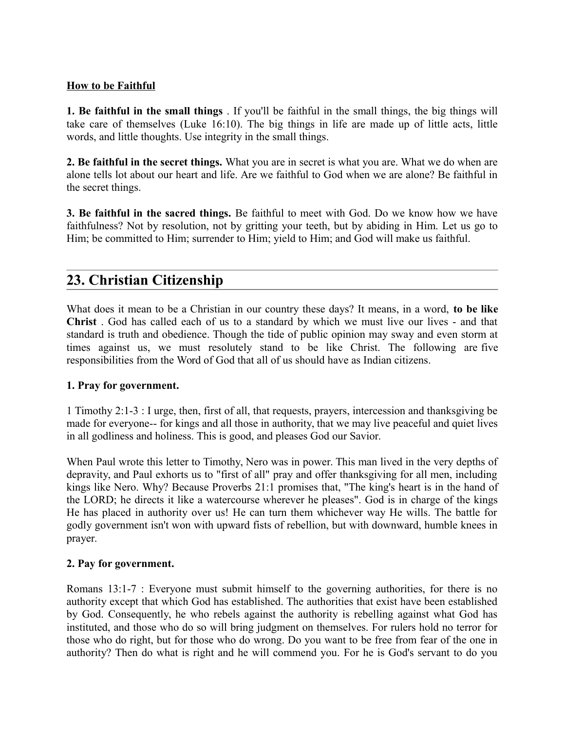### **How to be Faithful**

**1. Be faithful in the small things** . If you'll be faithful in the small things, the big things will take care of themselves (Luke 16:10). The big things in life are made up of little acts, little words, and little thoughts. Use integrity in the small things.

**2. Be faithful in the secret things.** What you are in secret is what you are. What we do when are alone tells lot about our heart and life. Are we faithful to God when we are alone? Be faithful in the secret things.

**3. Be faithful in the sacred things.** Be faithful to meet with God. Do we know how we have faithfulness? Not by resolution, not by gritting your teeth, but by abiding in Him. Let us go to Him; be committed to Him; surrender to Him; yield to Him; and God will make us faithful.

# **23. Christian Citizenship**

What does it mean to be a Christian in our country these days? It means, in a word, **to be like Christ** . God has called each of us to a standard by which we must live our lives - and that standard is truth and obedience. Though the tide of public opinion may sway and even storm at times against us, we must resolutely stand to be like Christ. The following are five responsibilities from the Word of God that all of us should have as Indian citizens.

### **1. Pray for government.**

1 Timothy 2:1-3 : I urge, then, first of all, that requests, prayers, intercession and thanksgiving be made for everyone-- for kings and all those in authority, that we may live peaceful and quiet lives in all godliness and holiness. This is good, and pleases God our Savior.

When Paul wrote this letter to Timothy, Nero was in power. This man lived in the very depths of depravity, and Paul exhorts us to "first of all" pray and offer thanksgiving for all men, including kings like Nero. Why? Because Proverbs 21:1 promises that, "The king's heart is in the hand of the LORD; he directs it like a watercourse wherever he pleases". God is in charge of the kings He has placed in authority over us! He can turn them whichever way He wills. The battle for godly government isn't won with upward fists of rebellion, but with downward, humble knees in prayer.

### **2. Pay for government.**

Romans 13:1-7 : Everyone must submit himself to the governing authorities, for there is no authority except that which God has established. The authorities that exist have been established by God. Consequently, he who rebels against the authority is rebelling against what God has instituted, and those who do so will bring judgment on themselves. For rulers hold no terror for those who do right, but for those who do wrong. Do you want to be free from fear of the one in authority? Then do what is right and he will commend you. For he is God's servant to do you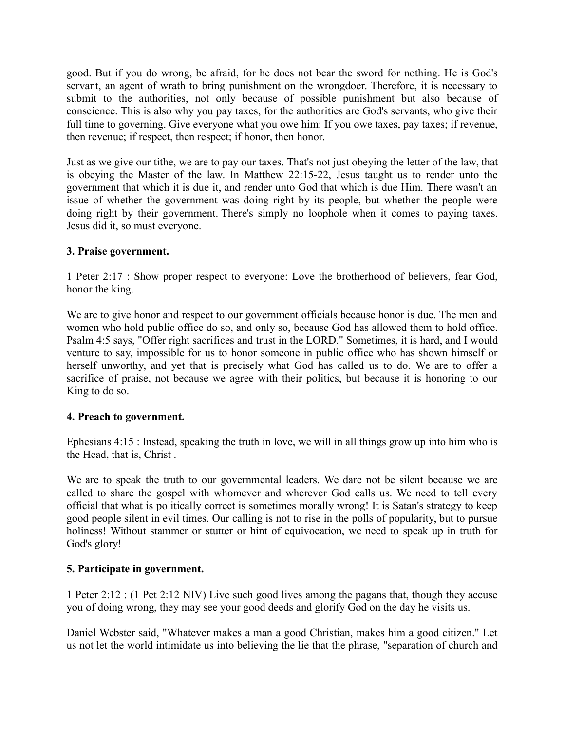good. But if you do wrong, be afraid, for he does not bear the sword for nothing. He is God's servant, an agent of wrath to bring punishment on the wrongdoer. Therefore, it is necessary to submit to the authorities, not only because of possible punishment but also because of conscience. This is also why you pay taxes, for the authorities are God's servants, who give their full time to governing. Give everyone what you owe him: If you owe taxes, pay taxes; if revenue, then revenue; if respect, then respect; if honor, then honor.

Just as we give our tithe, we are to pay our taxes. That's not just obeying the letter of the law, that is obeying the Master of the law. In Matthew 22:15-22, Jesus taught us to render unto the government that which it is due it, and render unto God that which is due Him. There wasn't an issue of whether the government was doing right by its people, but whether the people were doing right by their government. There's simply no loophole when it comes to paying taxes. Jesus did it, so must everyone.

#### **3. Praise government.**

1 Peter 2:17 : Show proper respect to everyone: Love the brotherhood of believers, fear God, honor the king.

We are to give honor and respect to our government officials because honor is due. The men and women who hold public office do so, and only so, because God has allowed them to hold office. Psalm 4:5 says, "Offer right sacrifices and trust in the LORD." Sometimes, it is hard, and I would venture to say, impossible for us to honor someone in public office who has shown himself or herself unworthy, and yet that is precisely what God has called us to do. We are to offer a sacrifice of praise, not because we agree with their politics, but because it is honoring to our King to do so.

#### **4. Preach to government.**

Ephesians 4:15 : Instead, speaking the truth in love, we will in all things grow up into him who is the Head, that is, Christ .

We are to speak the truth to our governmental leaders. We dare not be silent because we are called to share the gospel with whomever and wherever God calls us. We need to tell every official that what is politically correct is sometimes morally wrong! It is Satan's strategy to keep good people silent in evil times. Our calling is not to rise in the polls of popularity, but to pursue holiness! Without stammer or stutter or hint of equivocation, we need to speak up in truth for God's glory!

#### **5. Participate in government.**

1 Peter 2:12 : (1 Pet 2:12 NIV) Live such good lives among the pagans that, though they accuse you of doing wrong, they may see your good deeds and glorify God on the day he visits us.

Daniel Webster said, "Whatever makes a man a good Christian, makes him a good citizen." Let us not let the world intimidate us into believing the lie that the phrase, "separation of church and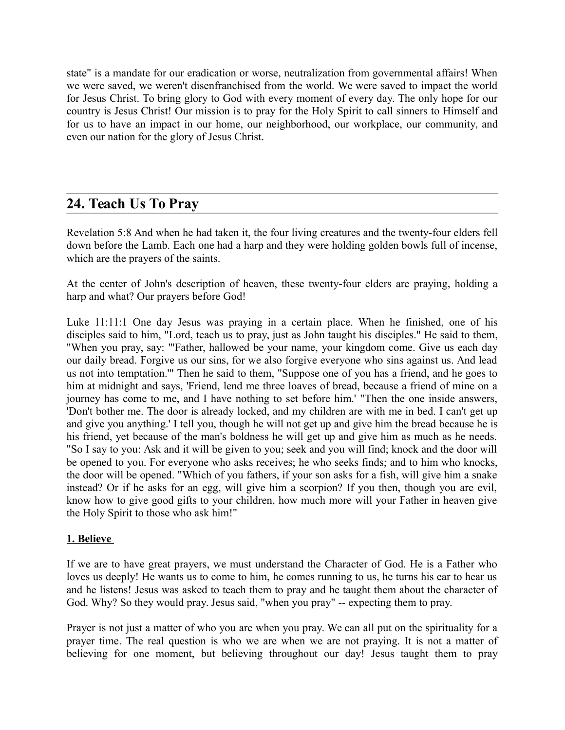state" is a mandate for our eradication or worse, neutralization from governmental affairs! When we were saved, we weren't disenfranchised from the world. We were saved to impact the world for Jesus Christ. To bring glory to God with every moment of every day. The only hope for our country is Jesus Christ! Our mission is to pray for the Holy Spirit to call sinners to Himself and for us to have an impact in our home, our neighborhood, our workplace, our community, and even our nation for the glory of Jesus Christ.

# **24. Teach Us To Pray**

Revelation 5:8 And when he had taken it, the four living creatures and the twenty-four elders fell down before the Lamb. Each one had a harp and they were holding golden bowls full of incense, which are the prayers of the saints.

At the center of John's description of heaven, these twenty-four elders are praying, holding a harp and what? Our prayers before God!

Luke 11:11:1 One day Jesus was praying in a certain place. When he finished, one of his disciples said to him, "Lord, teach us to pray, just as John taught his disciples." He said to them, "When you pray, say: "'Father, hallowed be your name, your kingdom come. Give us each day our daily bread. Forgive us our sins, for we also forgive everyone who sins against us. And lead us not into temptation.'" Then he said to them, "Suppose one of you has a friend, and he goes to him at midnight and says, 'Friend, lend me three loaves of bread, because a friend of mine on a journey has come to me, and I have nothing to set before him.' "Then the one inside answers, 'Don't bother me. The door is already locked, and my children are with me in bed. I can't get up and give you anything.' I tell you, though he will not get up and give him the bread because he is his friend, yet because of the man's boldness he will get up and give him as much as he needs. "So I say to you: Ask and it will be given to you; seek and you will find; knock and the door will be opened to you. For everyone who asks receives; he who seeks finds; and to him who knocks, the door will be opened. "Which of you fathers, if your son asks for a fish, will give him a snake instead? Or if he asks for an egg, will give him a scorpion? If you then, though you are evil, know how to give good gifts to your children, how much more will your Father in heaven give the Holy Spirit to those who ask him!"

#### **1. Believe**

If we are to have great prayers, we must understand the Character of God. He is a Father who loves us deeply! He wants us to come to him, he comes running to us, he turns his ear to hear us and he listens! Jesus was asked to teach them to pray and he taught them about the character of God. Why? So they would pray. Jesus said, "when you pray" -- expecting them to pray.

Prayer is not just a matter of who you are when you pray. We can all put on the spirituality for a prayer time. The real question is who we are when we are not praying. It is not a matter of believing for one moment, but believing throughout our day! Jesus taught them to pray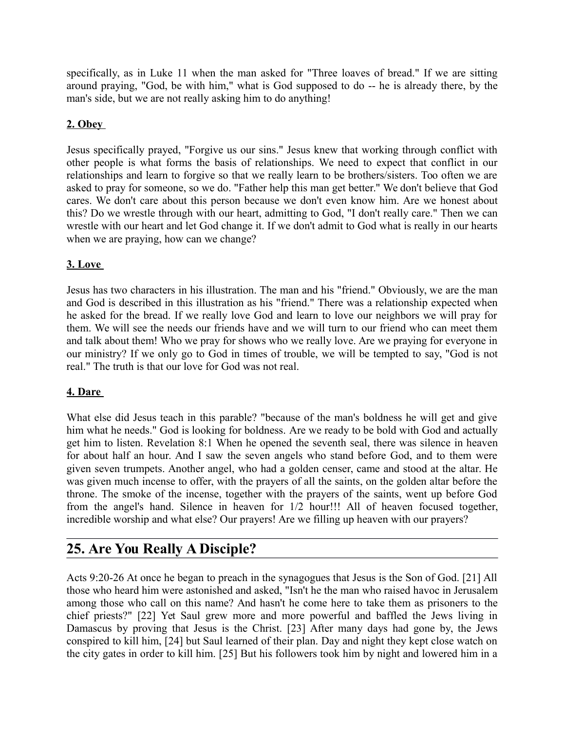specifically, as in Luke 11 when the man asked for "Three loaves of bread." If we are sitting around praying, "God, be with him," what is God supposed to do -- he is already there, by the man's side, but we are not really asking him to do anything!

## **2. Obey**

Jesus specifically prayed, "Forgive us our sins." Jesus knew that working through conflict with other people is what forms the basis of relationships. We need to expect that conflict in our relationships and learn to forgive so that we really learn to be brothers/sisters. Too often we are asked to pray for someone, so we do. "Father help this man get better." We don't believe that God cares. We don't care about this person because we don't even know him. Are we honest about this? Do we wrestle through with our heart, admitting to God, "I don't really care." Then we can wrestle with our heart and let God change it. If we don't admit to God what is really in our hearts when we are praying, how can we change?

### **3. Love**

Jesus has two characters in his illustration. The man and his "friend." Obviously, we are the man and God is described in this illustration as his "friend." There was a relationship expected when he asked for the bread. If we really love God and learn to love our neighbors we will pray for them. We will see the needs our friends have and we will turn to our friend who can meet them and talk about them! Who we pray for shows who we really love. Are we praying for everyone in our ministry? If we only go to God in times of trouble, we will be tempted to say, "God is not real." The truth is that our love for God was not real.

#### **4. Dare**

What else did Jesus teach in this parable? "because of the man's boldness he will get and give him what he needs." God is looking for boldness. Are we ready to be bold with God and actually get him to listen. Revelation 8:1 When he opened the seventh seal, there was silence in heaven for about half an hour. And I saw the seven angels who stand before God, and to them were given seven trumpets. Another angel, who had a golden censer, came and stood at the altar. He was given much incense to offer, with the prayers of all the saints, on the golden altar before the throne. The smoke of the incense, together with the prayers of the saints, went up before God from the angel's hand. Silence in heaven for 1/2 hour!!! All of heaven focused together, incredible worship and what else? Our prayers! Are we filling up heaven with our prayers?

# **25. Are You Really A Disciple?**

Acts 9:20-26 At once he began to preach in the synagogues that Jesus is the Son of God. [21] All those who heard him were astonished and asked, "Isn't he the man who raised havoc in Jerusalem among those who call on this name? And hasn't he come here to take them as prisoners to the chief priests?" [22] Yet Saul grew more and more powerful and baffled the Jews living in Damascus by proving that Jesus is the Christ. [23] After many days had gone by, the Jews conspired to kill him, [24] but Saul learned of their plan. Day and night they kept close watch on the city gates in order to kill him. [25] But his followers took him by night and lowered him in a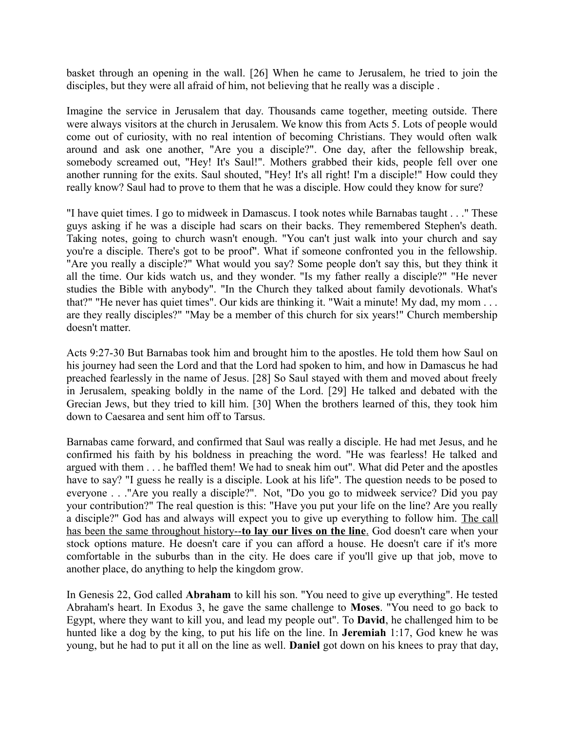basket through an opening in the wall. [26] When he came to Jerusalem, he tried to join the disciples, but they were all afraid of him, not believing that he really was a disciple .

Imagine the service in Jerusalem that day. Thousands came together, meeting outside. There were always visitors at the church in Jerusalem. We know this from Acts 5. Lots of people would come out of curiosity, with no real intention of becoming Christians. They would often walk around and ask one another, "Are you a disciple?". One day, after the fellowship break, somebody screamed out, "Hey! It's Saul!". Mothers grabbed their kids, people fell over one another running for the exits. Saul shouted, "Hey! It's all right! I'm a disciple!" How could they really know? Saul had to prove to them that he was a disciple. How could they know for sure?

"I have quiet times. I go to midweek in Damascus. I took notes while Barnabas taught . . ." These guys asking if he was a disciple had scars on their backs. They remembered Stephen's death. Taking notes, going to church wasn't enough. "You can't just walk into your church and say you're a disciple. There's got to be proof". What if someone confronted you in the fellowship. "Are you really a disciple?" What would you say? Some people don't say this, but they think it all the time. Our kids watch us, and they wonder. "Is my father really a disciple?" "He never studies the Bible with anybody". "In the Church they talked about family devotionals. What's that?" "He never has quiet times". Our kids are thinking it. "Wait a minute! My dad, my mom . . . are they really disciples?" "May be a member of this church for six years!" Church membership doesn't matter.

Acts 9:27-30 But Barnabas took him and brought him to the apostles. He told them how Saul on his journey had seen the Lord and that the Lord had spoken to him, and how in Damascus he had preached fearlessly in the name of Jesus. [28] So Saul stayed with them and moved about freely in Jerusalem, speaking boldly in the name of the Lord. [29] He talked and debated with the Grecian Jews, but they tried to kill him. [30] When the brothers learned of this, they took him down to Caesarea and sent him off to Tarsus.

Barnabas came forward, and confirmed that Saul was really a disciple. He had met Jesus, and he confirmed his faith by his boldness in preaching the word. "He was fearless! He talked and argued with them . . . he baffled them! We had to sneak him out". What did Peter and the apostles have to say? "I guess he really is a disciple. Look at his life". The question needs to be posed to everyone . . ."Are you really a disciple?". Not, "Do you go to midweek service? Did you pay your contribution?" The real question is this: "Have you put your life on the line? Are you really a disciple?" God has and always will expect you to give up everything to follow him. The call has been the same throughout history--to lay our lives on the line. God doesn't care when your stock options mature. He doesn't care if you can afford a house. He doesn't care if it's more comfortable in the suburbs than in the city. He does care if you'll give up that job, move to another place, do anything to help the kingdom grow.

In Genesis 22, God called **Abraham** to kill his son. "You need to give up everything". He tested Abraham's heart. In Exodus 3, he gave the same challenge to **Moses**. "You need to go back to Egypt, where they want to kill you, and lead my people out". To **David**, he challenged him to be hunted like a dog by the king, to put his life on the line. In **Jeremiah** 1:17, God knew he was young, but he had to put it all on the line as well. **Daniel** got down on his knees to pray that day,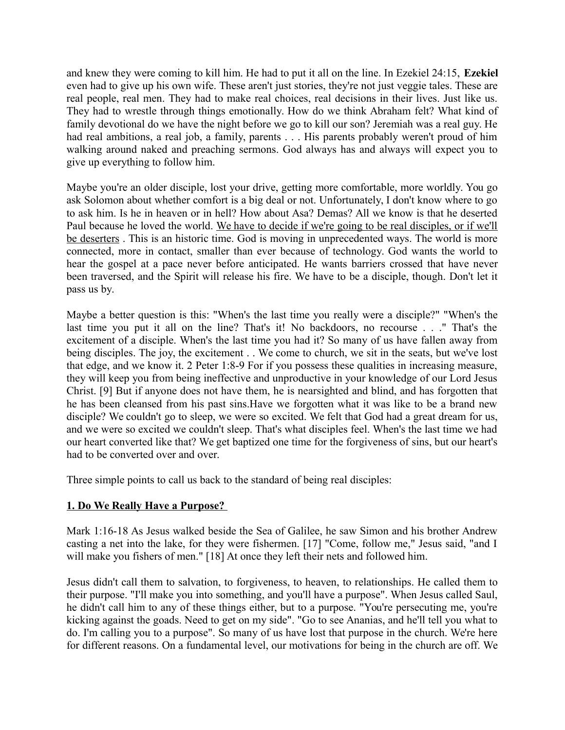and knew they were coming to kill him. He had to put it all on the line. In Ezekiel 24:15, **Ezekiel** even had to give up his own wife. These aren't just stories, they're not just veggie tales. These are real people, real men. They had to make real choices, real decisions in their lives. Just like us. They had to wrestle through things emotionally. How do we think Abraham felt? What kind of family devotional do we have the night before we go to kill our son? Jeremiah was a real guy. He had real ambitions, a real job, a family, parents . . . His parents probably weren't proud of him walking around naked and preaching sermons. God always has and always will expect you to give up everything to follow him.

Maybe you're an older disciple, lost your drive, getting more comfortable, more worldly. You go ask Solomon about whether comfort is a big deal or not. Unfortunately, I don't know where to go to ask him. Is he in heaven or in hell? How about Asa? Demas? All we know is that he deserted Paul because he loved the world. We have to decide if we're going to be real disciples, or if we'll be deserters. This is an historic time. God is moving in unprecedented ways. The world is more connected, more in contact, smaller than ever because of technology. God wants the world to hear the gospel at a pace never before anticipated. He wants barriers crossed that have never been traversed, and the Spirit will release his fire. We have to be a disciple, though. Don't let it pass us by.

Maybe a better question is this: "When's the last time you really were a disciple?" "When's the last time you put it all on the line? That's it! No backdoors, no recourse . . ." That's the excitement of a disciple. When's the last time you had it? So many of us have fallen away from being disciples. The joy, the excitement . . We come to church, we sit in the seats, but we've lost that edge, and we know it. 2 Peter 1:8-9 For if you possess these qualities in increasing measure, they will keep you from being ineffective and unproductive in your knowledge of our Lord Jesus Christ. [9] But if anyone does not have them, he is nearsighted and blind, and has forgotten that he has been cleansed from his past sins.Have we forgotten what it was like to be a brand new disciple? We couldn't go to sleep, we were so excited. We felt that God had a great dream for us, and we were so excited we couldn't sleep. That's what disciples feel. When's the last time we had our heart converted like that? We get baptized one time for the forgiveness of sins, but our heart's had to be converted over and over.

Three simple points to call us back to the standard of being real disciples:

#### **1. Do We Really Have a Purpose?**

Mark 1:16-18 As Jesus walked beside the Sea of Galilee, he saw Simon and his brother Andrew casting a net into the lake, for they were fishermen. [17] "Come, follow me," Jesus said, "and I will make you fishers of men." [18] At once they left their nets and followed him.

Jesus didn't call them to salvation, to forgiveness, to heaven, to relationships. He called them to their purpose. "I'll make you into something, and you'll have a purpose". When Jesus called Saul, he didn't call him to any of these things either, but to a purpose. "You're persecuting me, you're kicking against the goads. Need to get on my side". "Go to see Ananias, and he'll tell you what to do. I'm calling you to a purpose". So many of us have lost that purpose in the church. We're here for different reasons. On a fundamental level, our motivations for being in the church are off. We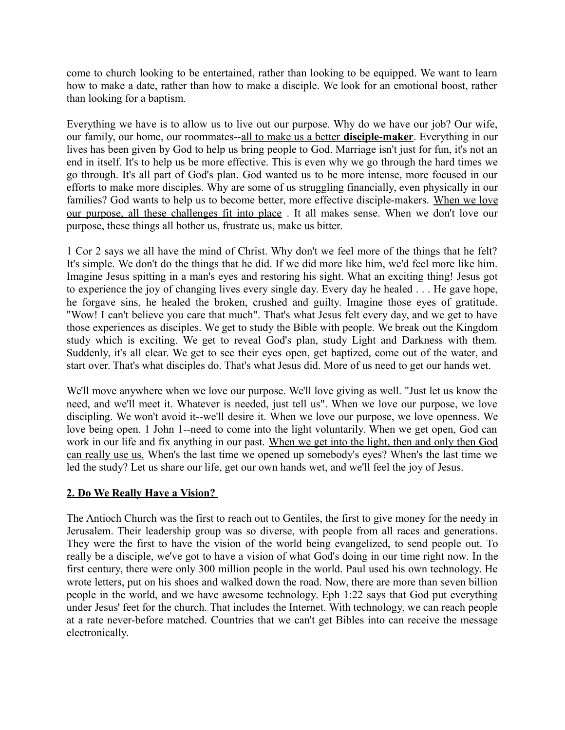come to church looking to be entertained, rather than looking to be equipped. We want to learn how to make a date, rather than how to make a disciple. We look for an emotional boost, rather than looking for a baptism.

Everything we have is to allow us to live out our purpose. Why do we have our job? Our wife, our family, our home, our roommates-- all to make us a better **disciple-maker**. Everything in our lives has been given by God to help us bring people to God. Marriage isn't just for fun, it's not an end in itself. It's to help us be more effective. This is even why we go through the hard times we go through. It's all part of God's plan. God wanted us to be more intense, more focused in our efforts to make more disciples. Why are some of us struggling financially, even physically in our families? God wants to help us to become better, more effective disciple-makers. When we love our purpose, all these challenges fit into place . It all makes sense. When we don't love our purpose, these things all bother us, frustrate us, make us bitter.

1 Cor 2 says we all have the mind of Christ. Why don't we feel more of the things that he felt? It's simple. We don't do the things that he did. If we did more like him, we'd feel more like him. Imagine Jesus spitting in a man's eyes and restoring his sight. What an exciting thing! Jesus got to experience the joy of changing lives every single day. Every day he healed . . . He gave hope, he forgave sins, he healed the broken, crushed and guilty. Imagine those eyes of gratitude. "Wow! I can't believe you care that much". That's what Jesus felt every day, and we get to have those experiences as disciples. We get to study the Bible with people. We break out the Kingdom study which is exciting. We get to reveal God's plan, study Light and Darkness with them. Suddenly, it's all clear. We get to see their eyes open, get baptized, come out of the water, and start over. That's what disciples do. That's what Jesus did. More of us need to get our hands wet.

We'll move anywhere when we love our purpose. We'll love giving as well. "Just let us know the need, and we'll meet it. Whatever is needed, just tell us". When we love our purpose, we love discipling. We won't avoid it--we'll desire it. When we love our purpose, we love openness. We love being open. 1 John 1--need to come into the light voluntarily. When we get open, God can work in our life and fix anything in our past. When we get into the light, then and only then God can really use us. When's the last time we opened up somebody's eyes? When's the last time we led the study? Let us share our life, get our own hands wet, and we'll feel the joy of Jesus.

#### **2. Do We Really Have a Vision?**

The Antioch Church was the first to reach out to Gentiles, the first to give money for the needy in Jerusalem. Their leadership group was so diverse, with people from all races and generations. They were the first to have the vision of the world being evangelized, to send people out. To really be a disciple, we've got to have a vision of what God's doing in our time right now. In the first century, there were only 300 million people in the world. Paul used his own technology. He wrote letters, put on his shoes and walked down the road. Now, there are more than seven billion people in the world, and we have awesome technology. Eph 1:22 says that God put everything under Jesus' feet for the church. That includes the Internet. With technology, we can reach people at a rate never-before matched. Countries that we can't get Bibles into can receive the message electronically.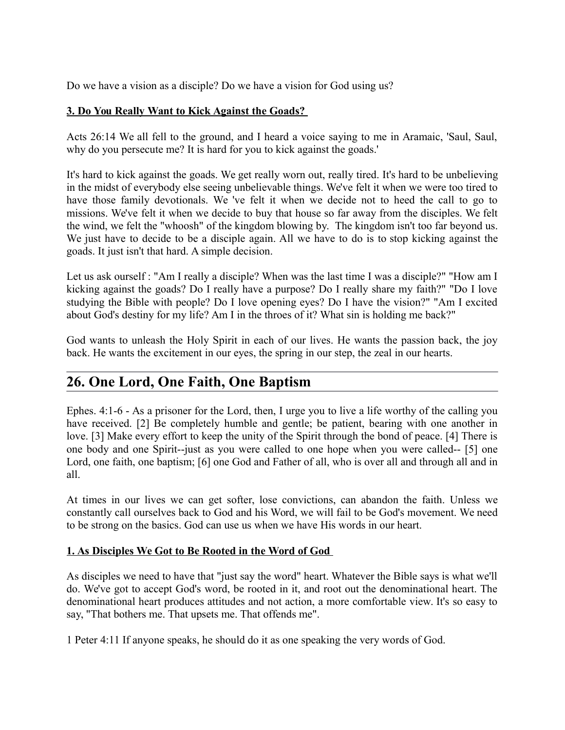Do we have a vision as a disciple? Do we have a vision for God using us?

#### **3. Do You Really Want to Kick Against the Goads?**

Acts 26:14 We all fell to the ground, and I heard a voice saying to me in Aramaic, 'Saul, Saul, why do you persecute me? It is hard for you to kick against the goads.'

It's hard to kick against the goads. We get really worn out, really tired. It's hard to be unbelieving in the midst of everybody else seeing unbelievable things. We've felt it when we were too tired to have those family devotionals. We 've felt it when we decide not to heed the call to go to missions. We've felt it when we decide to buy that house so far away from the disciples. We felt the wind, we felt the "whoosh" of the kingdom blowing by. The kingdom isn't too far beyond us. We just have to decide to be a disciple again. All we have to do is to stop kicking against the goads. It just isn't that hard. A simple decision.

Let us ask ourself : "Am I really a disciple? When was the last time I was a disciple?" "How am I kicking against the goads? Do I really have a purpose? Do I really share my faith?" "Do I love studying the Bible with people? Do I love opening eyes? Do I have the vision?" "Am I excited about God's destiny for my life? Am I in the throes of it? What sin is holding me back?"

God wants to unleash the Holy Spirit in each of our lives. He wants the passion back, the joy back. He wants the excitement in our eyes, the spring in our step, the zeal in our hearts.

# **26. One Lord, One Faith, One Baptism**

Ephes. 4:1-6 - As a prisoner for the Lord, then, I urge you to live a life worthy of the calling you have received. [2] Be completely humble and gentle; be patient, bearing with one another in love. [3] Make every effort to keep the unity of the Spirit through the bond of peace. [4] There is one body and one Spirit--just as you were called to one hope when you were called-- [5] one Lord, one faith, one baptism; [6] one God and Father of all, who is over all and through all and in all.

At times in our lives we can get softer, lose convictions, can abandon the faith. Unless we constantly call ourselves back to God and his Word, we will fail to be God's movement. We need to be strong on the basics. God can use us when we have His words in our heart.

#### **1. As Disciples We Got to Be Rooted in the Word of God**

As disciples we need to have that "just say the word" heart. Whatever the Bible says is what we'll do. We've got to accept God's word, be rooted in it, and root out the denominational heart. The denominational heart produces attitudes and not action, a more comfortable view. It's so easy to say, "That bothers me. That upsets me. That offends me".

1 Peter 4:11 If anyone speaks, he should do it as one speaking the very words of God.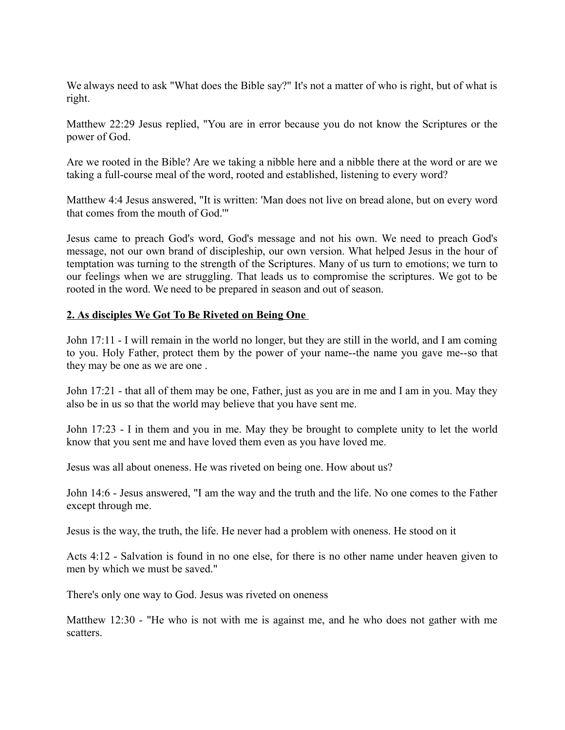We always need to ask "What does the Bible say?" It's not a matter of who is right, but of what is right.

Matthew 22:29 Jesus replied, "You are in error because you do not know the Scriptures or the power of God.

Are we rooted in the Bible? Are we taking a nibble here and a nibble there at the word or are we taking a full-course meal of the word, rooted and established, listening to every word?

Matthew 4:4 Jesus answered, "It is written: 'Man does not live on bread alone, but on every word that comes from the mouth of God.'"

Jesus came to preach God's word, God's message and not his own. We need to preach God's message, not our own brand of discipleship, our own version. What helped Jesus in the hour of temptation was turning to the strength of the Scriptures. Many of us turn to emotions; we turn to our feelings when we are struggling. That leads us to compromise the scriptures. We got to be rooted in the word. We need to be prepared in season and out of season.

#### **2. As disciples We Got To Be Riveted on Being One**

John 17:11 - I will remain in the world no longer, but they are still in the world, and I am coming to you. Holy Father, protect them by the power of your name--the name you gave me--so that they may be one as we are one .

John 17:21 - that all of them may be one, Father, just as you are in me and I am in you. May they also be in us so that the world may believe that you have sent me.

John 17:23 - I in them and you in me. May they be brought to complete unity to let the world know that you sent me and have loved them even as you have loved me.

Jesus was all about oneness. He was riveted on being one. How about us?

John 14:6 - Jesus answered, "I am the way and the truth and the life. No one comes to the Father except through me.

Jesus is the way, the truth, the life. He never had a problem with oneness. He stood on it

Acts 4:12 - Salvation is found in no one else, for there is no other name under heaven given to men by which we must be saved."

There's only one way to God. Jesus was riveted on oneness

Matthew 12:30 - "He who is not with me is against me, and he who does not gather with me scatters.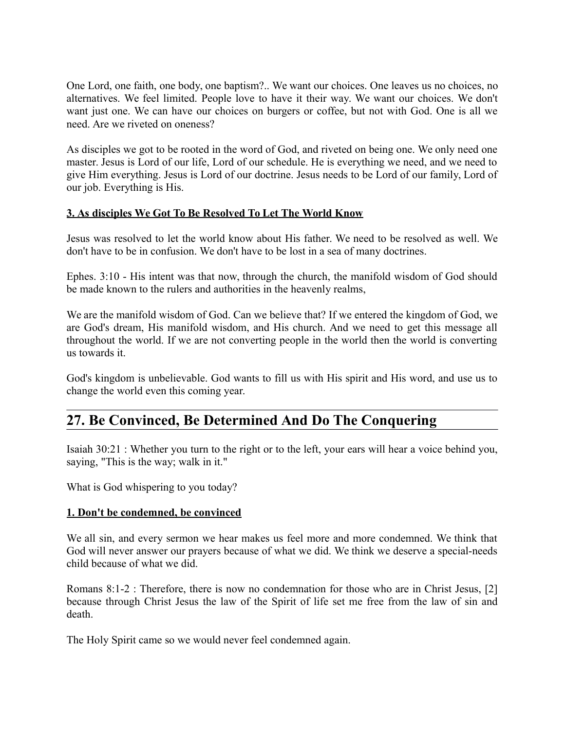One Lord, one faith, one body, one baptism?.. We want our choices. One leaves us no choices, no alternatives. We feel limited. People love to have it their way. We want our choices. We don't want just one. We can have our choices on burgers or coffee, but not with God. One is all we need. Are we riveted on oneness?

As disciples we got to be rooted in the word of God, and riveted on being one. We only need one master. Jesus is Lord of our life, Lord of our schedule. He is everything we need, and we need to give Him everything. Jesus is Lord of our doctrine. Jesus needs to be Lord of our family, Lord of our job. Everything is His.

#### **3. As disciples We Got To Be Resolved To Let The World Know**

Jesus was resolved to let the world know about His father. We need to be resolved as well. We don't have to be in confusion. We don't have to be lost in a sea of many doctrines.

Ephes. 3:10 - His intent was that now, through the church, the manifold wisdom of God should be made known to the rulers and authorities in the heavenly realms,

We are the manifold wisdom of God. Can we believe that? If we entered the kingdom of God, we are God's dream, His manifold wisdom, and His church. And we need to get this message all throughout the world. If we are not converting people in the world then the world is converting us towards it.

God's kingdom is unbelievable. God wants to fill us with His spirit and His word, and use us to change the world even this coming year.

## **27. Be Convinced, Be Determined And Do The Conquering**

Isaiah 30:21 : Whether you turn to the right or to the left, your ears will hear a voice behind you, saying, "This is the way; walk in it."

What is God whispering to you today?

#### **1. Don't be condemned, be convinced**

We all sin, and every sermon we hear makes us feel more and more condemned. We think that God will never answer our prayers because of what we did. We think we deserve a special-needs child because of what we did.

Romans 8:1-2 : Therefore, there is now no condemnation for those who are in Christ Jesus, [2] because through Christ Jesus the law of the Spirit of life set me free from the law of sin and death.

The Holy Spirit came so we would never feel condemned again.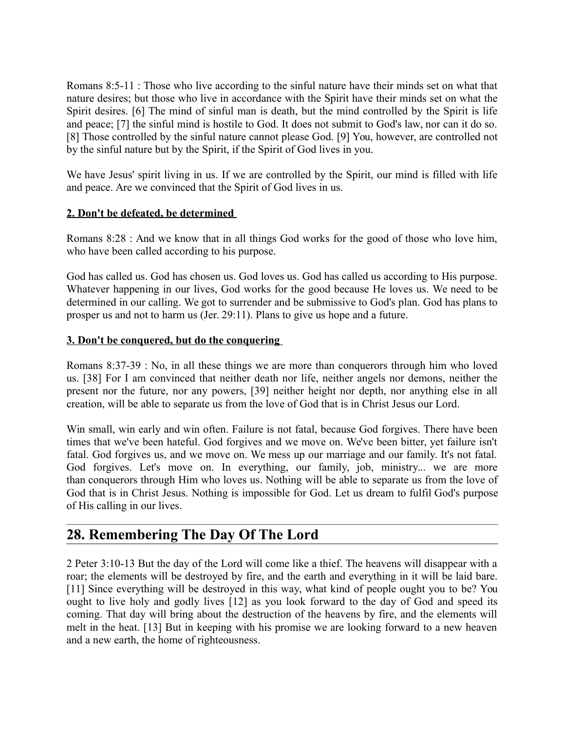Romans 8:5-11 : Those who live according to the sinful nature have their minds set on what that nature desires; but those who live in accordance with the Spirit have their minds set on what the Spirit desires. [6] The mind of sinful man is death, but the mind controlled by the Spirit is life and peace; [7] the sinful mind is hostile to God. It does not submit to God's law, nor can it do so. [8] Those controlled by the sinful nature cannot please God. [9] You, however, are controlled not by the sinful nature but by the Spirit, if the Spirit of God lives in you.

We have Jesus' spirit living in us. If we are controlled by the Spirit, our mind is filled with life and peace. Are we convinced that the Spirit of God lives in us.

#### **2. Don't be defeated, be determined**

Romans 8:28 : And we know that in all things God works for the good of those who love him, who have been called according to his purpose.

God has called us. God has chosen us. God loves us. God has called us according to His purpose. Whatever happening in our lives, God works for the good because He loves us. We need to be determined in our calling. We got to surrender and be submissive to God's plan. God has plans to prosper us and not to harm us (Jer. 29:11). Plans to give us hope and a future.

#### **3. Don't be conquered, but do the conquering**

Romans 8:37-39 : No, in all these things we are more than conquerors through him who loved us. [38] For I am convinced that neither death nor life, neither angels nor demons, neither the present nor the future, nor any powers, [39] neither height nor depth, nor anything else in all creation, will be able to separate us from the love of God that is in Christ Jesus our Lord.

Win small, win early and win often. Failure is not fatal, because God forgives. There have been times that we've been hateful. God forgives and we move on. We've been bitter, yet failure isn't fatal. God forgives us, and we move on. We mess up our marriage and our family. It's not fatal. God forgives. Let's move on. In everything, our family, job, ministry... we are more than conquerors through Him who loves us. Nothing will be able to separate us from the love of God that is in Christ Jesus. Nothing is impossible for God. Let us dream to fulfil God's purpose of His calling in our lives.

# **28. Remembering The Day Of The Lord**

2 Peter 3:10-13 But the day of the Lord will come like a thief. The heavens will disappear with a roar; the elements will be destroyed by fire, and the earth and everything in it will be laid bare. [11] Since everything will be destroyed in this way, what kind of people ought you to be? You ought to live holy and godly lives [12] as you look forward to the day of God and speed its coming. That day will bring about the destruction of the heavens by fire, and the elements will melt in the heat. [13] But in keeping with his promise we are looking forward to a new heaven and a new earth, the home of righteousness.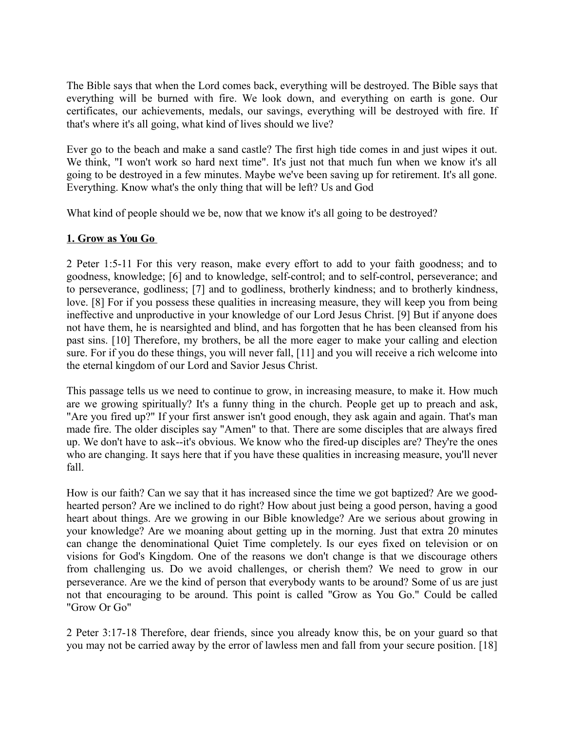The Bible says that when the Lord comes back, everything will be destroyed. The Bible says that everything will be burned with fire. We look down, and everything on earth is gone. Our certificates, our achievements, medals, our savings, everything will be destroyed with fire. If that's where it's all going, what kind of lives should we live?

Ever go to the beach and make a sand castle? The first high tide comes in and just wipes it out. We think, "I won't work so hard next time". It's just not that much fun when we know it's all going to be destroyed in a few minutes. Maybe we've been saving up for retirement. It's all gone. Everything. Know what's the only thing that will be left? Us and God

What kind of people should we be, now that we know it's all going to be destroyed?

## **1. Grow as You Go**

2 Peter 1:5-11 For this very reason, make every effort to add to your faith goodness; and to goodness, knowledge; [6] and to knowledge, self-control; and to self-control, perseverance; and to perseverance, godliness; [7] and to godliness, brotherly kindness; and to brotherly kindness, love. [8] For if you possess these qualities in increasing measure, they will keep you from being ineffective and unproductive in your knowledge of our Lord Jesus Christ. [9] But if anyone does not have them, he is nearsighted and blind, and has forgotten that he has been cleansed from his past sins. [10] Therefore, my brothers, be all the more eager to make your calling and election sure. For if you do these things, you will never fall, [11] and you will receive a rich welcome into the eternal kingdom of our Lord and Savior Jesus Christ.

This passage tells us we need to continue to grow, in increasing measure, to make it. How much are we growing spiritually? It's a funny thing in the church. People get up to preach and ask, "Are you fired up?" If your first answer isn't good enough, they ask again and again. That's man made fire. The older disciples say "Amen" to that. There are some disciples that are always fired up. We don't have to ask--it's obvious. We know who the fired-up disciples are? They're the ones who are changing. It says here that if you have these qualities in increasing measure, you'll never fall.

How is our faith? Can we say that it has increased since the time we got baptized? Are we goodhearted person? Are we inclined to do right? How about just being a good person, having a good heart about things. Are we growing in our Bible knowledge? Are we serious about growing in your knowledge? Are we moaning about getting up in the morning. Just that extra 20 minutes can change the denominational Quiet Time completely. Is our eyes fixed on television or on visions for God's Kingdom. One of the reasons we don't change is that we discourage others from challenging us. Do we avoid challenges, or cherish them? We need to grow in our perseverance. Are we the kind of person that everybody wants to be around? Some of us are just not that encouraging to be around. This point is called "Grow as You Go." Could be called "Grow Or Go"

2 Peter 3:17-18 Therefore, dear friends, since you already know this, be on your guard so that you may not be carried away by the error of lawless men and fall from your secure position. [18]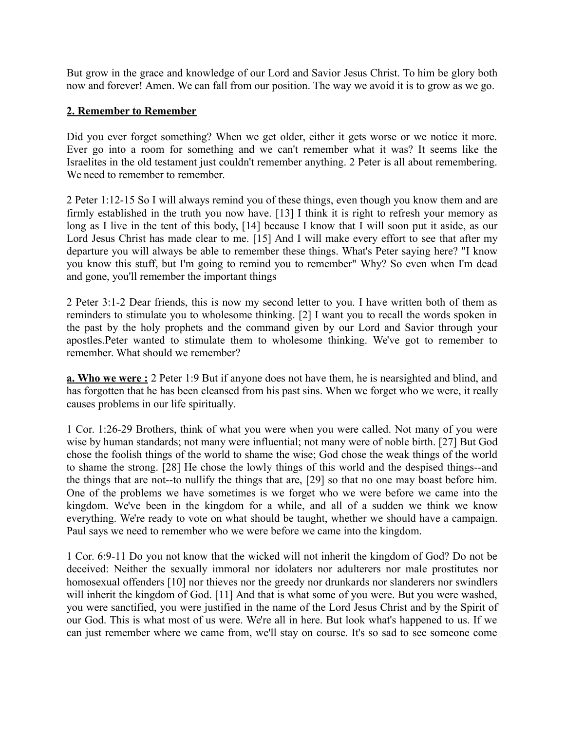But grow in the grace and knowledge of our Lord and Savior Jesus Christ. To him be glory both now and forever! Amen. We can fall from our position. The way we avoid it is to grow as we go.

#### **2. Remember to Remember**

Did you ever forget something? When we get older, either it gets worse or we notice it more. Ever go into a room for something and we can't remember what it was? It seems like the Israelites in the old testament just couldn't remember anything. 2 Peter is all about remembering. We need to remember to remember.

2 Peter 1:12-15 So I will always remind you of these things, even though you know them and are firmly established in the truth you now have. [13] I think it is right to refresh your memory as long as I live in the tent of this body, [14] because I know that I will soon put it aside, as our Lord Jesus Christ has made clear to me. [15] And I will make every effort to see that after my departure you will always be able to remember these things. What's Peter saying here? "I know you know this stuff, but I'm going to remind you to remember" Why? So even when I'm dead and gone, you'll remember the important things

2 Peter 3:1-2 Dear friends, this is now my second letter to you. I have written both of them as reminders to stimulate you to wholesome thinking. [2] I want you to recall the words spoken in the past by the holy prophets and the command given by our Lord and Savior through your apostles.Peter wanted to stimulate them to wholesome thinking. We've got to remember to remember. What should we remember?

**a. Who we were :** 2 Peter 1:9 But if anyone does not have them, he is nearsighted and blind, and has forgotten that he has been cleansed from his past sins. When we forget who we were, it really causes problems in our life spiritually.

1 Cor. 1:26-29 Brothers, think of what you were when you were called. Not many of you were wise by human standards; not many were influential; not many were of noble birth. [27] But God chose the foolish things of the world to shame the wise; God chose the weak things of the world to shame the strong. [28] He chose the lowly things of this world and the despised things--and the things that are not--to nullify the things that are, [29] so that no one may boast before him. One of the problems we have sometimes is we forget who we were before we came into the kingdom. We've been in the kingdom for a while, and all of a sudden we think we know everything. We're ready to vote on what should be taught, whether we should have a campaign. Paul says we need to remember who we were before we came into the kingdom.

1 Cor. 6:9-11 Do you not know that the wicked will not inherit the kingdom of God? Do not be deceived: Neither the sexually immoral nor idolaters nor adulterers nor male prostitutes nor homosexual offenders [10] nor thieves nor the greedy nor drunkards nor slanderers nor swindlers will inherit the kingdom of God. [11] And that is what some of you were. But you were washed, you were sanctified, you were justified in the name of the Lord Jesus Christ and by the Spirit of our God. This is what most of us were. We're all in here. But look what's happened to us. If we can just remember where we came from, we'll stay on course. It's so sad to see someone come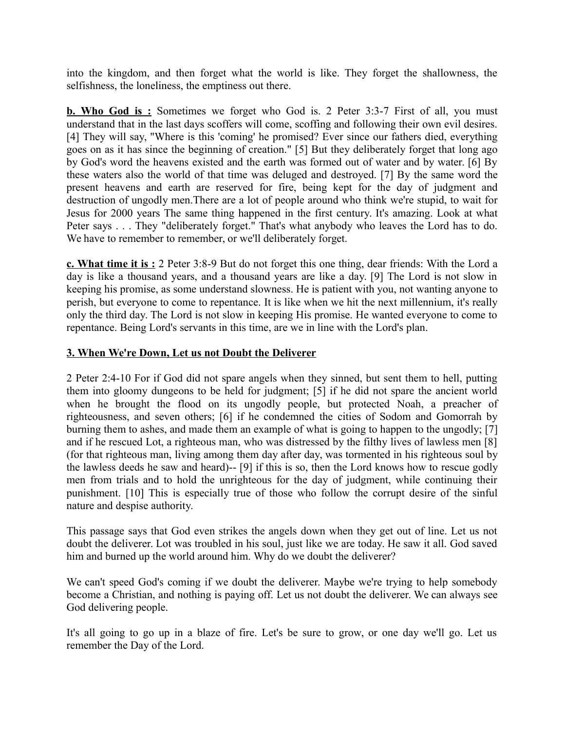into the kingdom, and then forget what the world is like. They forget the shallowness, the selfishness, the loneliness, the emptiness out there.

**b. Who God is :** Sometimes we forget who God is. 2 Peter 3:3-7 First of all, you must understand that in the last days scoffers will come, scoffing and following their own evil desires. [4] They will say, "Where is this 'coming' he promised? Ever since our fathers died, everything goes on as it has since the beginning of creation." [5] But they deliberately forget that long ago by God's word the heavens existed and the earth was formed out of water and by water. [6] By these waters also the world of that time was deluged and destroyed. [7] By the same word the present heavens and earth are reserved for fire, being kept for the day of judgment and destruction of ungodly men.There are a lot of people around who think we're stupid, to wait for Jesus for 2000 years The same thing happened in the first century. It's amazing. Look at what Peter says . . . They "deliberately forget." That's what anybody who leaves the Lord has to do. We have to remember to remember, or we'll deliberately forget.

**c. What time it is :** 2 Peter 3:8-9 But do not forget this one thing, dear friends: With the Lord a day is like a thousand years, and a thousand years are like a day. [9] The Lord is not slow in keeping his promise, as some understand slowness. He is patient with you, not wanting anyone to perish, but everyone to come to repentance. It is like when we hit the next millennium, it's really only the third day. The Lord is not slow in keeping His promise. He wanted everyone to come to repentance. Being Lord's servants in this time, are we in line with the Lord's plan.

#### **3. When We're Down, Let us not Doubt the Deliverer**

2 Peter 2:4-10 For if God did not spare angels when they sinned, but sent them to hell, putting them into gloomy dungeons to be held for judgment; [5] if he did not spare the ancient world when he brought the flood on its ungodly people, but protected Noah, a preacher of righteousness, and seven others; [6] if he condemned the cities of Sodom and Gomorrah by burning them to ashes, and made them an example of what is going to happen to the ungodly; [7] and if he rescued Lot, a righteous man, who was distressed by the filthy lives of lawless men [8] (for that righteous man, living among them day after day, was tormented in his righteous soul by the lawless deeds he saw and heard)-- [9] if this is so, then the Lord knows how to rescue godly men from trials and to hold the unrighteous for the day of judgment, while continuing their punishment. [10] This is especially true of those who follow the corrupt desire of the sinful nature and despise authority.

This passage says that God even strikes the angels down when they get out of line. Let us not doubt the deliverer. Lot was troubled in his soul, just like we are today. He saw it all. God saved him and burned up the world around him. Why do we doubt the deliverer?

We can't speed God's coming if we doubt the deliverer. Maybe we're trying to help somebody become a Christian, and nothing is paying off. Let us not doubt the deliverer. We can always see God delivering people.

It's all going to go up in a blaze of fire. Let's be sure to grow, or one day we'll go. Let us remember the Day of the Lord.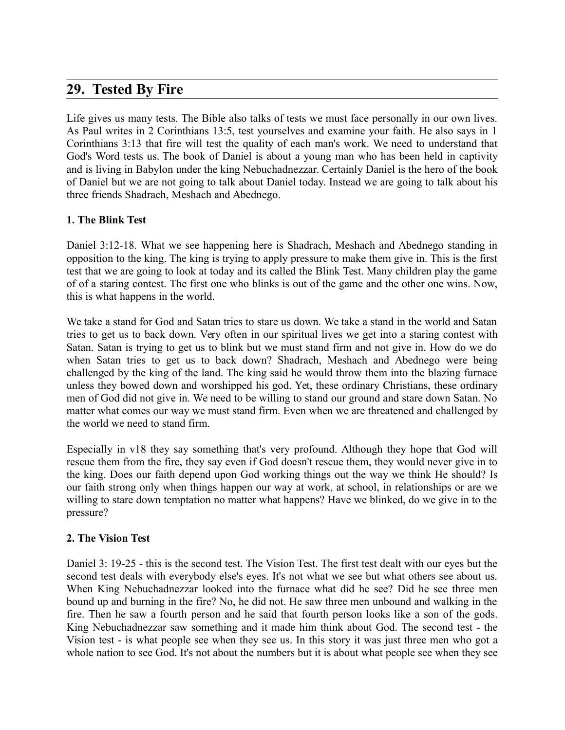# **29. Tested By Fire**

Life gives us many tests. The Bible also talks of tests we must face personally in our own lives. As Paul writes in 2 Corinthians 13:5, test yourselves and examine your faith. He also says in 1 Corinthians 3:13 that fire will test the quality of each man's work. We need to understand that God's Word tests us. The book of Daniel is about a young man who has been held in captivity and is living in Babylon under the king Nebuchadnezzar. Certainly Daniel is the hero of the book of Daniel but we are not going to talk about Daniel today. Instead we are going to talk about his three friends Shadrach, Meshach and Abednego.

### **1. The Blink Test**

Daniel 3:12-18. What we see happening here is Shadrach, Meshach and Abednego standing in opposition to the king. The king is trying to apply pressure to make them give in. This is the first test that we are going to look at today and its called the Blink Test. Many children play the game of of a staring contest. The first one who blinks is out of the game and the other one wins. Now, this is what happens in the world.

We take a stand for God and Satan tries to stare us down. We take a stand in the world and Satan tries to get us to back down. Very often in our spiritual lives we get into a staring contest with Satan. Satan is trying to get us to blink but we must stand firm and not give in. How do we do when Satan tries to get us to back down? Shadrach, Meshach and Abednego were being challenged by the king of the land. The king said he would throw them into the blazing furnace unless they bowed down and worshipped his god. Yet, these ordinary Christians, these ordinary men of God did not give in. We need to be willing to stand our ground and stare down Satan. No matter what comes our way we must stand firm. Even when we are threatened and challenged by the world we need to stand firm.

Especially in v18 they say something that's very profound. Although they hope that God will rescue them from the fire, they say even if God doesn't rescue them, they would never give in to the king. Does our faith depend upon God working things out the way we think He should? Is our faith strong only when things happen our way at work, at school, in relationships or are we willing to stare down temptation no matter what happens? Have we blinked, do we give in to the pressure?

#### **2. The Vision Test**

Daniel 3: 19-25 - this is the second test. The Vision Test. The first test dealt with our eyes but the second test deals with everybody else's eyes. It's not what we see but what others see about us. When King Nebuchadnezzar looked into the furnace what did he see? Did he see three men bound up and burning in the fire? No, he did not. He saw three men unbound and walking in the fire. Then he saw a fourth person and he said that fourth person looks like a son of the gods. King Nebuchadnezzar saw something and it made him think about God. The second test - the Vision test - is what people see when they see us. In this story it was just three men who got a whole nation to see God. It's not about the numbers but it is about what people see when they see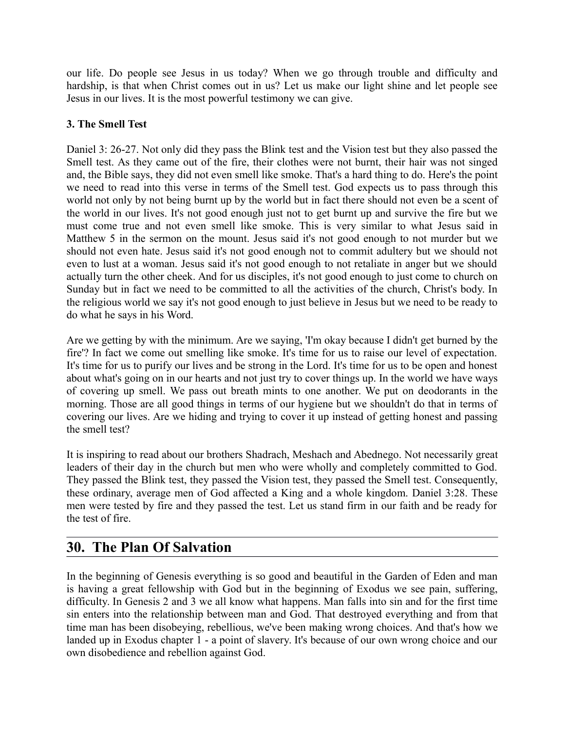our life. Do people see Jesus in us today? When we go through trouble and difficulty and hardship, is that when Christ comes out in us? Let us make our light shine and let people see Jesus in our lives. It is the most powerful testimony we can give.

## **3. The Smell Test**

Daniel 3: 26-27. Not only did they pass the Blink test and the Vision test but they also passed the Smell test. As they came out of the fire, their clothes were not burnt, their hair was not singed and, the Bible says, they did not even smell like smoke. That's a hard thing to do. Here's the point we need to read into this verse in terms of the Smell test. God expects us to pass through this world not only by not being burnt up by the world but in fact there should not even be a scent of the world in our lives. It's not good enough just not to get burnt up and survive the fire but we must come true and not even smell like smoke. This is very similar to what Jesus said in Matthew 5 in the sermon on the mount. Jesus said it's not good enough to not murder but we should not even hate. Jesus said it's not good enough not to commit adultery but we should not even to lust at a woman. Jesus said it's not good enough to not retaliate in anger but we should actually turn the other cheek. And for us disciples, it's not good enough to just come to church on Sunday but in fact we need to be committed to all the activities of the church, Christ's body. In the religious world we say it's not good enough to just believe in Jesus but we need to be ready to do what he says in his Word.

Are we getting by with the minimum. Are we saying, 'I'm okay because I didn't get burned by the fire'? In fact we come out smelling like smoke. It's time for us to raise our level of expectation. It's time for us to purify our lives and be strong in the Lord. It's time for us to be open and honest about what's going on in our hearts and not just try to cover things up. In the world we have ways of covering up smell. We pass out breath mints to one another. We put on deodorants in the morning. Those are all good things in terms of our hygiene but we shouldn't do that in terms of covering our lives. Are we hiding and trying to cover it up instead of getting honest and passing the smell test?

It is inspiring to read about our brothers Shadrach, Meshach and Abednego. Not necessarily great leaders of their day in the church but men who were wholly and completely committed to God. They passed the Blink test, they passed the Vision test, they passed the Smell test. Consequently, these ordinary, average men of God affected a King and a whole kingdom. Daniel 3:28. These men were tested by fire and they passed the test. Let us stand firm in our faith and be ready for the test of fire.

# **30. The Plan Of Salvation**

In the beginning of Genesis everything is so good and beautiful in the Garden of Eden and man is having a great fellowship with God but in the beginning of Exodus we see pain, suffering, difficulty. In Genesis 2 and 3 we all know what happens. Man falls into sin and for the first time sin enters into the relationship between man and God. That destroyed everything and from that time man has been disobeying, rebellious, we've been making wrong choices. And that's how we landed up in Exodus chapter 1 - a point of slavery. It's because of our own wrong choice and our own disobedience and rebellion against God.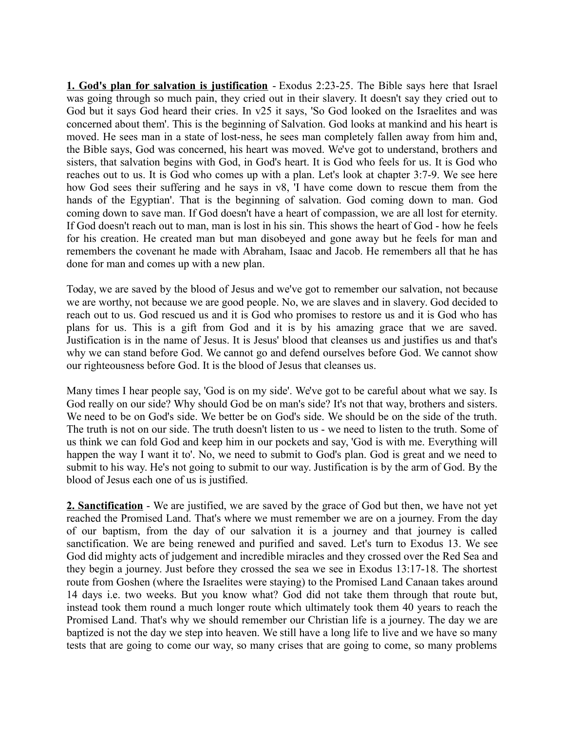**1. God's plan for salvation is justification** - Exodus 2:23-25. The Bible says here that Israel was going through so much pain, they cried out in their slavery. It doesn't say they cried out to God but it says God heard their cries. In v25 it says, 'So God looked on the Israelites and was concerned about them'. This is the beginning of Salvation. God looks at mankind and his heart is moved. He sees man in a state of lost-ness, he sees man completely fallen away from him and, the Bible says, God was concerned, his heart was moved. We've got to understand, brothers and sisters, that salvation begins with God, in God's heart. It is God who feels for us. It is God who reaches out to us. It is God who comes up with a plan. Let's look at chapter 3:7-9. We see here how God sees their suffering and he says in v8, 'I have come down to rescue them from the hands of the Egyptian'. That is the beginning of salvation. God coming down to man. God coming down to save man. If God doesn't have a heart of compassion, we are all lost for eternity. If God doesn't reach out to man, man is lost in his sin. This shows the heart of God - how he feels for his creation. He created man but man disobeyed and gone away but he feels for man and remembers the covenant he made with Abraham, Isaac and Jacob. He remembers all that he has done for man and comes up with a new plan.

Today, we are saved by the blood of Jesus and we've got to remember our salvation, not because we are worthy, not because we are good people. No, we are slaves and in slavery. God decided to reach out to us. God rescued us and it is God who promises to restore us and it is God who has plans for us. This is a gift from God and it is by his amazing grace that we are saved. Justification is in the name of Jesus. It is Jesus' blood that cleanses us and justifies us and that's why we can stand before God. We cannot go and defend ourselves before God. We cannot show our righteousness before God. It is the blood of Jesus that cleanses us.

Many times I hear people say, 'God is on my side'. We've got to be careful about what we say. Is God really on our side? Why should God be on man's side? It's not that way, brothers and sisters. We need to be on God's side. We better be on God's side. We should be on the side of the truth. The truth is not on our side. The truth doesn't listen to us - we need to listen to the truth. Some of us think we can fold God and keep him in our pockets and say, 'God is with me. Everything will happen the way I want it to'. No, we need to submit to God's plan. God is great and we need to submit to his way. He's not going to submit to our way. Justification is by the arm of God. By the blood of Jesus each one of us is justified.

**2. Sanctification** - We are justified, we are saved by the grace of God but then, we have not yet reached the Promised Land. That's where we must remember we are on a journey. From the day of our baptism, from the day of our salvation it is a journey and that journey is called sanctification. We are being renewed and purified and saved. Let's turn to Exodus 13. We see God did mighty acts of judgement and incredible miracles and they crossed over the Red Sea and they begin a journey. Just before they crossed the sea we see in Exodus 13:17-18. The shortest route from Goshen (where the Israelites were staying) to the Promised Land Canaan takes around 14 days i.e. two weeks. But you know what? God did not take them through that route but, instead took them round a much longer route which ultimately took them 40 years to reach the Promised Land. That's why we should remember our Christian life is a journey. The day we are baptized is not the day we step into heaven. We still have a long life to live and we have so many tests that are going to come our way, so many crises that are going to come, so many problems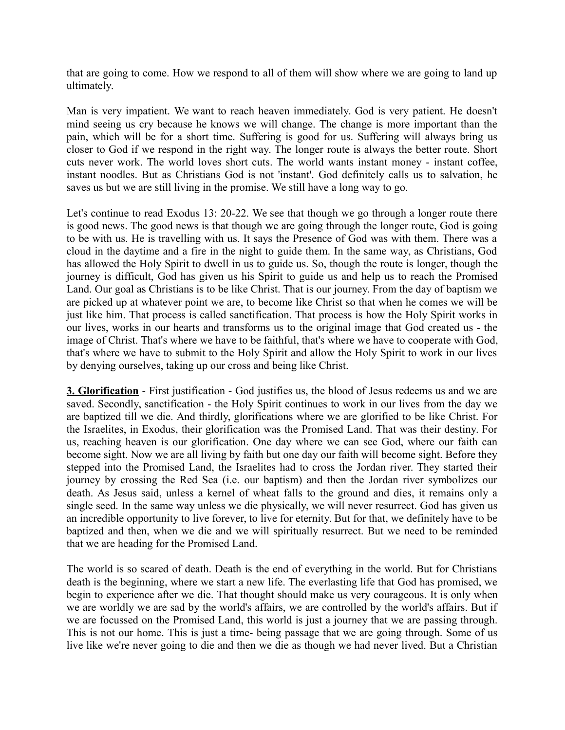that are going to come. How we respond to all of them will show where we are going to land up ultimately.

Man is very impatient. We want to reach heaven immediately. God is very patient. He doesn't mind seeing us cry because he knows we will change. The change is more important than the pain, which will be for a short time. Suffering is good for us. Suffering will always bring us closer to God if we respond in the right way. The longer route is always the better route. Short cuts never work. The world loves short cuts. The world wants instant money - instant coffee, instant noodles. But as Christians God is not 'instant'. God definitely calls us to salvation, he saves us but we are still living in the promise. We still have a long way to go.

Let's continue to read Exodus 13: 20-22. We see that though we go through a longer route there is good news. The good news is that though we are going through the longer route, God is going to be with us. He is travelling with us. It says the Presence of God was with them. There was a cloud in the daytime and a fire in the night to guide them. In the same way, as Christians, God has allowed the Holy Spirit to dwell in us to guide us. So, though the route is longer, though the journey is difficult, God has given us his Spirit to guide us and help us to reach the Promised Land. Our goal as Christians is to be like Christ. That is our journey. From the day of baptism we are picked up at whatever point we are, to become like Christ so that when he comes we will be just like him. That process is called sanctification. That process is how the Holy Spirit works in our lives, works in our hearts and transforms us to the original image that God created us - the image of Christ. That's where we have to be faithful, that's where we have to cooperate with God, that's where we have to submit to the Holy Spirit and allow the Holy Spirit to work in our lives by denying ourselves, taking up our cross and being like Christ.

**3. Glorification** - First justification - God justifies us, the blood of Jesus redeems us and we are saved. Secondly, sanctification - the Holy Spirit continues to work in our lives from the day we are baptized till we die. And thirdly, glorifications where we are glorified to be like Christ. For the Israelites, in Exodus, their glorification was the Promised Land. That was their destiny. For us, reaching heaven is our glorification. One day where we can see God, where our faith can become sight. Now we are all living by faith but one day our faith will become sight. Before they stepped into the Promised Land, the Israelites had to cross the Jordan river. They started their journey by crossing the Red Sea (i.e. our baptism) and then the Jordan river symbolizes our death. As Jesus said, unless a kernel of wheat falls to the ground and dies, it remains only a single seed. In the same way unless we die physically, we will never resurrect. God has given us an incredible opportunity to live forever, to live for eternity. But for that, we definitely have to be baptized and then, when we die and we will spiritually resurrect. But we need to be reminded that we are heading for the Promised Land.

The world is so scared of death. Death is the end of everything in the world. But for Christians death is the beginning, where we start a new life. The everlasting life that God has promised, we begin to experience after we die. That thought should make us very courageous. It is only when we are worldly we are sad by the world's affairs, we are controlled by the world's affairs. But if we are focussed on the Promised Land, this world is just a journey that we are passing through. This is not our home. This is just a time- being passage that we are going through. Some of us live like we're never going to die and then we die as though we had never lived. But a Christian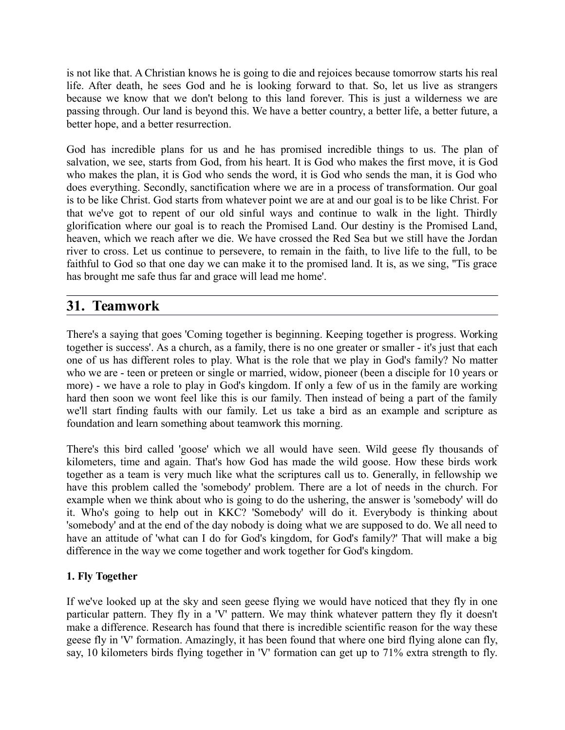is not like that. A Christian knows he is going to die and rejoices because tomorrow starts his real life. After death, he sees God and he is looking forward to that. So, let us live as strangers because we know that we don't belong to this land forever. This is just a wilderness we are passing through. Our land is beyond this. We have a better country, a better life, a better future, a better hope, and a better resurrection.

God has incredible plans for us and he has promised incredible things to us. The plan of salvation, we see, starts from God, from his heart. It is God who makes the first move, it is God who makes the plan, it is God who sends the word, it is God who sends the man, it is God who does everything. Secondly, sanctification where we are in a process of transformation. Our goal is to be like Christ. God starts from whatever point we are at and our goal is to be like Christ. For that we've got to repent of our old sinful ways and continue to walk in the light. Thirdly glorification where our goal is to reach the Promised Land. Our destiny is the Promised Land, heaven, which we reach after we die. We have crossed the Red Sea but we still have the Jordan river to cross. Let us continue to persevere, to remain in the faith, to live life to the full, to be faithful to God so that one day we can make it to the promised land. It is, as we sing, "Tis grace has brought me safe thus far and grace will lead me home'.

# **31. Teamwork**

There's a saying that goes 'Coming together is beginning. Keeping together is progress. Working together is success'. As a church, as a family, there is no one greater or smaller - it's just that each one of us has different roles to play. What is the role that we play in God's family? No matter who we are - teen or preteen or single or married, widow, pioneer (been a disciple for 10 years or more) - we have a role to play in God's kingdom. If only a few of us in the family are working hard then soon we wont feel like this is our family. Then instead of being a part of the family we'll start finding faults with our family. Let us take a bird as an example and scripture as foundation and learn something about teamwork this morning.

There's this bird called 'goose' which we all would have seen. Wild geese fly thousands of kilometers, time and again. That's how God has made the wild goose. How these birds work together as a team is very much like what the scriptures call us to. Generally, in fellowship we have this problem called the 'somebody' problem. There are a lot of needs in the church. For example when we think about who is going to do the ushering, the answer is 'somebody' will do it. Who's going to help out in KKC? 'Somebody' will do it. Everybody is thinking about 'somebody' and at the end of the day nobody is doing what we are supposed to do. We all need to have an attitude of 'what can I do for God's kingdom, for God's family?' That will make a big difference in the way we come together and work together for God's kingdom.

## **1. Fly Together**

If we've looked up at the sky and seen geese flying we would have noticed that they fly in one particular pattern. They fly in a 'V' pattern. We may think whatever pattern they fly it doesn't make a difference. Research has found that there is incredible scientific reason for the way these geese fly in 'V' formation. Amazingly, it has been found that where one bird flying alone can fly, say, 10 kilometers birds flying together in 'V' formation can get up to 71% extra strength to fly.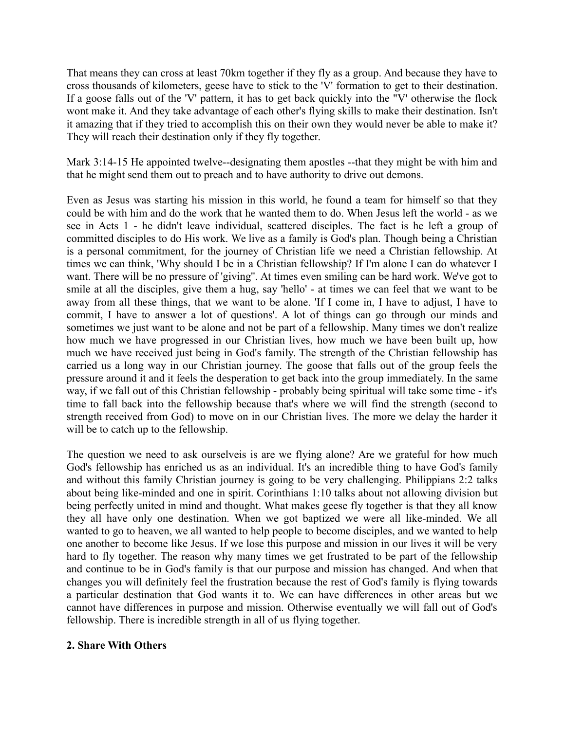That means they can cross at least 70km together if they fly as a group. And because they have to cross thousands of kilometers, geese have to stick to the 'V' formation to get to their destination. If a goose falls out of the 'V' pattern, it has to get back quickly into the "V' otherwise the flock wont make it. And they take advantage of each other's flying skills to make their destination. Isn't it amazing that if they tried to accomplish this on their own they would never be able to make it? They will reach their destination only if they fly together.

Mark 3:14-15 He appointed twelve--designating them apostles --that they might be with him and that he might send them out to preach and to have authority to drive out demons.

Even as Jesus was starting his mission in this world, he found a team for himself so that they could be with him and do the work that he wanted them to do. When Jesus left the world - as we see in Acts 1 - he didn't leave individual, scattered disciples. The fact is he left a group of committed disciples to do His work. We live as a family is God's plan. Though being a Christian is a personal commitment, for the journey of Christian life we need a Christian fellowship. At times we can think, 'Why should I be in a Christian fellowship? If I'm alone I can do whatever I want. There will be no pressure of 'giving''. At times even smiling can be hard work. We've got to smile at all the disciples, give them a hug, say 'hello' - at times we can feel that we want to be away from all these things, that we want to be alone. 'If I come in, I have to adjust, I have to commit, I have to answer a lot of questions'. A lot of things can go through our minds and sometimes we just want to be alone and not be part of a fellowship. Many times we don't realize how much we have progressed in our Christian lives, how much we have been built up, how much we have received just being in God's family. The strength of the Christian fellowship has carried us a long way in our Christian journey. The goose that falls out of the group feels the pressure around it and it feels the desperation to get back into the group immediately. In the same way, if we fall out of this Christian fellowship - probably being spiritual will take some time - it's time to fall back into the fellowship because that's where we will find the strength (second to strength received from God) to move on in our Christian lives. The more we delay the harder it will be to catch up to the fellowship.

The question we need to ask ourselveis is are we flying alone? Are we grateful for how much God's fellowship has enriched us as an individual. It's an incredible thing to have God's family and without this family Christian journey is going to be very challenging. Philippians 2:2 talks about being like-minded and one in spirit. Corinthians 1:10 talks about not allowing division but being perfectly united in mind and thought. What makes geese fly together is that they all know they all have only one destination. When we got baptized we were all like-minded. We all wanted to go to heaven, we all wanted to help people to become disciples, and we wanted to help one another to become like Jesus. If we lose this purpose and mission in our lives it will be very hard to fly together. The reason why many times we get frustrated to be part of the fellowship and continue to be in God's family is that our purpose and mission has changed. And when that changes you will definitely feel the frustration because the rest of God's family is flying towards a particular destination that God wants it to. We can have differences in other areas but we cannot have differences in purpose and mission. Otherwise eventually we will fall out of God's fellowship. There is incredible strength in all of us flying together.

#### **2. Share With Others**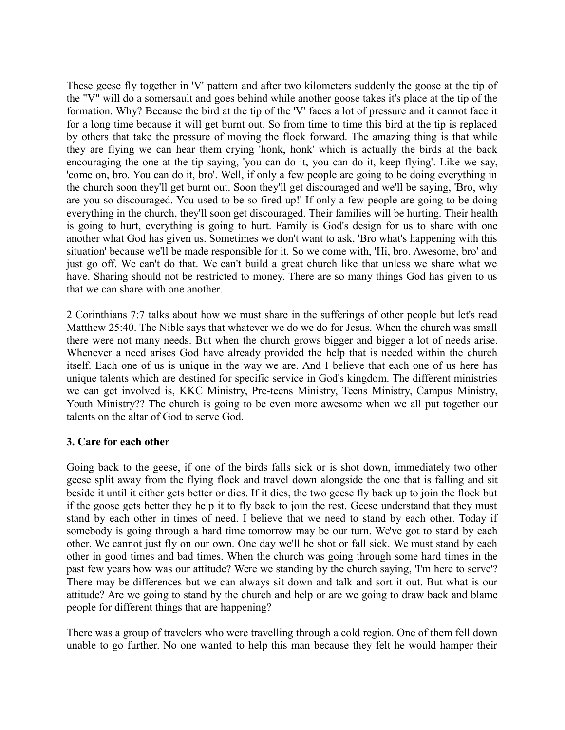These geese fly together in 'V' pattern and after two kilometers suddenly the goose at the tip of the "V" will do a somersault and goes behind while another goose takes it's place at the tip of the formation. Why? Because the bird at the tip of the 'V' faces a lot of pressure and it cannot face it for a long time because it will get burnt out. So from time to time this bird at the tip is replaced by others that take the pressure of moving the flock forward. The amazing thing is that while they are flying we can hear them crying 'honk, honk' which is actually the birds at the back encouraging the one at the tip saying, 'you can do it, you can do it, keep flying'. Like we say, 'come on, bro. You can do it, bro'. Well, if only a few people are going to be doing everything in the church soon they'll get burnt out. Soon they'll get discouraged and we'll be saying, 'Bro, why are you so discouraged. You used to be so fired up!' If only a few people are going to be doing everything in the church, they'll soon get discouraged. Their families will be hurting. Their health is going to hurt, everything is going to hurt. Family is God's design for us to share with one another what God has given us. Sometimes we don't want to ask, 'Bro what's happening with this situation' because we'll be made responsible for it. So we come with, 'Hi, bro. Awesome, bro' and just go off. We can't do that. We can't build a great church like that unless we share what we have. Sharing should not be restricted to money. There are so many things God has given to us that we can share with one another.

2 Corinthians 7:7 talks about how we must share in the sufferings of other people but let's read Matthew 25:40. The Nible says that whatever we do we do for Jesus. When the church was small there were not many needs. But when the church grows bigger and bigger a lot of needs arise. Whenever a need arises God have already provided the help that is needed within the church itself. Each one of us is unique in the way we are. And I believe that each one of us here has unique talents which are destined for specific service in God's kingdom. The different ministries we can get involved is, KKC Ministry, Pre-teens Ministry, Teens Ministry, Campus Ministry, Youth Ministry?? The church is going to be even more awesome when we all put together our talents on the altar of God to serve God.

#### **3. Care for each other**

Going back to the geese, if one of the birds falls sick or is shot down, immediately two other geese split away from the flying flock and travel down alongside the one that is falling and sit beside it until it either gets better or dies. If it dies, the two geese fly back up to join the flock but if the goose gets better they help it to fly back to join the rest. Geese understand that they must stand by each other in times of need. I believe that we need to stand by each other. Today if somebody is going through a hard time tomorrow may be our turn. We've got to stand by each other. We cannot just fly on our own. One day we'll be shot or fall sick. We must stand by each other in good times and bad times. When the church was going through some hard times in the past few years how was our attitude? Were we standing by the church saying, 'I'm here to serve'? There may be differences but we can always sit down and talk and sort it out. But what is our attitude? Are we going to stand by the church and help or are we going to draw back and blame people for different things that are happening?

There was a group of travelers who were travelling through a cold region. One of them fell down unable to go further. No one wanted to help this man because they felt he would hamper their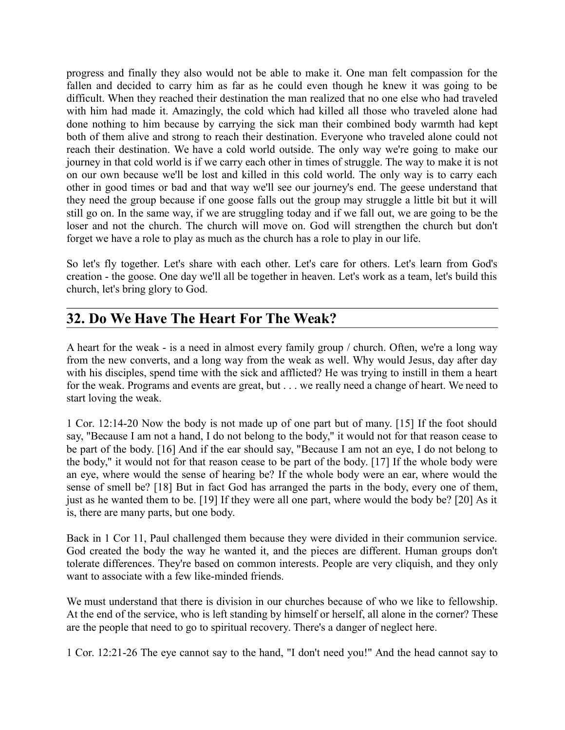progress and finally they also would not be able to make it. One man felt compassion for the fallen and decided to carry him as far as he could even though he knew it was going to be difficult. When they reached their destination the man realized that no one else who had traveled with him had made it. Amazingly, the cold which had killed all those who traveled alone had done nothing to him because by carrying the sick man their combined body warmth had kept both of them alive and strong to reach their destination. Everyone who traveled alone could not reach their destination. We have a cold world outside. The only way we're going to make our journey in that cold world is if we carry each other in times of struggle. The way to make it is not on our own because we'll be lost and killed in this cold world. The only way is to carry each other in good times or bad and that way we'll see our journey's end. The geese understand that they need the group because if one goose falls out the group may struggle a little bit but it will still go on. In the same way, if we are struggling today and if we fall out, we are going to be the loser and not the church. The church will move on. God will strengthen the church but don't forget we have a role to play as much as the church has a role to play in our life.

So let's fly together. Let's share with each other. Let's care for others. Let's learn from God's creation - the goose. One day we'll all be together in heaven. Let's work as a team, let's build this church, let's bring glory to God.

# **32. Do We Have The Heart For The Weak?**

A heart for the weak - is a need in almost every family group / church. Often, we're a long way from the new converts, and a long way from the weak as well. Why would Jesus, day after day with his disciples, spend time with the sick and afflicted? He was trying to instill in them a heart for the weak. Programs and events are great, but . . . we really need a change of heart. We need to start loving the weak.

1 Cor. 12:14-20 Now the body is not made up of one part but of many. [15] If the foot should say, "Because I am not a hand, I do not belong to the body," it would not for that reason cease to be part of the body. [16] And if the ear should say, "Because I am not an eye, I do not belong to the body," it would not for that reason cease to be part of the body. [17] If the whole body were an eye, where would the sense of hearing be? If the whole body were an ear, where would the sense of smell be? [18] But in fact God has arranged the parts in the body, every one of them, just as he wanted them to be. [19] If they were all one part, where would the body be? [20] As it is, there are many parts, but one body.

Back in 1 Cor 11, Paul challenged them because they were divided in their communion service. God created the body the way he wanted it, and the pieces are different. Human groups don't tolerate differences. They're based on common interests. People are very cliquish, and they only want to associate with a few like-minded friends.

We must understand that there is division in our churches because of who we like to fellowship. At the end of the service, who is left standing by himself or herself, all alone in the corner? These are the people that need to go to spiritual recovery. There's a danger of neglect here.

1 Cor. 12:21-26 The eye cannot say to the hand, "I don't need you!" And the head cannot say to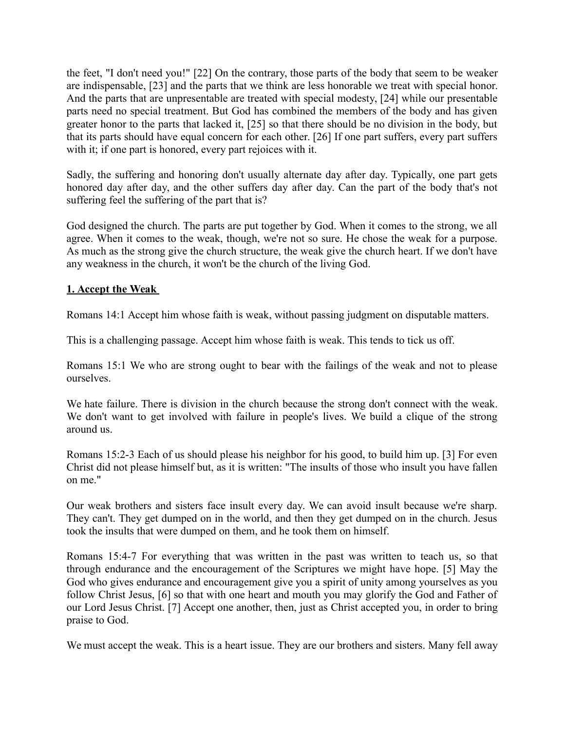the feet, "I don't need you!" [22] On the contrary, those parts of the body that seem to be weaker are indispensable, [23] and the parts that we think are less honorable we treat with special honor. And the parts that are unpresentable are treated with special modesty, [24] while our presentable parts need no special treatment. But God has combined the members of the body and has given greater honor to the parts that lacked it, [25] so that there should be no division in the body, but that its parts should have equal concern for each other. [26] If one part suffers, every part suffers with it; if one part is honored, every part rejoices with it.

Sadly, the suffering and honoring don't usually alternate day after day. Typically, one part gets honored day after day, and the other suffers day after day. Can the part of the body that's not suffering feel the suffering of the part that is?

God designed the church. The parts are put together by God. When it comes to the strong, we all agree. When it comes to the weak, though, we're not so sure. He chose the weak for a purpose. As much as the strong give the church structure, the weak give the church heart. If we don't have any weakness in the church, it won't be the church of the living God.

#### **1. Accept the Weak**

Romans 14:1 Accept him whose faith is weak, without passing judgment on disputable matters.

This is a challenging passage. Accept him whose faith is weak. This tends to tick us off.

Romans 15:1 We who are strong ought to bear with the failings of the weak and not to please ourselves.

We hate failure. There is division in the church because the strong don't connect with the weak. We don't want to get involved with failure in people's lives. We build a clique of the strong around us.

Romans 15:2-3 Each of us should please his neighbor for his good, to build him up. [3] For even Christ did not please himself but, as it is written: "The insults of those who insult you have fallen on me."

Our weak brothers and sisters face insult every day. We can avoid insult because we're sharp. They can't. They get dumped on in the world, and then they get dumped on in the church. Jesus took the insults that were dumped on them, and he took them on himself.

Romans 15:4-7 For everything that was written in the past was written to teach us, so that through endurance and the encouragement of the Scriptures we might have hope. [5] May the God who gives endurance and encouragement give you a spirit of unity among yourselves as you follow Christ Jesus, [6] so that with one heart and mouth you may glorify the God and Father of our Lord Jesus Christ. [7] Accept one another, then, just as Christ accepted you, in order to bring praise to God.

We must accept the weak. This is a heart issue. They are our brothers and sisters. Many fell away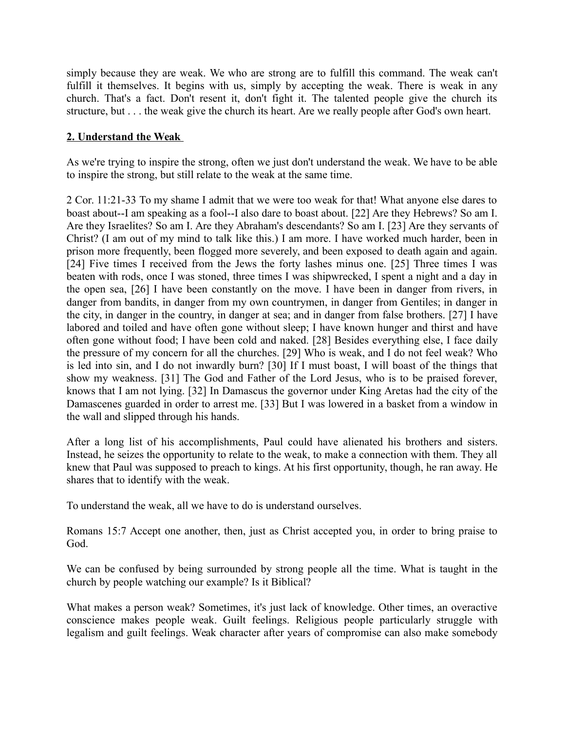simply because they are weak. We who are strong are to fulfill this command. The weak can't fulfill it themselves. It begins with us, simply by accepting the weak. There is weak in any church. That's a fact. Don't resent it, don't fight it. The talented people give the church its structure, but . . . the weak give the church its heart. Are we really people after God's own heart.

#### **2. Understand the Weak**

As we're trying to inspire the strong, often we just don't understand the weak. We have to be able to inspire the strong, but still relate to the weak at the same time.

2 Cor. 11:21-33 To my shame I admit that we were too weak for that! What anyone else dares to boast about--I am speaking as a fool--I also dare to boast about. [22] Are they Hebrews? So am I. Are they Israelites? So am I. Are they Abraham's descendants? So am I. [23] Are they servants of Christ? (I am out of my mind to talk like this.) I am more. I have worked much harder, been in prison more frequently, been flogged more severely, and been exposed to death again and again. [24] Five times I received from the Jews the forty lashes minus one. [25] Three times I was beaten with rods, once I was stoned, three times I was shipwrecked, I spent a night and a day in the open sea, [26] I have been constantly on the move. I have been in danger from rivers, in danger from bandits, in danger from my own countrymen, in danger from Gentiles; in danger in the city, in danger in the country, in danger at sea; and in danger from false brothers. [27] I have labored and toiled and have often gone without sleep; I have known hunger and thirst and have often gone without food; I have been cold and naked. [28] Besides everything else, I face daily the pressure of my concern for all the churches. [29] Who is weak, and I do not feel weak? Who is led into sin, and I do not inwardly burn? [30] If I must boast, I will boast of the things that show my weakness. [31] The God and Father of the Lord Jesus, who is to be praised forever, knows that I am not lying. [32] In Damascus the governor under King Aretas had the city of the Damascenes guarded in order to arrest me. [33] But I was lowered in a basket from a window in the wall and slipped through his hands.

After a long list of his accomplishments, Paul could have alienated his brothers and sisters. Instead, he seizes the opportunity to relate to the weak, to make a connection with them. They all knew that Paul was supposed to preach to kings. At his first opportunity, though, he ran away. He shares that to identify with the weak.

To understand the weak, all we have to do is understand ourselves.

Romans 15:7 Accept one another, then, just as Christ accepted you, in order to bring praise to God.

We can be confused by being surrounded by strong people all the time. What is taught in the church by people watching our example? Is it Biblical?

What makes a person weak? Sometimes, it's just lack of knowledge. Other times, an overactive conscience makes people weak. Guilt feelings. Religious people particularly struggle with legalism and guilt feelings. Weak character after years of compromise can also make somebody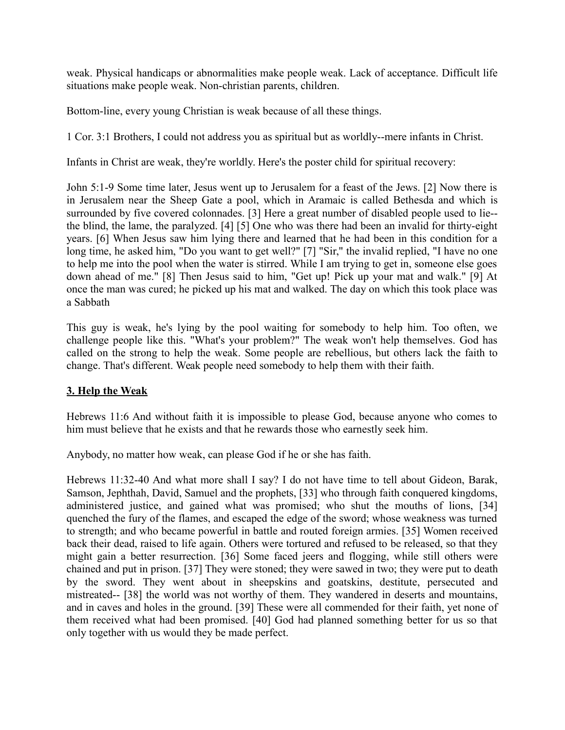weak. Physical handicaps or abnormalities make people weak. Lack of acceptance. Difficult life situations make people weak. Non-christian parents, children.

Bottom-line, every young Christian is weak because of all these things.

1 Cor. 3:1 Brothers, I could not address you as spiritual but as worldly--mere infants in Christ.

Infants in Christ are weak, they're worldly. Here's the poster child for spiritual recovery:

John 5:1-9 Some time later, Jesus went up to Jerusalem for a feast of the Jews. [2] Now there is in Jerusalem near the Sheep Gate a pool, which in Aramaic is called Bethesda and which is surrounded by five covered colonnades. [3] Here a great number of disabled people used to lie- the blind, the lame, the paralyzed. [4] [5] One who was there had been an invalid for thirty-eight years. [6] When Jesus saw him lying there and learned that he had been in this condition for a long time, he asked him, "Do you want to get well?" [7] "Sir," the invalid replied, "I have no one to help me into the pool when the water is stirred. While I am trying to get in, someone else goes down ahead of me." [8] Then Jesus said to him, "Get up! Pick up your mat and walk." [9] At once the man was cured; he picked up his mat and walked. The day on which this took place was a Sabbath

This guy is weak, he's lying by the pool waiting for somebody to help him. Too often, we challenge people like this. "What's your problem?" The weak won't help themselves. God has called on the strong to help the weak. Some people are rebellious, but others lack the faith to change. That's different. Weak people need somebody to help them with their faith.

#### **3. Help the Weak**

Hebrews 11:6 And without faith it is impossible to please God, because anyone who comes to him must believe that he exists and that he rewards those who earnestly seek him.

Anybody, no matter how weak, can please God if he or she has faith.

Hebrews 11:32-40 And what more shall I say? I do not have time to tell about Gideon, Barak, Samson, Jephthah, David, Samuel and the prophets, [33] who through faith conquered kingdoms, administered justice, and gained what was promised; who shut the mouths of lions, [34] quenched the fury of the flames, and escaped the edge of the sword; whose weakness was turned to strength; and who became powerful in battle and routed foreign armies. [35] Women received back their dead, raised to life again. Others were tortured and refused to be released, so that they might gain a better resurrection. [36] Some faced jeers and flogging, while still others were chained and put in prison. [37] They were stoned; they were sawed in two; they were put to death by the sword. They went about in sheepskins and goatskins, destitute, persecuted and mistreated-- [38] the world was not worthy of them. They wandered in deserts and mountains, and in caves and holes in the ground. [39] These were all commended for their faith, yet none of them received what had been promised. [40] God had planned something better for us so that only together with us would they be made perfect.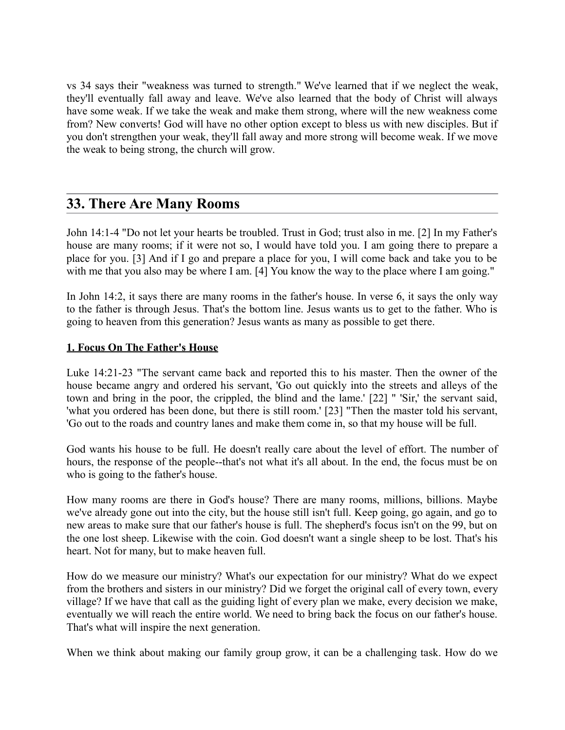vs 34 says their "weakness was turned to strength." We've learned that if we neglect the weak, they'll eventually fall away and leave. We've also learned that the body of Christ will always have some weak. If we take the weak and make them strong, where will the new weakness come from? New converts! God will have no other option except to bless us with new disciples. But if you don't strengthen your weak, they'll fall away and more strong will become weak. If we move the weak to being strong, the church will grow.

## **33. There Are Many Rooms**

John 14:1-4 "Do not let your hearts be troubled. Trust in God; trust also in me. [2] In my Father's house are many rooms; if it were not so, I would have told you. I am going there to prepare a place for you. [3] And if I go and prepare a place for you, I will come back and take you to be with me that you also may be where I am. [4] You know the way to the place where I am going."

In John 14:2, it says there are many rooms in the father's house. In verse 6, it says the only way to the father is through Jesus. That's the bottom line. Jesus wants us to get to the father. Who is going to heaven from this generation? Jesus wants as many as possible to get there.

#### **1. Focus On The Father's House**

Luke 14:21-23 "The servant came back and reported this to his master. Then the owner of the house became angry and ordered his servant, 'Go out quickly into the streets and alleys of the town and bring in the poor, the crippled, the blind and the lame.' [22] " 'Sir,' the servant said, 'what you ordered has been done, but there is still room.' [23] "Then the master told his servant, 'Go out to the roads and country lanes and make them come in, so that my house will be full.

God wants his house to be full. He doesn't really care about the level of effort. The number of hours, the response of the people--that's not what it's all about. In the end, the focus must be on who is going to the father's house.

How many rooms are there in God's house? There are many rooms, millions, billions. Maybe we've already gone out into the city, but the house still isn't full. Keep going, go again, and go to new areas to make sure that our father's house is full. The shepherd's focus isn't on the 99, but on the one lost sheep. Likewise with the coin. God doesn't want a single sheep to be lost. That's his heart. Not for many, but to make heaven full.

How do we measure our ministry? What's our expectation for our ministry? What do we expect from the brothers and sisters in our ministry? Did we forget the original call of every town, every village? If we have that call as the guiding light of every plan we make, every decision we make, eventually we will reach the entire world. We need to bring back the focus on our father's house. That's what will inspire the next generation.

When we think about making our family group grow, it can be a challenging task. How do we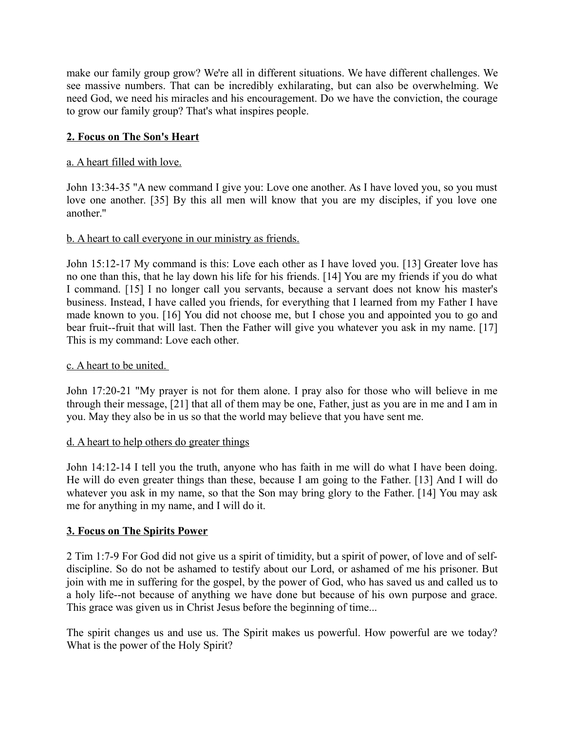make our family group grow? We're all in different situations. We have different challenges. We see massive numbers. That can be incredibly exhilarating, but can also be overwhelming. We need God, we need his miracles and his encouragement. Do we have the conviction, the courage to grow our family group? That's what inspires people.

### **2. Focus on The Son's Heart**

#### a. A heart filled with love.

John 13:34-35 "A new command I give you: Love one another. As I have loved you, so you must love one another. [35] By this all men will know that you are my disciples, if you love one another."

#### b. A heart to call everyone in our ministry as friends.

John 15:12-17 My command is this: Love each other as I have loved you. [13] Greater love has no one than this, that he lay down his life for his friends. [14] You are my friends if you do what I command. [15] I no longer call you servants, because a servant does not know his master's business. Instead, I have called you friends, for everything that I learned from my Father I have made known to you. [16] You did not choose me, but I chose you and appointed you to go and bear fruit--fruit that will last. Then the Father will give you whatever you ask in my name. [17] This is my command: Love each other.

#### c. A heart to be united.

John 17:20-21 "My prayer is not for them alone. I pray also for those who will believe in me through their message, [21] that all of them may be one, Father, just as you are in me and I am in you. May they also be in us so that the world may believe that you have sent me.

#### d. A heart to help others do greater things

John 14:12-14 I tell you the truth, anyone who has faith in me will do what I have been doing. He will do even greater things than these, because I am going to the Father. [13] And I will do whatever you ask in my name, so that the Son may bring glory to the Father. [14] You may ask me for anything in my name, and I will do it.

#### **3. Focus on The Spirits Power**

2 Tim 1:7-9 For God did not give us a spirit of timidity, but a spirit of power, of love and of selfdiscipline. So do not be ashamed to testify about our Lord, or ashamed of me his prisoner. But join with me in suffering for the gospel, by the power of God, who has saved us and called us to a holy life--not because of anything we have done but because of his own purpose and grace. This grace was given us in Christ Jesus before the beginning of time...

The spirit changes us and use us. The Spirit makes us powerful. How powerful are we today? What is the power of the Holy Spirit?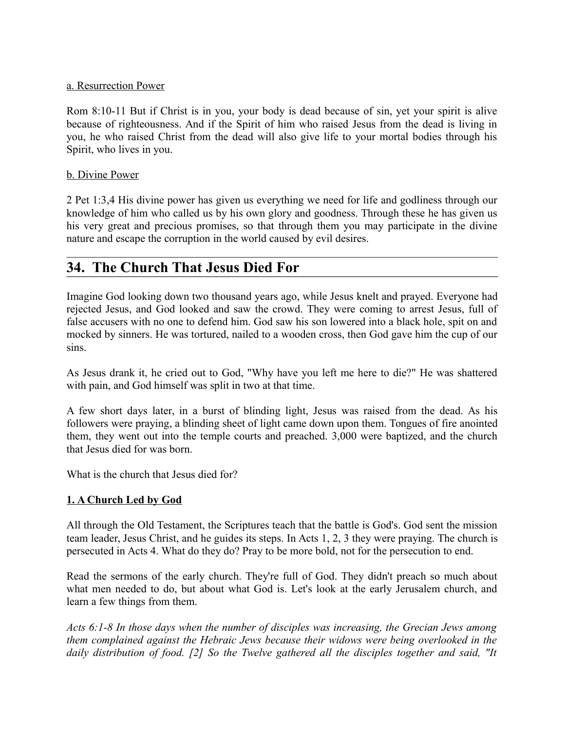#### a. Resurrection Power

Rom 8:10-11 But if Christ is in you, your body is dead because of sin, yet your spirit is alive because of righteousness. And if the Spirit of him who raised Jesus from the dead is living in you, he who raised Christ from the dead will also give life to your mortal bodies through his Spirit, who lives in you.

#### b. Divine Power

2 Pet 1:3,4 His divine power has given us everything we need for life and godliness through our knowledge of him who called us by his own glory and goodness. Through these he has given us his very great and precious promises, so that through them you may participate in the divine nature and escape the corruption in the world caused by evil desires.

## **34. The Church That Jesus Died For**

Imagine God looking down two thousand years ago, while Jesus knelt and prayed. Everyone had rejected Jesus, and God looked and saw the crowd. They were coming to arrest Jesus, full of false accusers with no one to defend him. God saw his son lowered into a black hole, spit on and mocked by sinners. He was tortured, nailed to a wooden cross, then God gave him the cup of our sins.

As Jesus drank it, he cried out to God, "Why have you left me here to die?" He was shattered with pain, and God himself was split in two at that time.

A few short days later, in a burst of blinding light, Jesus was raised from the dead. As his followers were praying, a blinding sheet of light came down upon them. Tongues of fire anointed them, they went out into the temple courts and preached. 3,000 were baptized, and the church that Jesus died for was born.

What is the church that Jesus died for?

#### **1. A Church Led by God**

All through the Old Testament, the Scriptures teach that the battle is God's. God sent the mission team leader, Jesus Christ, and he guides its steps. In Acts 1, 2, 3 they were praying. The church is persecuted in Acts 4. What do they do? Pray to be more bold, not for the persecution to end.

Read the sermons of the early church. They're full of God. They didn't preach so much about what men needed to do, but about what God is. Let's look at the early Jerusalem church, and learn a few things from them.

*Acts 6:1-8 In those days when the number of disciples was increasing, the Grecian Jews among them complained against the Hebraic Jews because their widows were being overlooked in the daily distribution of food. [2] So the Twelve gathered all the disciples together and said, "It*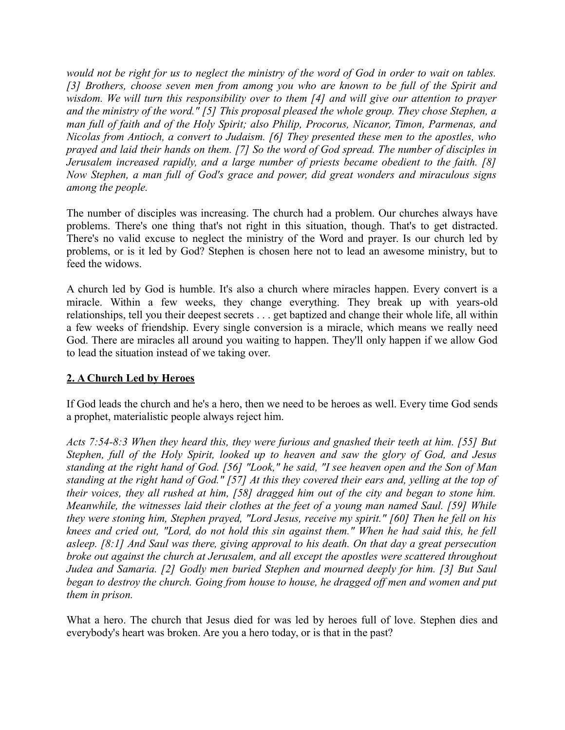*would not be right for us to neglect the ministry of the word of God in order to wait on tables. [3] Brothers, choose seven men from among you who are known to be full of the Spirit and wisdom. We will turn this responsibility over to them [4] and will give our attention to prayer and the ministry of the word." [5] This proposal pleased the whole group. They chose Stephen, a man full of faith and of the Holy Spirit; also Philip, Procorus, Nicanor, Timon, Parmenas, and Nicolas from Antioch, a convert to Judaism. [6] They presented these men to the apostles, who prayed and laid their hands on them. [7] So the word of God spread. The number of disciples in Jerusalem increased rapidly, and a large number of priests became obedient to the faith. [8] Now Stephen, a man full of God's grace and power, did great wonders and miraculous signs among the people.*

The number of disciples was increasing. The church had a problem. Our churches always have problems. There's one thing that's not right in this situation, though. That's to get distracted. There's no valid excuse to neglect the ministry of the Word and prayer. Is our church led by problems, or is it led by God? Stephen is chosen here not to lead an awesome ministry, but to feed the widows.

A church led by God is humble. It's also a church where miracles happen. Every convert is a miracle. Within a few weeks, they change everything. They break up with years-old relationships, tell you their deepest secrets . . . get baptized and change their whole life, all within a few weeks of friendship. Every single conversion is a miracle, which means we really need God. There are miracles all around you waiting to happen. They'll only happen if we allow God to lead the situation instead of we taking over.

#### **2. A Church Led by Heroes**

If God leads the church and he's a hero, then we need to be heroes as well. Every time God sends a prophet, materialistic people always reject him.

*Acts 7:54-8:3 When they heard this, they were furious and gnashed their teeth at him. [55] But Stephen, full of the Holy Spirit, looked up to heaven and saw the glory of God, and Jesus standing at the right hand of God. [56] "Look," he said, "I see heaven open and the Son of Man standing at the right hand of God." [57] At this they covered their ears and, yelling at the top of their voices, they all rushed at him, [58] dragged him out of the city and began to stone him. Meanwhile, the witnesses laid their clothes at the feet of a young man named Saul. [59] While they were stoning him, Stephen prayed, "Lord Jesus, receive my spirit." [60] Then he fell on his knees and cried out, "Lord, do not hold this sin against them." When he had said this, he fell asleep. [8:1] And Saul was there, giving approval to his death. On that day a great persecution broke out against the church at Jerusalem, and all except the apostles were scattered throughout Judea and Samaria. [2] Godly men buried Stephen and mourned deeply for him. [3] But Saul began to destroy the church. Going from house to house, he dragged off men and women and put them in prison.*

What a hero. The church that Jesus died for was led by heroes full of love. Stephen dies and everybody's heart was broken. Are you a hero today, or is that in the past?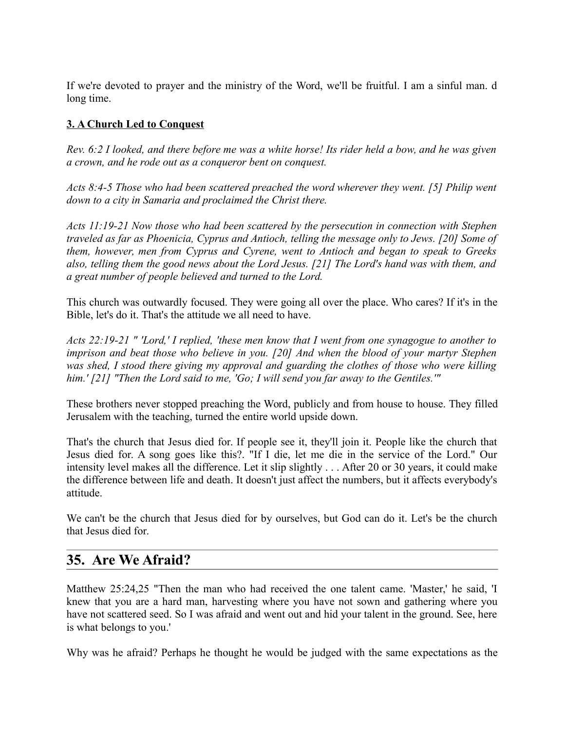If we're devoted to prayer and the ministry of the Word, we'll be fruitful. I am a sinful man. d long time.

## **3. A Church Led to Conquest**

*Rev. 6:2 I looked, and there before me was a white horse! Its rider held a bow, and he was given a crown, and he rode out as a conqueror bent on conquest.* 

*Acts 8:4-5 Those who had been scattered preached the word wherever they went. [5] Philip went down to a city in Samaria and proclaimed the Christ there.* 

*Acts 11:19-21 Now those who had been scattered by the persecution in connection with Stephen traveled as far as Phoenicia, Cyprus and Antioch, telling the message only to Jews. [20] Some of them, however, men from Cyprus and Cyrene, went to Antioch and began to speak to Greeks also, telling them the good news about the Lord Jesus. [21] The Lord's hand was with them, and a great number of people believed and turned to the Lord.* 

This church was outwardly focused. They were going all over the place. Who cares? If it's in the Bible, let's do it. That's the attitude we all need to have.

*Acts 22:19-21 " 'Lord,' I replied, 'these men know that I went from one synagogue to another to imprison and beat those who believe in you. [20] And when the blood of your martyr Stephen was shed, I stood there giving my approval and guarding the clothes of those who were killing him.' [21] "Then the Lord said to me, 'Go; I will send you far away to the Gentiles.'"*

These brothers never stopped preaching the Word, publicly and from house to house. They filled Jerusalem with the teaching, turned the entire world upside down.

That's the church that Jesus died for. If people see it, they'll join it. People like the church that Jesus died for. A song goes like this?. "If I die, let me die in the service of the Lord." Our intensity level makes all the difference. Let it slip slightly . . . After 20 or 30 years, it could make the difference between life and death. It doesn't just affect the numbers, but it affects everybody's attitude.

We can't be the church that Jesus died for by ourselves, but God can do it. Let's be the church that Jesus died for.

## **35. Are We Afraid?**

Matthew 25:24,25 "Then the man who had received the one talent came. 'Master,' he said, 'I knew that you are a hard man, harvesting where you have not sown and gathering where you have not scattered seed. So I was afraid and went out and hid your talent in the ground. See, here is what belongs to you.'

Why was he afraid? Perhaps he thought he would be judged with the same expectations as the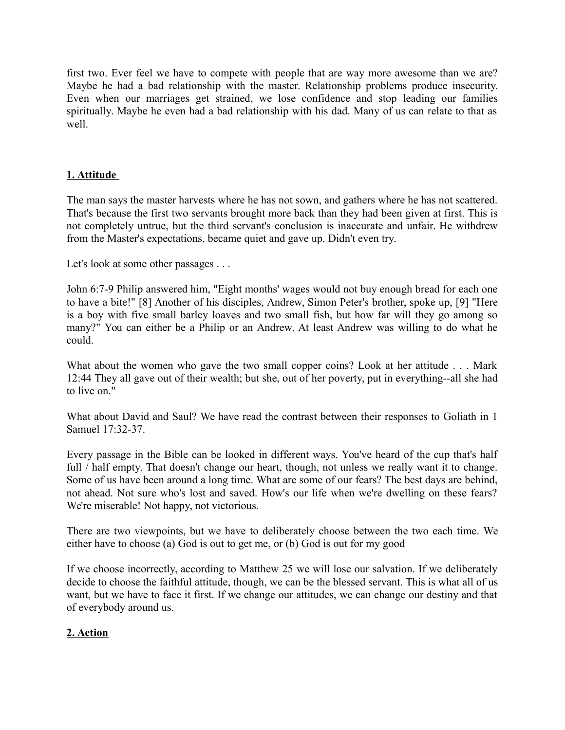first two. Ever feel we have to compete with people that are way more awesome than we are? Maybe he had a bad relationship with the master. Relationship problems produce insecurity. Even when our marriages get strained, we lose confidence and stop leading our families spiritually. Maybe he even had a bad relationship with his dad. Many of us can relate to that as well.

### **1. Attitude**

The man says the master harvests where he has not sown, and gathers where he has not scattered. That's because the first two servants brought more back than they had been given at first. This is not completely untrue, but the third servant's conclusion is inaccurate and unfair. He withdrew from the Master's expectations, became quiet and gave up. Didn't even try.

Let's look at some other passages . . .

John 6:7-9 Philip answered him, "Eight months' wages would not buy enough bread for each one to have a bite!" [8] Another of his disciples, Andrew, Simon Peter's brother, spoke up, [9] "Here is a boy with five small barley loaves and two small fish, but how far will they go among so many?" You can either be a Philip or an Andrew. At least Andrew was willing to do what he could.

What about the women who gave the two small copper coins? Look at her attitude . . . Mark 12:44 They all gave out of their wealth; but she, out of her poverty, put in everything--all she had to live on."

What about David and Saul? We have read the contrast between their responses to Goliath in 1 Samuel 17:32-37.

Every passage in the Bible can be looked in different ways. You've heard of the cup that's half full / half empty. That doesn't change our heart, though, not unless we really want it to change. Some of us have been around a long time. What are some of our fears? The best days are behind, not ahead. Not sure who's lost and saved. How's our life when we're dwelling on these fears? We're miserable! Not happy, not victorious.

There are two viewpoints, but we have to deliberately choose between the two each time. We either have to choose (a) God is out to get me, or (b) God is out for my good

If we choose incorrectly, according to Matthew 25 we will lose our salvation. If we deliberately decide to choose the faithful attitude, though, we can be the blessed servant. This is what all of us want, but we have to face it first. If we change our attitudes, we can change our destiny and that of everybody around us.

#### **2. Action**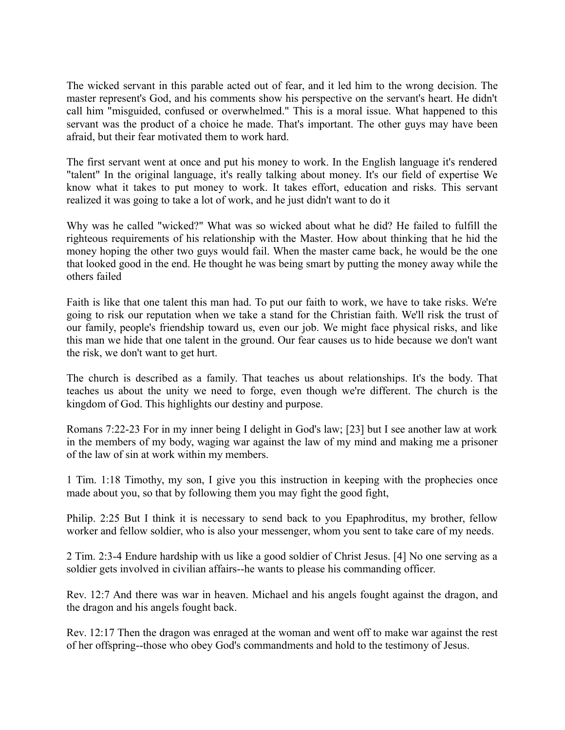The wicked servant in this parable acted out of fear, and it led him to the wrong decision. The master represent's God, and his comments show his perspective on the servant's heart. He didn't call him "misguided, confused or overwhelmed." This is a moral issue. What happened to this servant was the product of a choice he made. That's important. The other guys may have been afraid, but their fear motivated them to work hard.

The first servant went at once and put his money to work. In the English language it's rendered "talent" In the original language, it's really talking about money. It's our field of expertise We know what it takes to put money to work. It takes effort, education and risks. This servant realized it was going to take a lot of work, and he just didn't want to do it

Why was he called "wicked?" What was so wicked about what he did? He failed to fulfill the righteous requirements of his relationship with the Master. How about thinking that he hid the money hoping the other two guys would fail. When the master came back, he would be the one that looked good in the end. He thought he was being smart by putting the money away while the others failed

Faith is like that one talent this man had. To put our faith to work, we have to take risks. We're going to risk our reputation when we take a stand for the Christian faith. We'll risk the trust of our family, people's friendship toward us, even our job. We might face physical risks, and like this man we hide that one talent in the ground. Our fear causes us to hide because we don't want the risk, we don't want to get hurt.

The church is described as a family. That teaches us about relationships. It's the body. That teaches us about the unity we need to forge, even though we're different. The church is the kingdom of God. This highlights our destiny and purpose.

Romans 7:22-23 For in my inner being I delight in God's law; [23] but I see another law at work in the members of my body, waging war against the law of my mind and making me a prisoner of the law of sin at work within my members.

1 Tim. 1:18 Timothy, my son, I give you this instruction in keeping with the prophecies once made about you, so that by following them you may fight the good fight,

Philip. 2:25 But I think it is necessary to send back to you Epaphroditus, my brother, fellow worker and fellow soldier, who is also your messenger, whom you sent to take care of my needs.

2 Tim. 2:3-4 Endure hardship with us like a good soldier of Christ Jesus. [4] No one serving as a soldier gets involved in civilian affairs--he wants to please his commanding officer.

Rev. 12:7 And there was war in heaven. Michael and his angels fought against the dragon, and the dragon and his angels fought back.

Rev. 12:17 Then the dragon was enraged at the woman and went off to make war against the rest of her offspring--those who obey God's commandments and hold to the testimony of Jesus.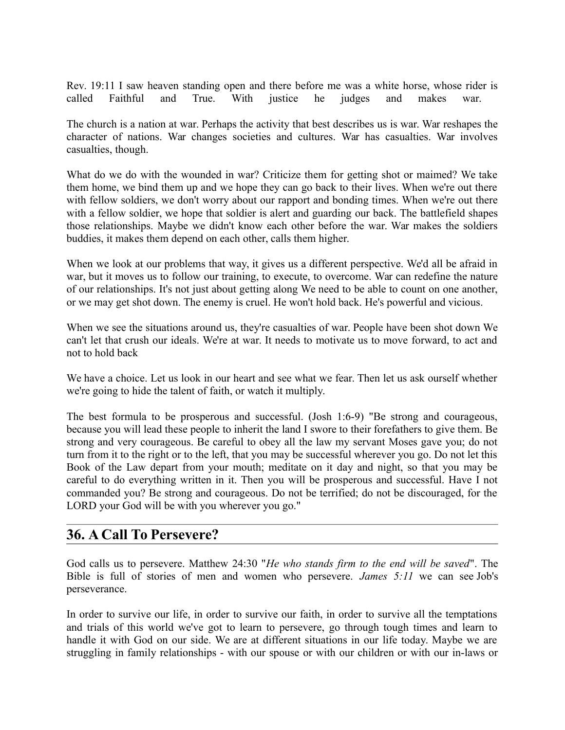Rev. 19:11 I saw heaven standing open and there before me was a white horse, whose rider is called Faithful and True. With justice he judges and makes war.

The church is a nation at war. Perhaps the activity that best describes us is war. War reshapes the character of nations. War changes societies and cultures. War has casualties. War involves casualties, though.

What do we do with the wounded in war? Criticize them for getting shot or maimed? We take them home, we bind them up and we hope they can go back to their lives. When we're out there with fellow soldiers, we don't worry about our rapport and bonding times. When we're out there with a fellow soldier, we hope that soldier is alert and guarding our back. The battlefield shapes those relationships. Maybe we didn't know each other before the war. War makes the soldiers buddies, it makes them depend on each other, calls them higher.

When we look at our problems that way, it gives us a different perspective. We'd all be afraid in war, but it moves us to follow our training, to execute, to overcome. War can redefine the nature of our relationships. It's not just about getting along We need to be able to count on one another, or we may get shot down. The enemy is cruel. He won't hold back. He's powerful and vicious.

When we see the situations around us, they're casualties of war. People have been shot down We can't let that crush our ideals. We're at war. It needs to motivate us to move forward, to act and not to hold back

We have a choice. Let us look in our heart and see what we fear. Then let us ask ourself whether we're going to hide the talent of faith, or watch it multiply.

The best formula to be prosperous and successful. (Josh 1:6-9) "Be strong and courageous, because you will lead these people to inherit the land I swore to their forefathers to give them. Be strong and very courageous. Be careful to obey all the law my servant Moses gave you; do not turn from it to the right or to the left, that you may be successful wherever you go. Do not let this Book of the Law depart from your mouth; meditate on it day and night, so that you may be careful to do everything written in it. Then you will be prosperous and successful. Have I not commanded you? Be strong and courageous. Do not be terrified; do not be discouraged, for the LORD your God will be with you wherever you go."

## **36. A Call To Persevere?**

God calls us to persevere. Matthew 24:30 "*He who stands firm to the end will be saved*". The Bible is full of stories of men and women who persevere. *James 5:11* we can see Job's perseverance.

In order to survive our life, in order to survive our faith, in order to survive all the temptations and trials of this world we've got to learn to persevere, go through tough times and learn to handle it with God on our side. We are at different situations in our life today. Maybe we are struggling in family relationships - with our spouse or with our children or with our in-laws or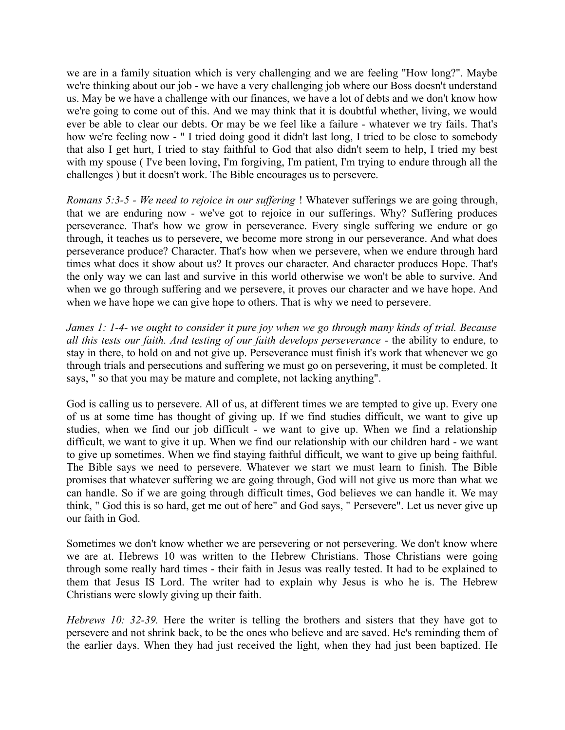we are in a family situation which is very challenging and we are feeling "How long?". Maybe we're thinking about our job - we have a very challenging job where our Boss doesn't understand us. May be we have a challenge with our finances, we have a lot of debts and we don't know how we're going to come out of this. And we may think that it is doubtful whether, living, we would ever be able to clear our debts. Or may be we feel like a failure - whatever we try fails. That's how we're feeling now - " I tried doing good it didn't last long, I tried to be close to somebody that also I get hurt, I tried to stay faithful to God that also didn't seem to help, I tried my best with my spouse (I've been loving, I'm forgiving, I'm patient, I'm trying to endure through all the challenges ) but it doesn't work. The Bible encourages us to persevere.

*Romans 5:3-5 - We need to rejoice in our suffering* ! Whatever sufferings we are going through, that we are enduring now - we've got to rejoice in our sufferings. Why? Suffering produces perseverance. That's how we grow in perseverance. Every single suffering we endure or go through, it teaches us to persevere, we become more strong in our perseverance. And what does perseverance produce? Character. That's how when we persevere, when we endure through hard times what does it show about us? It proves our character. And character produces Hope. That's the only way we can last and survive in this world otherwise we won't be able to survive. And when we go through suffering and we persevere, it proves our character and we have hope. And when we have hope we can give hope to others. That is why we need to persevere.

*James 1: 1-4- we ought to consider it pure joy when we go through many kinds of trial. Because all this tests our faith. And testing of our faith develops perseverance* - the ability to endure, to stay in there, to hold on and not give up. Perseverance must finish it's work that whenever we go through trials and persecutions and suffering we must go on persevering, it must be completed. It says, " so that you may be mature and complete, not lacking anything".

God is calling us to persevere. All of us, at different times we are tempted to give up. Every one of us at some time has thought of giving up. If we find studies difficult, we want to give up studies, when we find our job difficult - we want to give up. When we find a relationship difficult, we want to give it up. When we find our relationship with our children hard - we want to give up sometimes. When we find staying faithful difficult, we want to give up being faithful. The Bible says we need to persevere. Whatever we start we must learn to finish. The Bible promises that whatever suffering we are going through, God will not give us more than what we can handle. So if we are going through difficult times, God believes we can handle it. We may think, " God this is so hard, get me out of here" and God says, " Persevere". Let us never give up our faith in God.

Sometimes we don't know whether we are persevering or not persevering. We don't know where we are at. Hebrews 10 was written to the Hebrew Christians. Those Christians were going through some really hard times - their faith in Jesus was really tested. It had to be explained to them that Jesus IS Lord. The writer had to explain why Jesus is who he is. The Hebrew Christians were slowly giving up their faith.

*Hebrews 10: 32-39.* Here the writer is telling the brothers and sisters that they have got to persevere and not shrink back, to be the ones who believe and are saved. He's reminding them of the earlier days. When they had just received the light, when they had just been baptized. He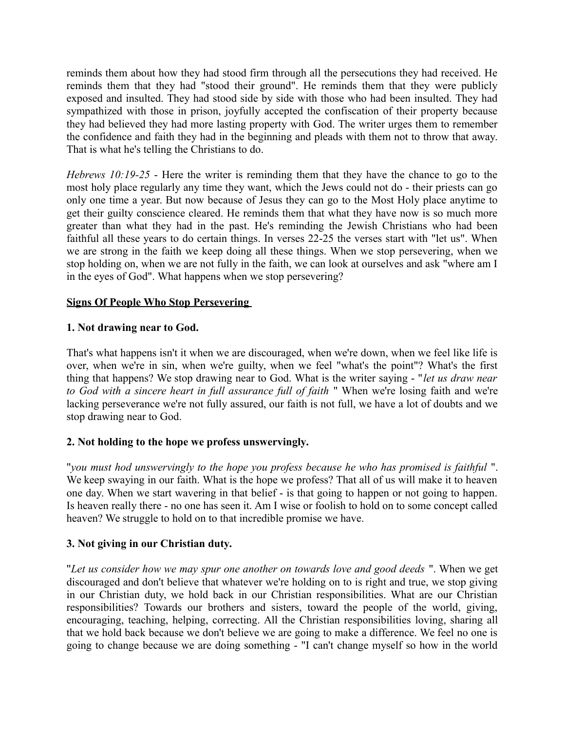reminds them about how they had stood firm through all the persecutions they had received. He reminds them that they had "stood their ground". He reminds them that they were publicly exposed and insulted. They had stood side by side with those who had been insulted. They had sympathized with those in prison, joyfully accepted the confiscation of their property because they had believed they had more lasting property with God. The writer urges them to remember the confidence and faith they had in the beginning and pleads with them not to throw that away. That is what he's telling the Christians to do.

*Hebrews 10:19-25* - Here the writer is reminding them that they have the chance to go to the most holy place regularly any time they want, which the Jews could not do - their priests can go only one time a year. But now because of Jesus they can go to the Most Holy place anytime to get their guilty conscience cleared. He reminds them that what they have now is so much more greater than what they had in the past. He's reminding the Jewish Christians who had been faithful all these years to do certain things. In verses 22-25 the verses start with "let us". When we are strong in the faith we keep doing all these things. When we stop persevering, when we stop holding on, when we are not fully in the faith, we can look at ourselves and ask "where am I in the eyes of God". What happens when we stop persevering?

#### **Signs Of People Who Stop Persevering**

#### **1. Not drawing near to God.**

That's what happens isn't it when we are discouraged, when we're down, when we feel like life is over, when we're in sin, when we're guilty, when we feel "what's the point"? What's the first thing that happens? We stop drawing near to God. What is the writer saying - "*let us draw near to God with a sincere heart in full assurance full of faith* " When we're losing faith and we're lacking perseverance we're not fully assured, our faith is not full, we have a lot of doubts and we stop drawing near to God.

#### **2. Not holding to the hope we profess unswervingly.**

"*you must hod unswervingly to the hope you profess because he who has promised is faithful* ". We keep swaying in our faith. What is the hope we profess? That all of us will make it to heaven one day. When we start wavering in that belief - is that going to happen or not going to happen. Is heaven really there - no one has seen it. Am I wise or foolish to hold on to some concept called heaven? We struggle to hold on to that incredible promise we have.

#### **3. Not giving in our Christian duty.**

"*Let us consider how we may spur one another on towards love and good deeds* ". When we get discouraged and don't believe that whatever we're holding on to is right and true, we stop giving in our Christian duty, we hold back in our Christian responsibilities. What are our Christian responsibilities? Towards our brothers and sisters, toward the people of the world, giving, encouraging, teaching, helping, correcting. All the Christian responsibilities loving, sharing all that we hold back because we don't believe we are going to make a difference. We feel no one is going to change because we are doing something - "I can't change myself so how in the world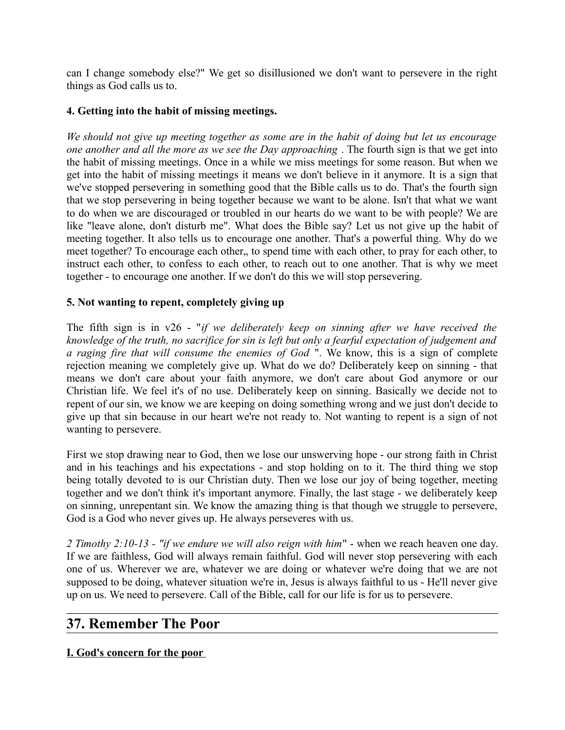can I change somebody else?" We get so disillusioned we don't want to persevere in the right things as God calls us to.

#### **4. Getting into the habit of missing meetings.**

*We should not give up meeting together as some are in the habit of doing but let us encourage one another and all the more as we see the Day approaching* . The fourth sign is that we get into the habit of missing meetings. Once in a while we miss meetings for some reason. But when we get into the habit of missing meetings it means we don't believe in it anymore. It is a sign that we've stopped persevering in something good that the Bible calls us to do. That's the fourth sign that we stop persevering in being together because we want to be alone. Isn't that what we want to do when we are discouraged or troubled in our hearts do we want to be with people? We are like "leave alone, don't disturb me". What does the Bible say? Let us not give up the habit of meeting together. It also tells us to encourage one another. That's a powerful thing. Why do we meet together? To encourage each other,, to spend time with each other, to pray for each other, to instruct each other, to confess to each other, to reach out to one another. That is why we meet together - to encourage one another. If we don't do this we will stop persevering.

#### **5. Not wanting to repent, completely giving up**

The fifth sign is in v26 - "*if we deliberately keep on sinning after we have received the knowledge of the truth, no sacrifice for sin is left but only a fearful expectation of judgement and a raging fire that will consume the enemies of God* ". We know, this is a sign of complete rejection meaning we completely give up. What do we do? Deliberately keep on sinning - that means we don't care about your faith anymore, we don't care about God anymore or our Christian life. We feel it's of no use. Deliberately keep on sinning. Basically we decide not to repent of our sin, we know we are keeping on doing something wrong and we just don't decide to give up that sin because in our heart we're not ready to. Not wanting to repent is a sign of not wanting to persevere.

First we stop drawing near to God, then we lose our unswerving hope - our strong faith in Christ and in his teachings and his expectations - and stop holding on to it. The third thing we stop being totally devoted to is our Christian duty. Then we lose our joy of being together, meeting together and we don't think it's important anymore. Finally, the last stage - we deliberately keep on sinning, unrepentant sin. We know the amazing thing is that though we struggle to persevere, God is a God who never gives up. He always perseveres with us.

*2 Timothy 2:10-13 - "if we endure we will also reign with him*" - when we reach heaven one day. If we are faithless, God will always remain faithful. God will never stop persevering with each one of us. Wherever we are, whatever we are doing or whatever we're doing that we are not supposed to be doing, whatever situation we're in, Jesus is always faithful to us - He'll never give up on us. We need to persevere. Call of the Bible, call for our life is for us to persevere.

## **37. Remember The Poor**

**I. God's concern for the poor**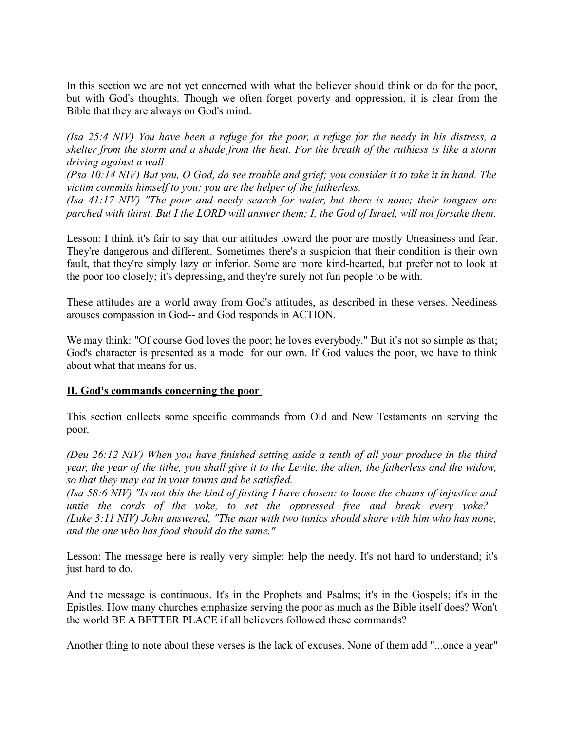In this section we are not yet concerned with what the believer should think or do for the poor, but with God's thoughts. Though we often forget poverty and oppression, it is clear from the Bible that they are always on God's mind.

*(Isa 25:4 NIV) You have been a refuge for the poor, a refuge for the needy in his distress, a shelter from the storm and a shade from the heat. For the breath of the ruthless is like a storm driving against a wall* 

*(Psa 10:14 NIV) But you, O God, do see trouble and grief; you consider it to take it in hand. The victim commits himself to you; you are the helper of the fatherless.* 

*(Isa 41:17 NIV) "The poor and needy search for water, but there is none; their tongues are parched with thirst. But I the LORD will answer them; I, the God of Israel, will not forsake them.*

Lesson: I think it's fair to say that our attitudes toward the poor are mostly Uneasiness and fear. They're dangerous and different. Sometimes there's a suspicion that their condition is their own fault, that they're simply lazy or inferior. Some are more kind-hearted, but prefer not to look at the poor too closely; it's depressing, and they're surely not fun people to be with.

These attitudes are a world away from God's attitudes, as described in these verses. Neediness arouses compassion in God-- and God responds in ACTION.

We may think: "Of course God loves the poor; he loves everybody." But it's not so simple as that; God's character is presented as a model for our own. If God values the poor, we have to think about what that means for us.

#### **II. God's commands concerning the poor**

This section collects some specific commands from Old and New Testaments on serving the poor.

*(Deu 26:12 NIV) When you have finished setting aside a tenth of all your produce in the third year, the year of the tithe, you shall give it to the Levite, the alien, the fatherless and the widow, so that they may eat in your towns and be satisfied.* 

*(Isa 58:6 NIV) "Is not this the kind of fasting I have chosen: to loose the chains of injustice and untie the cords of the yoke, to set the oppressed free and break every yoke? (Luke 3:11 NIV) John answered, "The man with two tunics should share with him who has none, and the one who has food should do the same."* 

Lesson: The message here is really very simple: help the needy. It's not hard to understand; it's just hard to do.

And the message is continuous. It's in the Prophets and Psalms; it's in the Gospels; it's in the Epistles. How many churches emphasize serving the poor as much as the Bible itself does? Won't the world BE A BETTER PLACE if all believers followed these commands?

Another thing to note about these verses is the lack of excuses. None of them add "...once a year"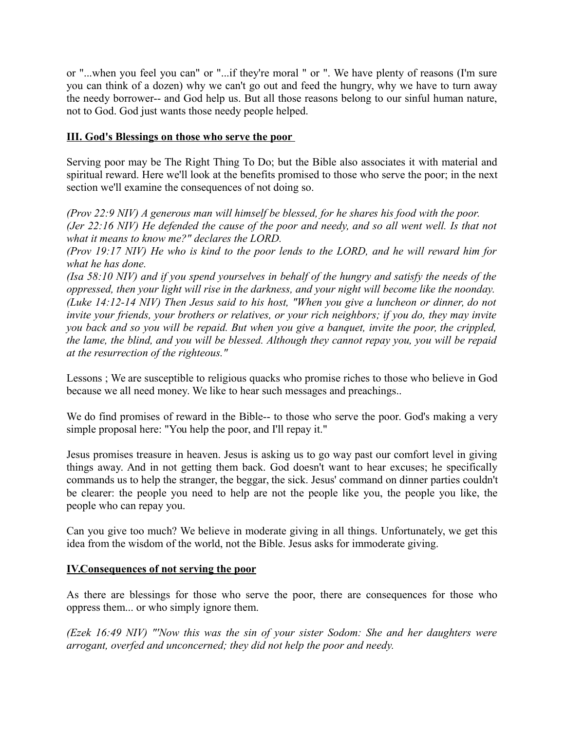or "...when you feel you can" or "...if they're moral " or ". We have plenty of reasons (I'm sure you can think of a dozen) why we can't go out and feed the hungry, why we have to turn away the needy borrower-- and God help us. But all those reasons belong to our sinful human nature, not to God. God just wants those needy people helped.

#### **III. God's Blessings on those who serve the poor**

Serving poor may be The Right Thing To Do; but the Bible also associates it with material and spiritual reward. Here we'll look at the benefits promised to those who serve the poor; in the next section we'll examine the consequences of not doing so.

*(Prov 22:9 NIV) A generous man will himself be blessed, for he shares his food with the poor. (Jer 22:16 NIV) He defended the cause of the poor and needy, and so all went well. Is that not what it means to know me?" declares the LORD.* 

*(Prov 19:17 NIV) He who is kind to the poor lends to the LORD, and he will reward him for what he has done.* 

*(Isa 58:10 NIV) and if you spend yourselves in behalf of the hungry and satisfy the needs of the oppressed, then your light will rise in the darkness, and your night will become like the noonday. (Luke 14:12-14 NIV) Then Jesus said to his host, "When you give a luncheon or dinner, do not invite your friends, your brothers or relatives, or your rich neighbors; if you do, they may invite you back and so you will be repaid. But when you give a banquet, invite the poor, the crippled, the lame, the blind, and you will be blessed. Although they cannot repay you, you will be repaid at the resurrection of the righteous."*

Lessons ; We are susceptible to religious quacks who promise riches to those who believe in God because we all need money. We like to hear such messages and preachings..

We do find promises of reward in the Bible-- to those who serve the poor. God's making a very simple proposal here: "You help the poor, and I'll repay it."

Jesus promises treasure in heaven. Jesus is asking us to go way past our comfort level in giving things away. And in not getting them back. God doesn't want to hear excuses; he specifically commands us to help the stranger, the beggar, the sick. Jesus' command on dinner parties couldn't be clearer: the people you need to help are not the people like you, the people you like, the people who can repay you.

Can you give too much? We believe in moderate giving in all things. Unfortunately, we get this idea from the wisdom of the world, not the Bible. Jesus asks for immoderate giving.

#### **IV.Consequences of not serving the poor**

As there are blessings for those who serve the poor, there are consequences for those who oppress them... or who simply ignore them.

*(Ezek 16:49 NIV) "'Now this was the sin of your sister Sodom: She and her daughters were arrogant, overfed and unconcerned; they did not help the poor and needy.*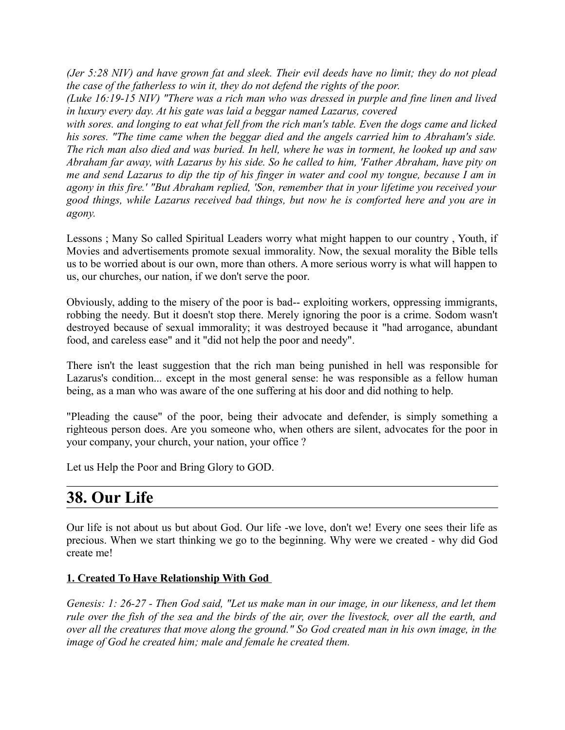*(Jer 5:28 NIV) and have grown fat and sleek. Their evil deeds have no limit; they do not plead the case of the fatherless to win it, they do not defend the rights of the poor.* 

*(Luke 16:19-15 NIV) "There was a rich man who was dressed in purple and fine linen and lived in luxury every day. At his gate was laid a beggar named Lazarus, covered* 

*with sores. and longing to eat what fell from the rich man's table. Even the dogs came and licked his sores. "The time came when the beggar died and the angels carried him to Abraham's side. The rich man also died and was buried. In hell, where he was in torment, he looked up and saw Abraham far away, with Lazarus by his side. So he called to him, 'Father Abraham, have pity on me and send Lazarus to dip the tip of his finger in water and cool my tongue, because I am in agony in this fire.' "But Abraham replied, 'Son, remember that in your lifetime you received your good things, while Lazarus received bad things, but now he is comforted here and you are in agony.*

Lessons ; Many So called Spiritual Leaders worry what might happen to our country , Youth, if Movies and advertisements promote sexual immorality. Now, the sexual morality the Bible tells us to be worried about is our own, more than others. A more serious worry is what will happen to us, our churches, our nation, if we don't serve the poor.

Obviously, adding to the misery of the poor is bad-- exploiting workers, oppressing immigrants, robbing the needy. But it doesn't stop there. Merely ignoring the poor is a crime. Sodom wasn't destroyed because of sexual immorality; it was destroyed because it "had arrogance, abundant food, and careless ease" and it "did not help the poor and needy".

There isn't the least suggestion that the rich man being punished in hell was responsible for Lazarus's condition... except in the most general sense: he was responsible as a fellow human being, as a man who was aware of the one suffering at his door and did nothing to help.

"Pleading the cause" of the poor, being their advocate and defender, is simply something a righteous person does. Are you someone who, when others are silent, advocates for the poor in your company, your church, your nation, your office ?

Let us Help the Poor and Bring Glory to GOD.

# **38. Our Life**

Our life is not about us but about God. Our life -we love, don't we! Every one sees their life as precious. When we start thinking we go to the beginning. Why were we created - why did God create me!

#### **1. Created To Have Relationship With God**

*Genesis: 1: 26-27 - Then God said, "Let us make man in our image, in our likeness, and let them rule over the fish of the sea and the birds of the air, over the livestock, over all the earth, and over all the creatures that move along the ground." So God created man in his own image, in the image of God he created him; male and female he created them.*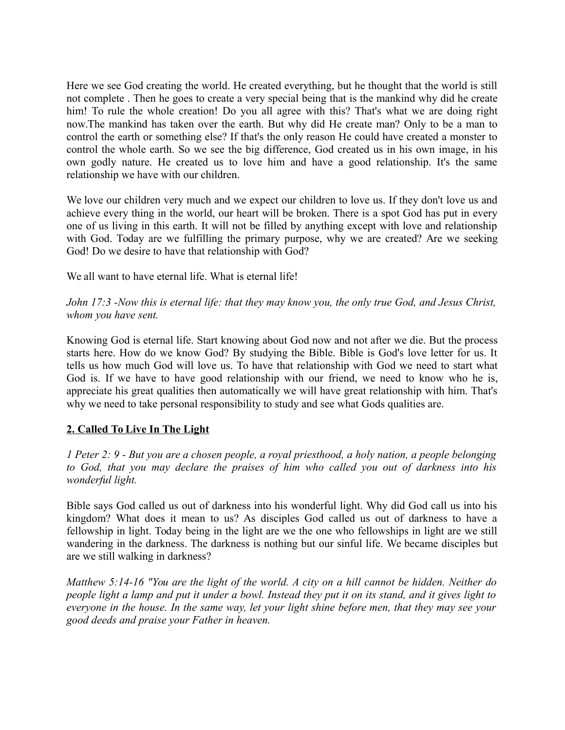Here we see God creating the world. He created everything, but he thought that the world is still not complete . Then he goes to create a very special being that is the mankind why did he create him! To rule the whole creation! Do you all agree with this? That's what we are doing right now.The mankind has taken over the earth. But why did He create man? Only to be a man to control the earth or something else? If that's the only reason He could have created a monster to control the whole earth. So we see the big difference, God created us in his own image, in his own godly nature. He created us to love him and have a good relationship. It's the same relationship we have with our children.

We love our children very much and we expect our children to love us. If they don't love us and achieve every thing in the world, our heart will be broken. There is a spot God has put in every one of us living in this earth. It will not be filled by anything except with love and relationship with God. Today are we fulfilling the primary purpose, why we are created? Are we seeking God! Do we desire to have that relationship with God?

We all want to have eternal life. What is eternal life!

*John 17:3 -Now this is eternal life: that they may know you, the only true God, and Jesus Christ, whom you have sent.* 

Knowing God is eternal life. Start knowing about God now and not after we die. But the process starts here. How do we know God? By studying the Bible. Bible is God's love letter for us. It tells us how much God will love us. To have that relationship with God we need to start what God is. If we have to have good relationship with our friend, we need to know who he is, appreciate his great qualities then automatically we will have great relationship with him. That's why we need to take personal responsibility to study and see what Gods qualities are.

### **2. Called To Live In The Light**

*1 Peter 2: 9 - But you are a chosen people, a royal priesthood, a holy nation, a people belonging to God, that you may declare the praises of him who called you out of darkness into his wonderful light.*

Bible says God called us out of darkness into his wonderful light. Why did God call us into his kingdom? What does it mean to us? As disciples God called us out of darkness to have a fellowship in light. Today being in the light are we the one who fellowships in light are we still wandering in the darkness. The darkness is nothing but our sinful life. We became disciples but are we still walking in darkness?

*Matthew 5:14-16 "You are the light of the world. A city on a hill cannot be hidden. Neither do people light a lamp and put it under a bowl. Instead they put it on its stand, and it gives light to everyone in the house. In the same way, let your light shine before men, that they may see your good deeds and praise your Father in heaven.*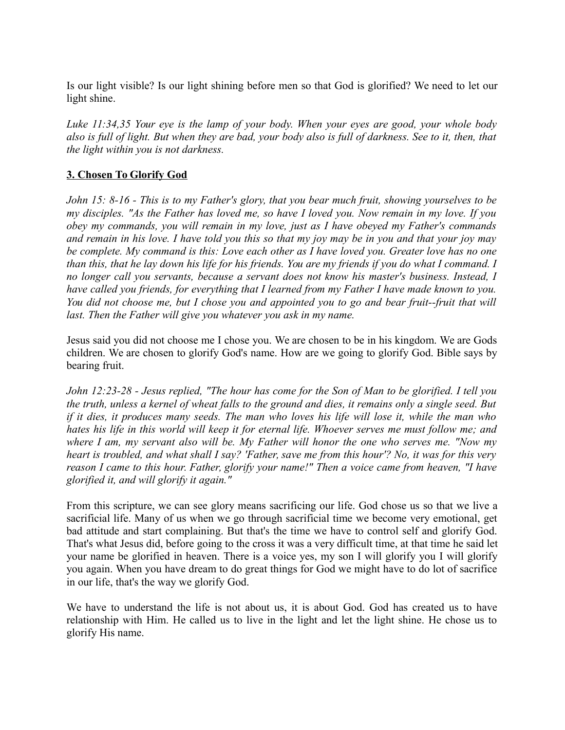Is our light visible? Is our light shining before men so that God is glorified? We need to let our light shine.

*Luke 11:34,35 Your eye is the lamp of your body. When your eyes are good, your whole body also is full of light. But when they are bad, your body also is full of darkness. See to it, then, that the light within you is not darkness.*

#### **3. Chosen To Glorify God**

*John 15: 8-16 - This is to my Father's glory, that you bear much fruit, showing yourselves to be my disciples. "As the Father has loved me, so have I loved you. Now remain in my love. If you obey my commands, you will remain in my love, just as I have obeyed my Father's commands and remain in his love. I have told you this so that my joy may be in you and that your joy may be complete. My command is this: Love each other as I have loved you. Greater love has no one than this, that he lay down his life for his friends. You are my friends if you do what I command. I no longer call you servants, because a servant does not know his master's business. Instead, I have called you friends, for everything that I learned from my Father I have made known to you. You did not choose me, but I chose you and appointed you to go and bear fruit--fruit that will* last. Then the Father will give you whatever you ask in my name.

Jesus said you did not choose me I chose you. We are chosen to be in his kingdom. We are Gods children. We are chosen to glorify God's name. How are we going to glorify God. Bible says by bearing fruit.

*John 12:23-28 - Jesus replied, "The hour has come for the Son of Man to be glorified. I tell you the truth, unless a kernel of wheat falls to the ground and dies, it remains only a single seed. But if it dies, it produces many seeds. The man who loves his life will lose it, while the man who hates his life in this world will keep it for eternal life. Whoever serves me must follow me; and where I am, my servant also will be. My Father will honor the one who serves me. "Now my heart is troubled, and what shall I say? 'Father, save me from this hour'? No, it was for this very reason I came to this hour. Father, glorify your name!" Then a voice came from heaven, "I have glorified it, and will glorify it again."* 

From this scripture, we can see glory means sacrificing our life. God chose us so that we live a sacrificial life. Many of us when we go through sacrificial time we become very emotional, get bad attitude and start complaining. But that's the time we have to control self and glorify God. That's what Jesus did, before going to the cross it was a very difficult time, at that time he said let your name be glorified in heaven. There is a voice yes, my son I will glorify you I will glorify you again. When you have dream to do great things for God we might have to do lot of sacrifice in our life, that's the way we glorify God.

We have to understand the life is not about us, it is about God. God has created us to have relationship with Him. He called us to live in the light and let the light shine. He chose us to glorify His name.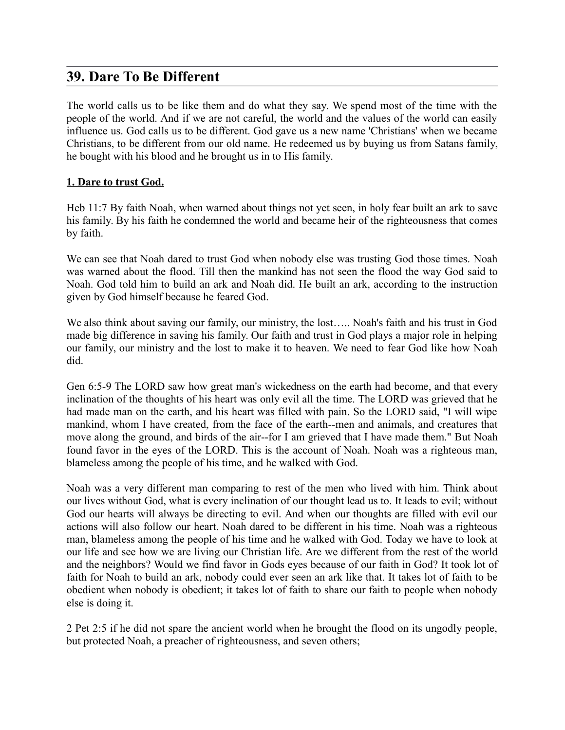## **39. Dare To Be Different**

The world calls us to be like them and do what they say. We spend most of the time with the people of the world. And if we are not careful, the world and the values of the world can easily influence us. God calls us to be different. God gave us a new name 'Christians' when we became Christians, to be different from our old name. He redeemed us by buying us from Satans family, he bought with his blood and he brought us in to His family.

#### **1. Dare to trust God.**

Heb 11:7 By faith Noah, when warned about things not yet seen, in holy fear built an ark to save his family. By his faith he condemned the world and became heir of the righteousness that comes by faith.

We can see that Noah dared to trust God when nobody else was trusting God those times. Noah was warned about the flood. Till then the mankind has not seen the flood the way God said to Noah. God told him to build an ark and Noah did. He built an ark, according to the instruction given by God himself because he feared God.

We also think about saving our family, our ministry, the lost….. Noah's faith and his trust in God made big difference in saving his family. Our faith and trust in God plays a major role in helping our family, our ministry and the lost to make it to heaven. We need to fear God like how Noah did.

Gen 6:5-9 The LORD saw how great man's wickedness on the earth had become, and that every inclination of the thoughts of his heart was only evil all the time. The LORD was grieved that he had made man on the earth, and his heart was filled with pain. So the LORD said, "I will wipe mankind, whom I have created, from the face of the earth--men and animals, and creatures that move along the ground, and birds of the air--for I am grieved that I have made them." But Noah found favor in the eyes of the LORD. This is the account of Noah. Noah was a righteous man, blameless among the people of his time, and he walked with God.

Noah was a very different man comparing to rest of the men who lived with him. Think about our lives without God, what is every inclination of our thought lead us to. It leads to evil; without God our hearts will always be directing to evil. And when our thoughts are filled with evil our actions will also follow our heart. Noah dared to be different in his time. Noah was a righteous man, blameless among the people of his time and he walked with God. Today we have to look at our life and see how we are living our Christian life. Are we different from the rest of the world and the neighbors? Would we find favor in Gods eyes because of our faith in God? It took lot of faith for Noah to build an ark, nobody could ever seen an ark like that. It takes lot of faith to be obedient when nobody is obedient; it takes lot of faith to share our faith to people when nobody else is doing it.

2 Pet 2:5 if he did not spare the ancient world when he brought the flood on its ungodly people, but protected Noah, a preacher of righteousness, and seven others;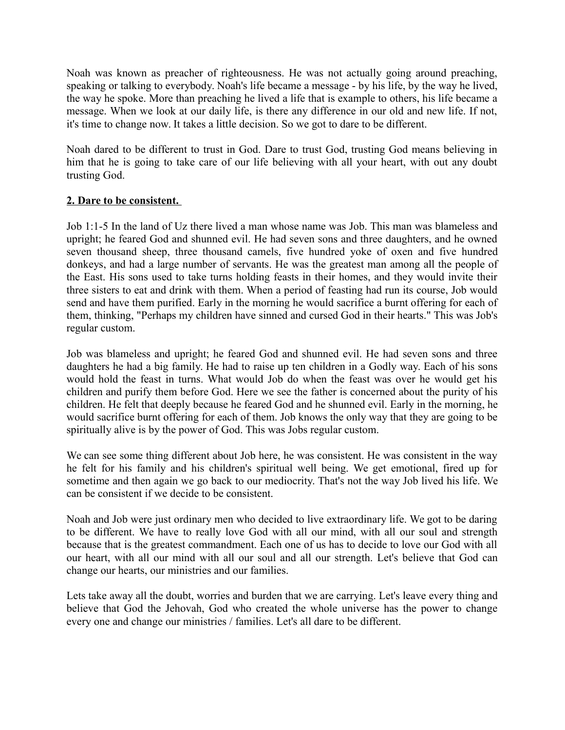Noah was known as preacher of righteousness. He was not actually going around preaching, speaking or talking to everybody. Noah's life became a message - by his life, by the way he lived, the way he spoke. More than preaching he lived a life that is example to others, his life became a message. When we look at our daily life, is there any difference in our old and new life. If not, it's time to change now. It takes a little decision. So we got to dare to be different.

Noah dared to be different to trust in God. Dare to trust God, trusting God means believing in him that he is going to take care of our life believing with all your heart, with out any doubt trusting God.

#### **2. Dare to be consistent.**

Job 1:1-5 In the land of Uz there lived a man whose name was Job. This man was blameless and upright; he feared God and shunned evil. He had seven sons and three daughters, and he owned seven thousand sheep, three thousand camels, five hundred yoke of oxen and five hundred donkeys, and had a large number of servants. He was the greatest man among all the people of the East. His sons used to take turns holding feasts in their homes, and they would invite their three sisters to eat and drink with them. When a period of feasting had run its course, Job would send and have them purified. Early in the morning he would sacrifice a burnt offering for each of them, thinking, "Perhaps my children have sinned and cursed God in their hearts." This was Job's regular custom.

Job was blameless and upright; he feared God and shunned evil. He had seven sons and three daughters he had a big family. He had to raise up ten children in a Godly way. Each of his sons would hold the feast in turns. What would Job do when the feast was over he would get his children and purify them before God. Here we see the father is concerned about the purity of his children. He felt that deeply because he feared God and he shunned evil. Early in the morning, he would sacrifice burnt offering for each of them. Job knows the only way that they are going to be spiritually alive is by the power of God. This was Jobs regular custom.

We can see some thing different about Job here, he was consistent. He was consistent in the way he felt for his family and his children's spiritual well being. We get emotional, fired up for sometime and then again we go back to our mediocrity. That's not the way Job lived his life. We can be consistent if we decide to be consistent.

Noah and Job were just ordinary men who decided to live extraordinary life. We got to be daring to be different. We have to really love God with all our mind, with all our soul and strength because that is the greatest commandment. Each one of us has to decide to love our God with all our heart, with all our mind with all our soul and all our strength. Let's believe that God can change our hearts, our ministries and our families.

Lets take away all the doubt, worries and burden that we are carrying. Let's leave every thing and believe that God the Jehovah, God who created the whole universe has the power to change every one and change our ministries / families. Let's all dare to be different.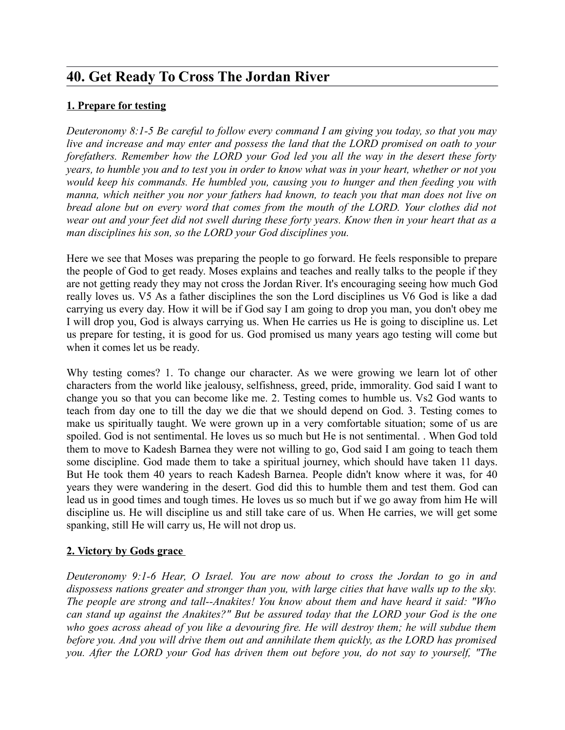# **40. Get Ready To Cross The Jordan River**

### **1. Prepare for testing**

*Deuteronomy 8:1-5 Be careful to follow every command I am giving you today, so that you may live and increase and may enter and possess the land that the LORD promised on oath to your forefathers. Remember how the LORD your God led you all the way in the desert these forty years, to humble you and to test you in order to know what was in your heart, whether or not you would keep his commands. He humbled you, causing you to hunger and then feeding you with manna, which neither you nor your fathers had known, to teach you that man does not live on bread alone but on every word that comes from the mouth of the LORD. Your clothes did not wear out and your feet did not swell during these forty years. Know then in your heart that as a man disciplines his son, so the LORD your God disciplines you.*

Here we see that Moses was preparing the people to go forward. He feels responsible to prepare the people of God to get ready. Moses explains and teaches and really talks to the people if they are not getting ready they may not cross the Jordan River. It's encouraging seeing how much God really loves us. V5 As a father disciplines the son the Lord disciplines us V6 God is like a dad carrying us every day. How it will be if God say I am going to drop you man, you don't obey me I will drop you, God is always carrying us. When He carries us He is going to discipline us. Let us prepare for testing, it is good for us. God promised us many years ago testing will come but when it comes let us be ready.

Why testing comes? 1. To change our character. As we were growing we learn lot of other characters from the world like jealousy, selfishness, greed, pride, immorality. God said I want to change you so that you can become like me. 2. Testing comes to humble us. Vs2 God wants to teach from day one to till the day we die that we should depend on God. 3. Testing comes to make us spiritually taught. We were grown up in a very comfortable situation; some of us are spoiled. God is not sentimental. He loves us so much but He is not sentimental. . When God told them to move to Kadesh Barnea they were not willing to go, God said I am going to teach them some discipline. God made them to take a spiritual journey, which should have taken 11 days. But He took them 40 years to reach Kadesh Barnea. People didn't know where it was, for 40 years they were wandering in the desert. God did this to humble them and test them. God can lead us in good times and tough times. He loves us so much but if we go away from him He will discipline us. He will discipline us and still take care of us. When He carries, we will get some spanking, still He will carry us, He will not drop us.

#### **2. Victory by Gods grace**

*Deuteronomy 9:1-6 Hear, O Israel. You are now about to cross the Jordan to go in and dispossess nations greater and stronger than you, with large cities that have walls up to the sky. The people are strong and tall--Anakites! You know about them and have heard it said: "Who can stand up against the Anakites?" But be assured today that the LORD your God is the one who goes across ahead of you like a devouring fire. He will destroy them; he will subdue them before you. And you will drive them out and annihilate them quickly, as the LORD has promised you. After the LORD your God has driven them out before you, do not say to yourself, "The*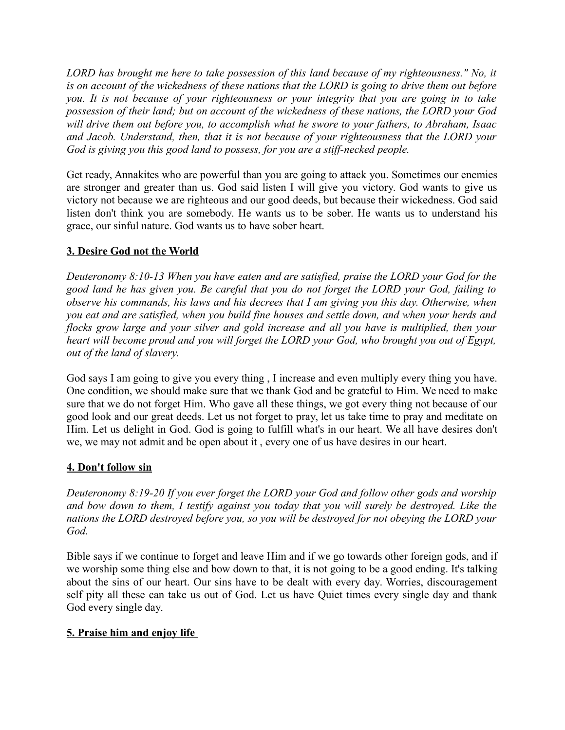*LORD has brought me here to take possession of this land because of my righteousness." No, it is on account of the wickedness of these nations that the LORD is going to drive them out before you. It is not because of your righteousness or your integrity that you are going in to take possession of their land; but on account of the wickedness of these nations, the LORD your God will drive them out before you, to accomplish what he swore to your fathers, to Abraham, Isaac and Jacob. Understand, then, that it is not because of your righteousness that the LORD your God is giving you this good land to possess, for you are a stiff-necked people.*

Get ready, Annakites who are powerful than you are going to attack you. Sometimes our enemies are stronger and greater than us. God said listen I will give you victory. God wants to give us victory not because we are righteous and our good deeds, but because their wickedness. God said listen don't think you are somebody. He wants us to be sober. He wants us to understand his grace, our sinful nature. God wants us to have sober heart.

#### **3. Desire God not the World**

*Deuteronomy 8:10-13 When you have eaten and are satisfied, praise the LORD your God for the good land he has given you. Be careful that you do not forget the LORD your God, failing to observe his commands, his laws and his decrees that I am giving you this day. Otherwise, when you eat and are satisfied, when you build fine houses and settle down, and when your herds and flocks grow large and your silver and gold increase and all you have is multiplied, then your heart will become proud and you will forget the LORD your God, who brought you out of Egypt, out of the land of slavery.* 

God says I am going to give you every thing , I increase and even multiply every thing you have. One condition, we should make sure that we thank God and be grateful to Him. We need to make sure that we do not forget Him. Who gave all these things, we got every thing not because of our good look and our great deeds. Let us not forget to pray, let us take time to pray and meditate on Him. Let us delight in God. God is going to fulfill what's in our heart. We all have desires don't we, we may not admit and be open about it , every one of us have desires in our heart.

#### **4. Don't follow sin**

*Deuteronomy 8:19-20 If you ever forget the LORD your God and follow other gods and worship and bow down to them, I testify against you today that you will surely be destroyed. Like the nations the LORD destroyed before you, so you will be destroyed for not obeying the LORD your God.*

Bible says if we continue to forget and leave Him and if we go towards other foreign gods, and if we worship some thing else and bow down to that, it is not going to be a good ending. It's talking about the sins of our heart. Our sins have to be dealt with every day. Worries, discouragement self pity all these can take us out of God. Let us have Quiet times every single day and thank God every single day.

#### **5. Praise him and enjoy life**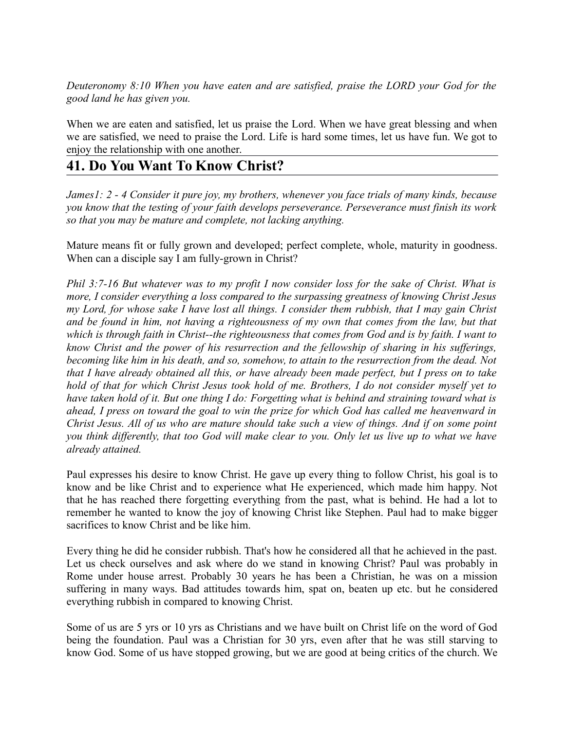*Deuteronomy 8:10 When you have eaten and are satisfied, praise the LORD your God for the good land he has given you.*

When we are eaten and satisfied, let us praise the Lord. When we have great blessing and when we are satisfied, we need to praise the Lord. Life is hard some times, let us have fun. We got to enjoy the relationship with one another.

## **41. Do You Want To Know Christ?**

*James1: 2 - 4 Consider it pure joy, my brothers, whenever you face trials of many kinds, because you know that the testing of your faith develops perseverance. Perseverance must finish its work so that you may be mature and complete, not lacking anything.* 

Mature means fit or fully grown and developed; perfect complete, whole, maturity in goodness. When can a disciple say I am fully-grown in Christ?

*Phil 3:7-16 But whatever was to my profit I now consider loss for the sake of Christ. What is more, I consider everything a loss compared to the surpassing greatness of knowing Christ Jesus my Lord, for whose sake I have lost all things. I consider them rubbish, that I may gain Christ and be found in him, not having a righteousness of my own that comes from the law, but that which is through faith in Christ--the righteousness that comes from God and is by faith. I want to know Christ and the power of his resurrection and the fellowship of sharing in his sufferings, becoming like him in his death, and so, somehow, to attain to the resurrection from the dead. Not that I have already obtained all this, or have already been made perfect, but I press on to take hold of that for which Christ Jesus took hold of me. Brothers, I do not consider myself yet to have taken hold of it. But one thing I do: Forgetting what is behind and straining toward what is ahead, I press on toward the goal to win the prize for which God has called me heavenward in Christ Jesus. All of us who are mature should take such a view of things. And if on some point you think differently, that too God will make clear to you. Only let us live up to what we have already attained.* 

Paul expresses his desire to know Christ. He gave up every thing to follow Christ, his goal is to know and be like Christ and to experience what He experienced, which made him happy. Not that he has reached there forgetting everything from the past, what is behind. He had a lot to remember he wanted to know the joy of knowing Christ like Stephen. Paul had to make bigger sacrifices to know Christ and be like him.

Every thing he did he consider rubbish. That's how he considered all that he achieved in the past. Let us check ourselves and ask where do we stand in knowing Christ? Paul was probably in Rome under house arrest. Probably 30 years he has been a Christian, he was on a mission suffering in many ways. Bad attitudes towards him, spat on, beaten up etc. but he considered everything rubbish in compared to knowing Christ.

Some of us are 5 yrs or 10 yrs as Christians and we have built on Christ life on the word of God being the foundation. Paul was a Christian for 30 yrs, even after that he was still starving to know God. Some of us have stopped growing, but we are good at being critics of the church. We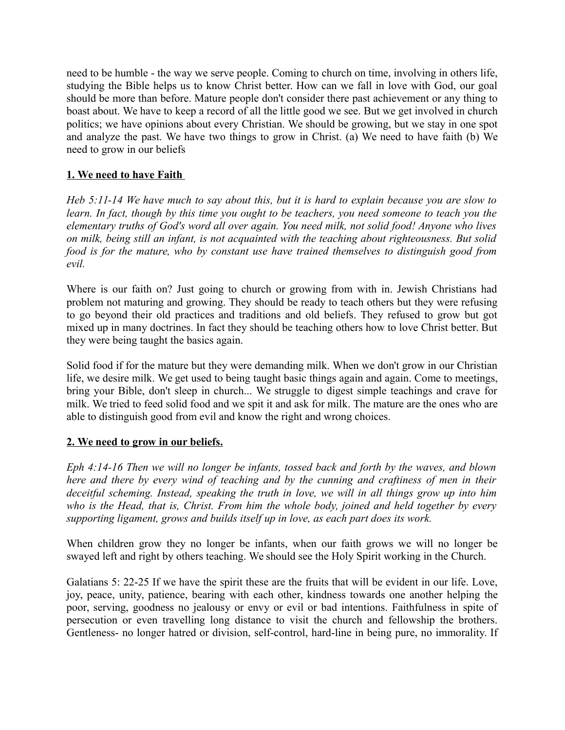need to be humble - the way we serve people. Coming to church on time, involving in others life, studying the Bible helps us to know Christ better. How can we fall in love with God, our goal should be more than before. Mature people don't consider there past achievement or any thing to boast about. We have to keep a record of all the little good we see. But we get involved in church politics; we have opinions about every Christian. We should be growing, but we stay in one spot and analyze the past. We have two things to grow in Christ. (a) We need to have faith (b) We need to grow in our beliefs

#### **1. We need to have Faith**

*Heb 5:11-14 We have much to say about this, but it is hard to explain because you are slow to learn. In fact, though by this time you ought to be teachers, you need someone to teach you the elementary truths of God's word all over again. You need milk, not solid food! Anyone who lives on milk, being still an infant, is not acquainted with the teaching about righteousness. But solid food is for the mature, who by constant use have trained themselves to distinguish good from evil.*

Where is our faith on? Just going to church or growing from with in. Jewish Christians had problem not maturing and growing. They should be ready to teach others but they were refusing to go beyond their old practices and traditions and old beliefs. They refused to grow but got mixed up in many doctrines. In fact they should be teaching others how to love Christ better. But they were being taught the basics again.

Solid food if for the mature but they were demanding milk. When we don't grow in our Christian life, we desire milk. We get used to being taught basic things again and again. Come to meetings, bring your Bible, don't sleep in church... We struggle to digest simple teachings and crave for milk. We tried to feed solid food and we spit it and ask for milk. The mature are the ones who are able to distinguish good from evil and know the right and wrong choices.

#### **2. We need to grow in our beliefs.**

*Eph 4:14-16 Then we will no longer be infants, tossed back and forth by the waves, and blown here and there by every wind of teaching and by the cunning and craftiness of men in their deceitful scheming. Instead, speaking the truth in love, we will in all things grow up into him who is the Head, that is, Christ. From him the whole body, joined and held together by every supporting ligament, grows and builds itself up in love, as each part does its work.*

When children grow they no longer be infants, when our faith grows we will no longer be swayed left and right by others teaching. We should see the Holy Spirit working in the Church.

Galatians 5: 22-25 If we have the spirit these are the fruits that will be evident in our life. Love, joy, peace, unity, patience, bearing with each other, kindness towards one another helping the poor, serving, goodness no jealousy or envy or evil or bad intentions. Faithfulness in spite of persecution or even travelling long distance to visit the church and fellowship the brothers. Gentleness- no longer hatred or division, self-control, hard-line in being pure, no immorality. If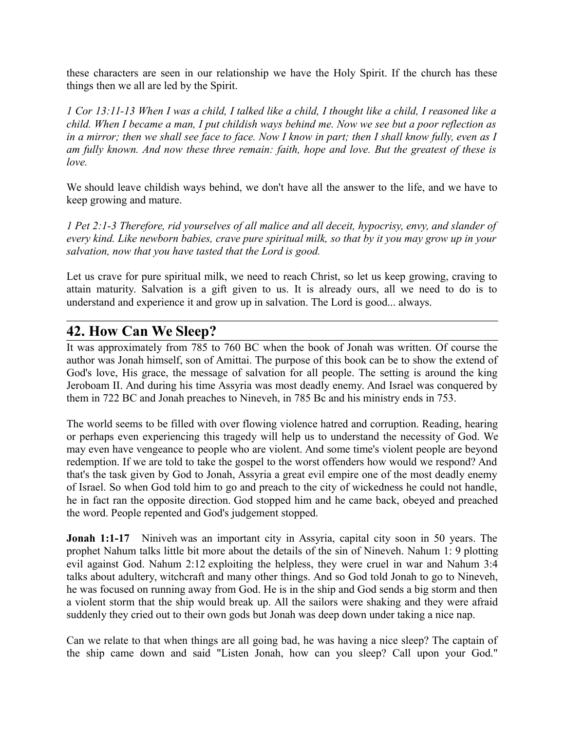these characters are seen in our relationship we have the Holy Spirit. If the church has these things then we all are led by the Spirit.

*1 Cor 13:11-13 When I was a child, I talked like a child, I thought like a child, I reasoned like a child. When I became a man, I put childish ways behind me. Now we see but a poor reflection as in a mirror; then we shall see face to face. Now I know in part; then I shall know fully, even as I am fully known. And now these three remain: faith, hope and love. But the greatest of these is love.*

We should leave childish ways behind, we don't have all the answer to the life, and we have to keep growing and mature.

*1 Pet 2:1-3 Therefore, rid yourselves of all malice and all deceit, hypocrisy, envy, and slander of every kind. Like newborn babies, crave pure spiritual milk, so that by it you may grow up in your salvation, now that you have tasted that the Lord is good.* 

Let us crave for pure spiritual milk, we need to reach Christ, so let us keep growing, craving to attain maturity. Salvation is a gift given to us. It is already ours, all we need to do is to understand and experience it and grow up in salvation. The Lord is good... always.

## **42. How Can We Sleep?**

It was approximately from 785 to 760 BC when the book of Jonah was written. Of course the author was Jonah himself, son of Amittai. The purpose of this book can be to show the extend of God's love, His grace, the message of salvation for all people. The setting is around the king Jeroboam II. And during his time Assyria was most deadly enemy. And Israel was conquered by them in 722 BC and Jonah preaches to Nineveh, in 785 Bc and his ministry ends in 753.

The world seems to be filled with over flowing violence hatred and corruption. Reading, hearing or perhaps even experiencing this tragedy will help us to understand the necessity of God. We may even have vengeance to people who are violent. And some time's violent people are beyond redemption. If we are told to take the gospel to the worst offenders how would we respond? And that's the task given by God to Jonah, Assyria a great evil empire one of the most deadly enemy of Israel. So when God told him to go and preach to the city of wickedness he could not handle, he in fact ran the opposite direction. God stopped him and he came back, obeyed and preached the word. People repented and God's judgement stopped.

**Jonah 1:1-17** Niniveh was an important city in Assyria, capital city soon in 50 years. The prophet Nahum talks little bit more about the details of the sin of Nineveh. Nahum 1: 9 plotting evil against God. Nahum 2:12 exploiting the helpless, they were cruel in war and Nahum 3:4 talks about adultery, witchcraft and many other things. And so God told Jonah to go to Nineveh, he was focused on running away from God. He is in the ship and God sends a big storm and then a violent storm that the ship would break up. All the sailors were shaking and they were afraid suddenly they cried out to their own gods but Jonah was deep down under taking a nice nap.

Can we relate to that when things are all going bad, he was having a nice sleep? The captain of the ship came down and said "Listen Jonah, how can you sleep? Call upon your God."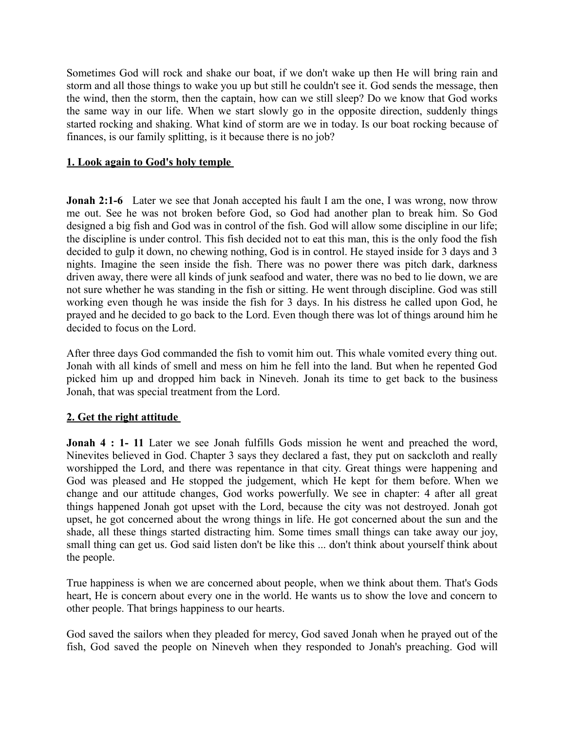Sometimes God will rock and shake our boat, if we don't wake up then He will bring rain and storm and all those things to wake you up but still he couldn't see it. God sends the message, then the wind, then the storm, then the captain, how can we still sleep? Do we know that God works the same way in our life. When we start slowly go in the opposite direction, suddenly things started rocking and shaking. What kind of storm are we in today. Is our boat rocking because of finances, is our family splitting, is it because there is no job?

#### **1. Look again to God's holy temple**

**Jonah 2:1-6** Later we see that Jonah accepted his fault I am the one, I was wrong, now throw me out. See he was not broken before God, so God had another plan to break him. So God designed a big fish and God was in control of the fish. God will allow some discipline in our life; the discipline is under control. This fish decided not to eat this man, this is the only food the fish decided to gulp it down, no chewing nothing, God is in control. He stayed inside for 3 days and 3 nights. Imagine the seen inside the fish. There was no power there was pitch dark, darkness driven away, there were all kinds of junk seafood and water, there was no bed to lie down, we are not sure whether he was standing in the fish or sitting. He went through discipline. God was still working even though he was inside the fish for 3 days. In his distress he called upon God, he prayed and he decided to go back to the Lord. Even though there was lot of things around him he decided to focus on the Lord.

After three days God commanded the fish to vomit him out. This whale vomited every thing out. Jonah with all kinds of smell and mess on him he fell into the land. But when he repented God picked him up and dropped him back in Nineveh. Jonah its time to get back to the business Jonah, that was special treatment from the Lord.

#### **2. Get the right attitude**

**Jonah 4 : 1-11** Later we see Jonah fulfills Gods mission he went and preached the word, Ninevites believed in God. Chapter 3 says they declared a fast, they put on sackcloth and really worshipped the Lord, and there was repentance in that city. Great things were happening and God was pleased and He stopped the judgement, which He kept for them before. When we change and our attitude changes, God works powerfully. We see in chapter: 4 after all great things happened Jonah got upset with the Lord, because the city was not destroyed. Jonah got upset, he got concerned about the wrong things in life. He got concerned about the sun and the shade, all these things started distracting him. Some times small things can take away our joy, small thing can get us. God said listen don't be like this ... don't think about yourself think about the people.

True happiness is when we are concerned about people, when we think about them. That's Gods heart, He is concern about every one in the world. He wants us to show the love and concern to other people. That brings happiness to our hearts.

God saved the sailors when they pleaded for mercy, God saved Jonah when he prayed out of the fish, God saved the people on Nineveh when they responded to Jonah's preaching. God will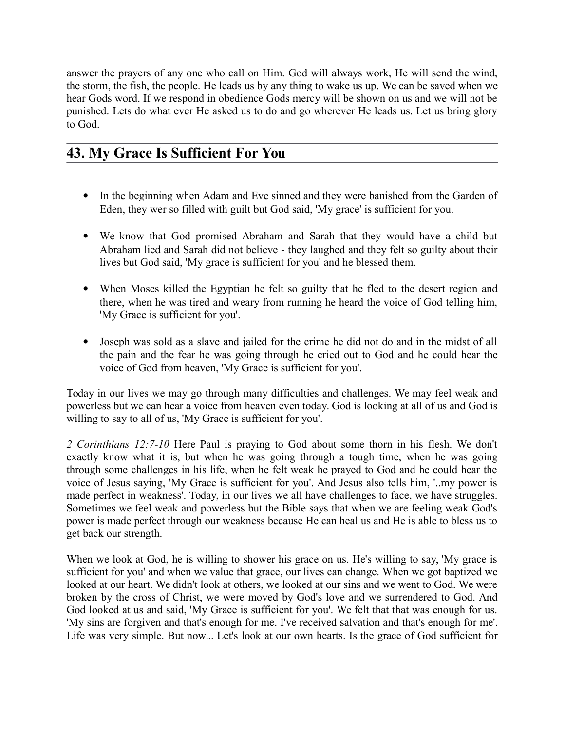answer the prayers of any one who call on Him. God will always work, He will send the wind, the storm, the fish, the people. He leads us by any thing to wake us up. We can be saved when we hear Gods word. If we respond in obedience Gods mercy will be shown on us and we will not be punished. Lets do what ever He asked us to do and go wherever He leads us. Let us bring glory to God.

# **43. My Grace Is Sufficient For You**

- In the beginning when Adam and Eve sinned and they were banished from the Garden of Eden, they wer so filled with guilt but God said, 'My grace' is sufficient for you.
- We know that God promised Abraham and Sarah that they would have a child but Abraham lied and Sarah did not believe - they laughed and they felt so guilty about their lives but God said, 'My grace is sufficient for you' and he blessed them.
- When Moses killed the Egyptian he felt so guilty that he fled to the desert region and there, when he was tired and weary from running he heard the voice of God telling him, 'My Grace is sufficient for you'.
- Joseph was sold as a slave and jailed for the crime he did not do and in the midst of all the pain and the fear he was going through he cried out to God and he could hear the voice of God from heaven, 'My Grace is sufficient for you'.

Today in our lives we may go through many difficulties and challenges. We may feel weak and powerless but we can hear a voice from heaven even today. God is looking at all of us and God is willing to say to all of us, 'My Grace is sufficient for you'.

*2 Corinthians 12:7-10* Here Paul is praying to God about some thorn in his flesh. We don't exactly know what it is, but when he was going through a tough time, when he was going through some challenges in his life, when he felt weak he prayed to God and he could hear the voice of Jesus saying, 'My Grace is sufficient for you'. And Jesus also tells him, '..my power is made perfect in weakness'. Today, in our lives we all have challenges to face, we have struggles. Sometimes we feel weak and powerless but the Bible says that when we are feeling weak God's power is made perfect through our weakness because He can heal us and He is able to bless us to get back our strength.

When we look at God, he is willing to shower his grace on us. He's willing to say, 'My grace is sufficient for you' and when we value that grace, our lives can change. When we got baptized we looked at our heart. We didn't look at others, we looked at our sins and we went to God. We were broken by the cross of Christ, we were moved by God's love and we surrendered to God. And God looked at us and said, 'My Grace is sufficient for you'. We felt that that was enough for us. 'My sins are forgiven and that's enough for me. I've received salvation and that's enough for me'. Life was very simple. But now... Let's look at our own hearts. Is the grace of God sufficient for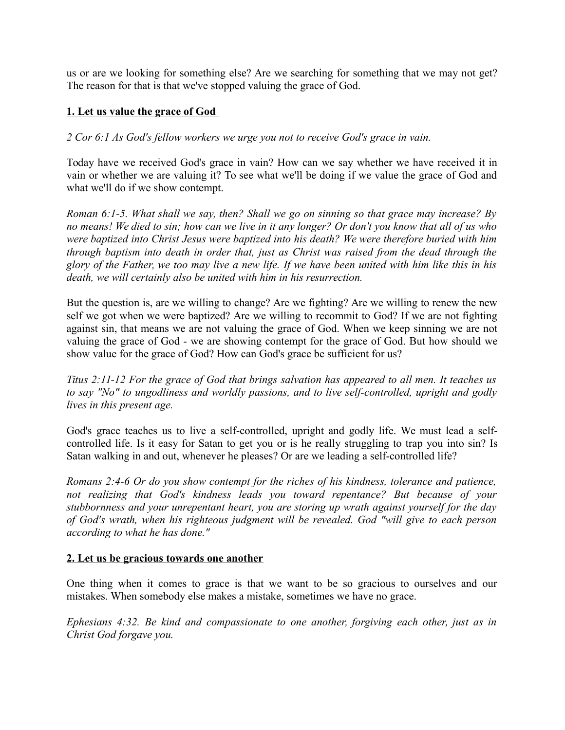us or are we looking for something else? Are we searching for something that we may not get? The reason for that is that we've stopped valuing the grace of God.

#### **1. Let us value the grace of God**

*2 Cor 6:1 As God's fellow workers we urge you not to receive God's grace in vain.*

Today have we received God's grace in vain? How can we say whether we have received it in vain or whether we are valuing it? To see what we'll be doing if we value the grace of God and what we'll do if we show contempt.

*Roman 6:1-5. What shall we say, then? Shall we go on sinning so that grace may increase? By no means! We died to sin; how can we live in it any longer? Or don't you know that all of us who were baptized into Christ Jesus were baptized into his death? We were therefore buried with him through baptism into death in order that, just as Christ was raised from the dead through the glory of the Father, we too may live a new life. If we have been united with him like this in his death, we will certainly also be united with him in his resurrection.*

But the question is, are we willing to change? Are we fighting? Are we willing to renew the new self we got when we were baptized? Are we willing to recommit to God? If we are not fighting against sin, that means we are not valuing the grace of God. When we keep sinning we are not valuing the grace of God - we are showing contempt for the grace of God. But how should we show value for the grace of God? How can God's grace be sufficient for us?

*Titus 2:11-12 For the grace of God that brings salvation has appeared to all men. It teaches us to say "No" to ungodliness and worldly passions, and to live self-controlled, upright and godly lives in this present age.*

God's grace teaches us to live a self-controlled, upright and godly life. We must lead a selfcontrolled life. Is it easy for Satan to get you or is he really struggling to trap you into sin? Is Satan walking in and out, whenever he pleases? Or are we leading a self-controlled life?

*Romans 2:4-6 Or do you show contempt for the riches of his kindness, tolerance and patience, not realizing that God's kindness leads you toward repentance? But because of your stubbornness and your unrepentant heart, you are storing up wrath against yourself for the day of God's wrath, when his righteous judgment will be revealed. God "will give to each person according to what he has done."*

#### **2. Let us be gracious towards one another**

One thing when it comes to grace is that we want to be so gracious to ourselves and our mistakes. When somebody else makes a mistake, sometimes we have no grace.

*Ephesians 4:32. Be kind and compassionate to one another, forgiving each other, just as in Christ God forgave you.*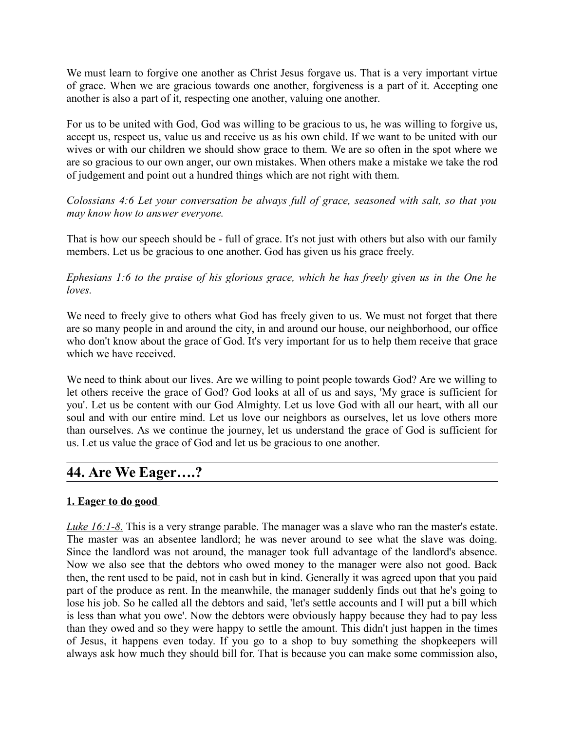We must learn to forgive one another as Christ Jesus forgave us. That is a very important virtue of grace. When we are gracious towards one another, forgiveness is a part of it. Accepting one another is also a part of it, respecting one another, valuing one another.

For us to be united with God, God was willing to be gracious to us, he was willing to forgive us, accept us, respect us, value us and receive us as his own child. If we want to be united with our wives or with our children we should show grace to them. We are so often in the spot where we are so gracious to our own anger, our own mistakes. When others make a mistake we take the rod of judgement and point out a hundred things which are not right with them.

*Colossians 4:6 Let your conversation be always full of grace, seasoned with salt, so that you may know how to answer everyone.*

That is how our speech should be - full of grace. It's not just with others but also with our family members. Let us be gracious to one another. God has given us his grace freely.

*Ephesians 1:6 to the praise of his glorious grace, which he has freely given us in the One he loves.*

We need to freely give to others what God has freely given to us. We must not forget that there are so many people in and around the city, in and around our house, our neighborhood, our office who don't know about the grace of God. It's very important for us to help them receive that grace which we have received.

We need to think about our lives. Are we willing to point people towards God? Are we willing to let others receive the grace of God? God looks at all of us and says, 'My grace is sufficient for you'. Let us be content with our God Almighty. Let us love God with all our heart, with all our soul and with our entire mind. Let us love our neighbors as ourselves, let us love others more than ourselves. As we continue the journey, let us understand the grace of God is sufficient for us. Let us value the grace of God and let us be gracious to one another.

## **44. Are We Eager….?**

#### **1. Eager to do good**

*Luke 16:1-8.* This is a very strange parable. The manager was a slave who ran the master's estate. The master was an absentee landlord; he was never around to see what the slave was doing. Since the landlord was not around, the manager took full advantage of the landlord's absence. Now we also see that the debtors who owed money to the manager were also not good. Back then, the rent used to be paid, not in cash but in kind. Generally it was agreed upon that you paid part of the produce as rent. In the meanwhile, the manager suddenly finds out that he's going to lose his job. So he called all the debtors and said, 'let's settle accounts and I will put a bill which is less than what you owe'. Now the debtors were obviously happy because they had to pay less than they owed and so they were happy to settle the amount. This didn't just happen in the times of Jesus, it happens even today. If you go to a shop to buy something the shopkeepers will always ask how much they should bill for. That is because you can make some commission also,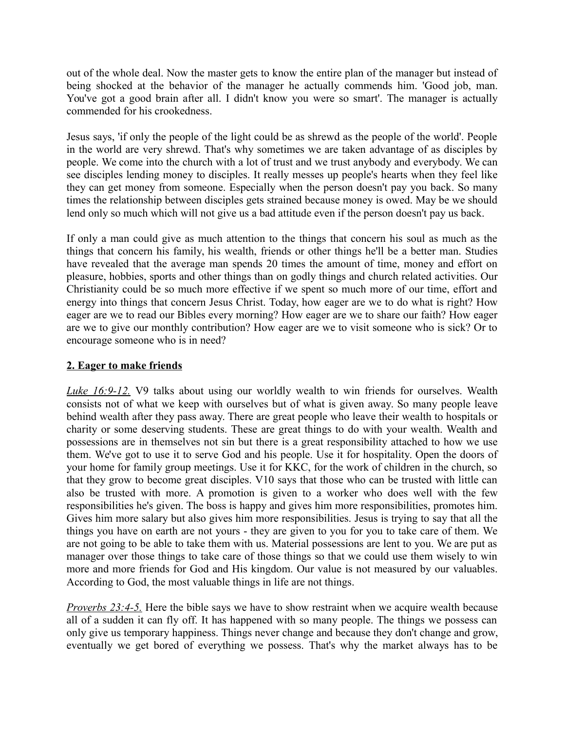out of the whole deal. Now the master gets to know the entire plan of the manager but instead of being shocked at the behavior of the manager he actually commends him. 'Good job, man. You've got a good brain after all. I didn't know you were so smart'. The manager is actually commended for his crookedness.

Jesus says, 'if only the people of the light could be as shrewd as the people of the world'. People in the world are very shrewd. That's why sometimes we are taken advantage of as disciples by people. We come into the church with a lot of trust and we trust anybody and everybody. We can see disciples lending money to disciples. It really messes up people's hearts when they feel like they can get money from someone. Especially when the person doesn't pay you back. So many times the relationship between disciples gets strained because money is owed. May be we should lend only so much which will not give us a bad attitude even if the person doesn't pay us back.

If only a man could give as much attention to the things that concern his soul as much as the things that concern his family, his wealth, friends or other things he'll be a better man. Studies have revealed that the average man spends 20 times the amount of time, money and effort on pleasure, hobbies, sports and other things than on godly things and church related activities. Our Christianity could be so much more effective if we spent so much more of our time, effort and energy into things that concern Jesus Christ. Today, how eager are we to do what is right? How eager are we to read our Bibles every morning? How eager are we to share our faith? How eager are we to give our monthly contribution? How eager are we to visit someone who is sick? Or to encourage someone who is in need?

#### **2. Eager to make friends**

*Luke 16:9-12.* V9 talks about using our worldly wealth to win friends for ourselves. Wealth consists not of what we keep with ourselves but of what is given away. So many people leave behind wealth after they pass away. There are great people who leave their wealth to hospitals or charity or some deserving students. These are great things to do with your wealth. Wealth and possessions are in themselves not sin but there is a great responsibility attached to how we use them. We've got to use it to serve God and his people. Use it for hospitality. Open the doors of your home for family group meetings. Use it for KKC, for the work of children in the church, so that they grow to become great disciples. V10 says that those who can be trusted with little can also be trusted with more. A promotion is given to a worker who does well with the few responsibilities he's given. The boss is happy and gives him more responsibilities, promotes him. Gives him more salary but also gives him more responsibilities. Jesus is trying to say that all the things you have on earth are not yours - they are given to you for you to take care of them. We are not going to be able to take them with us. Material possessions are lent to you. We are put as manager over those things to take care of those things so that we could use them wisely to win more and more friends for God and His kingdom. Our value is not measured by our valuables. According to God, the most valuable things in life are not things.

*Proverbs 23:4-5.* Here the bible says we have to show restraint when we acquire wealth because all of a sudden it can fly off. It has happened with so many people. The things we possess can only give us temporary happiness. Things never change and because they don't change and grow, eventually we get bored of everything we possess. That's why the market always has to be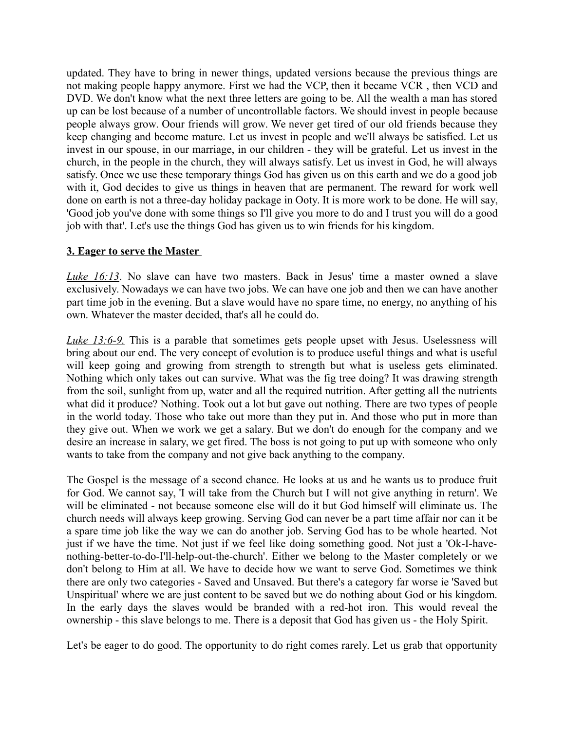updated. They have to bring in newer things, updated versions because the previous things are not making people happy anymore. First we had the VCP, then it became VCR , then VCD and DVD. We don't know what the next three letters are going to be. All the wealth a man has stored up can be lost because of a number of uncontrollable factors. We should invest in people because people always grow. Oour friends will grow. We never get tired of our old friends because they keep changing and become mature. Let us invest in people and we'll always be satisfied. Let us invest in our spouse, in our marriage, in our children - they will be grateful. Let us invest in the church, in the people in the church, they will always satisfy. Let us invest in God, he will always satisfy. Once we use these temporary things God has given us on this earth and we do a good job with it, God decides to give us things in heaven that are permanent. The reward for work well done on earth is not a three-day holiday package in Ooty. It is more work to be done. He will say, 'Good job you've done with some things so I'll give you more to do and I trust you will do a good job with that'. Let's use the things God has given us to win friends for his kingdom.

#### **3. Eager to serve the Master**

*Luke 16:13*. No slave can have two masters. Back in Jesus' time a master owned a slave exclusively. Nowadays we can have two jobs. We can have one job and then we can have another part time job in the evening. But a slave would have no spare time, no energy, no anything of his own. Whatever the master decided, that's all he could do.

*Luke 13:6-9.* This is a parable that sometimes gets people upset with Jesus. Uselessness will bring about our end. The very concept of evolution is to produce useful things and what is useful will keep going and growing from strength to strength but what is useless gets eliminated. Nothing which only takes out can survive. What was the fig tree doing? It was drawing strength from the soil, sunlight from up, water and all the required nutrition. After getting all the nutrients what did it produce? Nothing. Took out a lot but gave out nothing. There are two types of people in the world today. Those who take out more than they put in. And those who put in more than they give out. When we work we get a salary. But we don't do enough for the company and we desire an increase in salary, we get fired. The boss is not going to put up with someone who only wants to take from the company and not give back anything to the company.

The Gospel is the message of a second chance. He looks at us and he wants us to produce fruit for God. We cannot say, 'I will take from the Church but I will not give anything in return'. We will be eliminated - not because someone else will do it but God himself will eliminate us. The church needs will always keep growing. Serving God can never be a part time affair nor can it be a spare time job like the way we can do another job. Serving God has to be whole hearted. Not just if we have the time. Not just if we feel like doing something good. Not just a 'Ok-I-havenothing-better-to-do-I'll-help-out-the-church'. Either we belong to the Master completely or we don't belong to Him at all. We have to decide how we want to serve God. Sometimes we think there are only two categories - Saved and Unsaved. But there's a category far worse ie 'Saved but Unspiritual' where we are just content to be saved but we do nothing about God or his kingdom. In the early days the slaves would be branded with a red-hot iron. This would reveal the ownership - this slave belongs to me. There is a deposit that God has given us - the Holy Spirit.

Let's be eager to do good. The opportunity to do right comes rarely. Let us grab that opportunity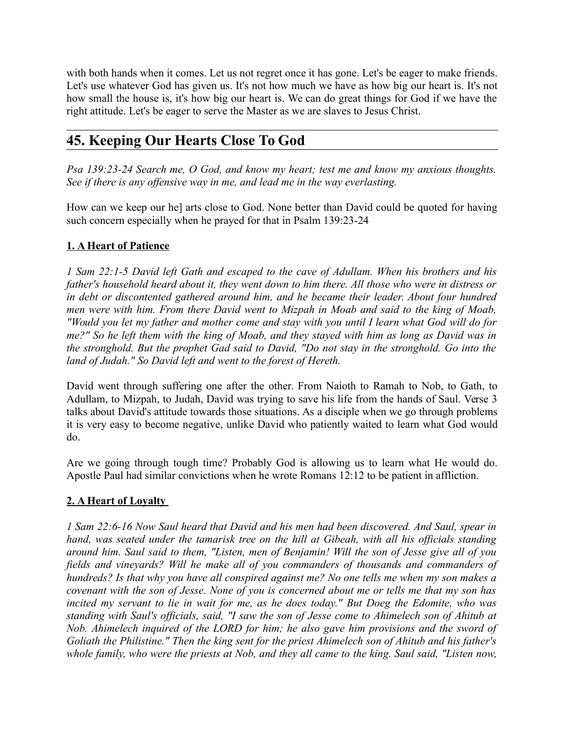with both hands when it comes. Let us not regret once it has gone. Let's be eager to make friends. Let's use whatever God has given us. It's not how much we have as how big our heart is. It's not how small the house is, it's how big our heart is. We can do great things for God if we have the right attitude. Let's be eager to serve the Master as we are slaves to Jesus Christ.

# **45. Keeping Our Hearts Close To God**

*Psa 139:23-24 Search me, O God, and know my heart; test me and know my anxious thoughts. See if there is any offensive way in me, and lead me in the way everlasting.*

How can we keep our he] arts close to God. None better than David could be quoted for having such concern especially when he prayed for that in Psalm 139:23-24

### **1. A Heart of Patience**

*1 Sam 22:1-5 David left Gath and escaped to the cave of Adullam. When his brothers and his father's household heard about it, they went down to him there. All those who were in distress or in debt or discontented gathered around him, and he became their leader. About four hundred men were with him. From there David went to Mizpah in Moab and said to the king of Moab, "Would you let my father and mother come and stay with you until I learn what God will do for me?" So he left them with the king of Moab, and they stayed with him as long as David was in the stronghold. But the prophet Gad said to David, "Do not stay in the stronghold. Go into the land of Judah." So David left and went to the forest of Hereth.*

David went through suffering one after the other. From Naioth to Ramah to Nob, to Gath, to Adullam, to Mizpah, to Judah, David was trying to save his life from the hands of Saul. Verse 3 talks about David's attitude towards those situations. As a disciple when we go through problems it is very easy to become negative, unlike David who patiently waited to learn what God would do.

Are we going through tough time? Probably God is allowing us to learn what He would do. Apostle Paul had similar convictions when he wrote Romans 12:12 to be patient in affliction.

### **2. A Heart of Loyalty**

*1 Sam 22:6-16 Now Saul heard that David and his men had been discovered. And Saul, spear in hand, was seated under the tamarisk tree on the hill at Gibeah, with all his officials standing around him. Saul said to them, "Listen, men of Benjamin! Will the son of Jesse give all of you fields and vineyards? Will he make all of you commanders of thousands and commanders of hundreds? Is that why you have all conspired against me? No one tells me when my son makes a covenant with the son of Jesse. None of you is concerned about me or tells me that my son has incited my servant to lie in wait for me, as he does today." But Doeg the Edomite, who was standing with Saul's officials, said, "I saw the son of Jesse come to Ahimelech son of Ahitub at Nob. Ahimelech inquired of the LORD for him; he also gave him provisions and the sword of Goliath the Philistine." Then the king sent for the priest Ahimelech son of Ahitub and his father's whole family, who were the priests at Nob, and they all came to the king. Saul said, "Listen now,*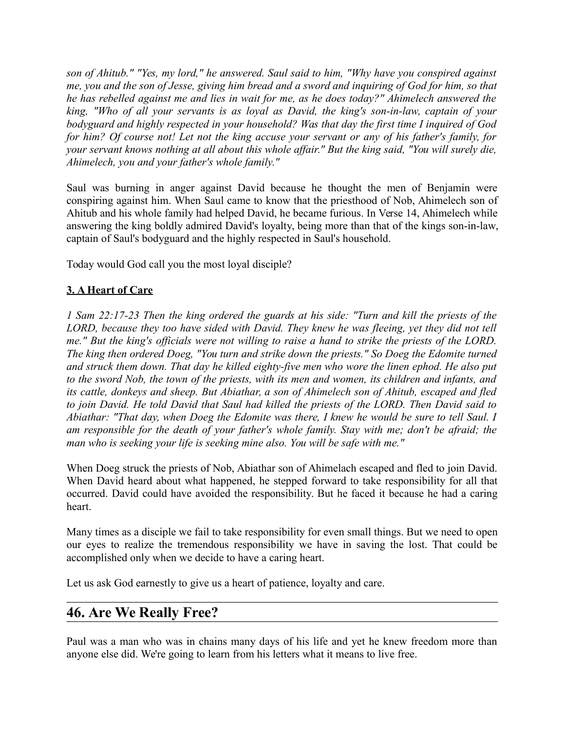*son of Ahitub." "Yes, my lord," he answered. Saul said to him, "Why have you conspired against me, you and the son of Jesse, giving him bread and a sword and inquiring of God for him, so that he has rebelled against me and lies in wait for me, as he does today?" Ahimelech answered the king, "Who of all your servants is as loyal as David, the king's son-in-law, captain of your bodyguard and highly respected in your household? Was that day the first time I inquired of God for him? Of course not! Let not the king accuse your servant or any of his father's family, for your servant knows nothing at all about this whole affair." But the king said, "You will surely die, Ahimelech, you and your father's whole family."* 

Saul was burning in anger against David because he thought the men of Benjamin were conspiring against him. When Saul came to know that the priesthood of Nob, Ahimelech son of Ahitub and his whole family had helped David, he became furious. In Verse 14, Ahimelech while answering the king boldly admired David's loyalty, being more than that of the kings son-in-law, captain of Saul's bodyguard and the highly respected in Saul's household.

Today would God call you the most loyal disciple?

#### **3. A Heart of Care**

*1 Sam 22:17-23 Then the king ordered the guards at his side: "Turn and kill the priests of the LORD, because they too have sided with David. They knew he was fleeing, yet they did not tell me." But the king's officials were not willing to raise a hand to strike the priests of the LORD. The king then ordered Doeg, "You turn and strike down the priests." So Doeg the Edomite turned and struck them down. That day he killed eighty-five men who wore the linen ephod. He also put to the sword Nob, the town of the priests, with its men and women, its children and infants, and its cattle, donkeys and sheep. But Abiathar, a son of Ahimelech son of Ahitub, escaped and fled to join David. He told David that Saul had killed the priests of the LORD. Then David said to Abiathar: "That day, when Doeg the Edomite was there, I knew he would be sure to tell Saul. I am responsible for the death of your father's whole family. Stay with me; don't be afraid; the man who is seeking your life is seeking mine also. You will be safe with me."* 

When Doeg struck the priests of Nob, Abiathar son of Ahimelach escaped and fled to join David. When David heard about what happened, he stepped forward to take responsibility for all that occurred. David could have avoided the responsibility. But he faced it because he had a caring heart.

Many times as a disciple we fail to take responsibility for even small things. But we need to open our eyes to realize the tremendous responsibility we have in saving the lost. That could be accomplished only when we decide to have a caring heart.

Let us ask God earnestly to give us a heart of patience, loyalty and care.

## **46. Are We Really Free?**

Paul was a man who was in chains many days of his life and yet he knew freedom more than anyone else did. We're going to learn from his letters what it means to live free.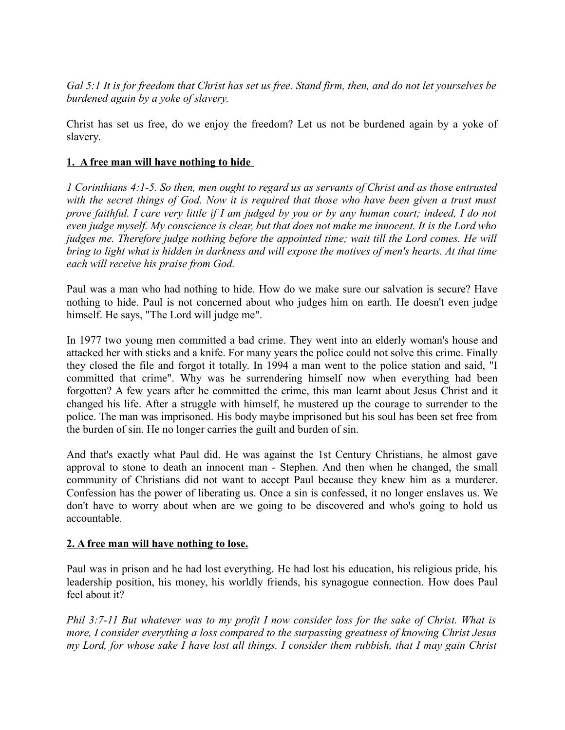*Gal 5:1 It is for freedom that Christ has set us free. Stand firm, then, and do not let yourselves be burdened again by a yoke of slavery.* 

Christ has set us free, do we enjoy the freedom? Let us not be burdened again by a yoke of slavery.

#### **1. A free man will have nothing to hide**

*1 Corinthians 4:1-5. So then, men ought to regard us as servants of Christ and as those entrusted with the secret things of God. Now it is required that those who have been given a trust must prove faithful. I care very little if I am judged by you or by any human court; indeed, I do not even judge myself. My conscience is clear, but that does not make me innocent. It is the Lord who judges me. Therefore judge nothing before the appointed time; wait till the Lord comes. He will bring to light what is hidden in darkness and will expose the motives of men's hearts. At that time each will receive his praise from God.*

Paul was a man who had nothing to hide. How do we make sure our salvation is secure? Have nothing to hide. Paul is not concerned about who judges him on earth. He doesn't even judge himself. He says, "The Lord will judge me".

In 1977 two young men committed a bad crime. They went into an elderly woman's house and attacked her with sticks and a knife. For many years the police could not solve this crime. Finally they closed the file and forgot it totally. In 1994 a man went to the police station and said, "I committed that crime". Why was he surrendering himself now when everything had been forgotten? A few years after he committed the crime, this man learnt about Jesus Christ and it changed his life. After a struggle with himself, he mustered up the courage to surrender to the police. The man was imprisoned. His body maybe imprisoned but his soul has been set free from the burden of sin. He no longer carries the guilt and burden of sin.

And that's exactly what Paul did. He was against the 1st Century Christians, he almost gave approval to stone to death an innocent man - Stephen. And then when he changed, the small community of Christians did not want to accept Paul because they knew him as a murderer. Confession has the power of liberating us. Once a sin is confessed, it no longer enslaves us. We don't have to worry about when are we going to be discovered and who's going to hold us accountable.

#### **2. A free man will have nothing to lose.**

Paul was in prison and he had lost everything. He had lost his education, his religious pride, his leadership position, his money, his worldly friends, his synagogue connection. How does Paul feel about it?

*Phil 3:7-11 But whatever was to my profit I now consider loss for the sake of Christ. What is more, I consider everything a loss compared to the surpassing greatness of knowing Christ Jesus my Lord, for whose sake I have lost all things. I consider them rubbish, that I may gain Christ*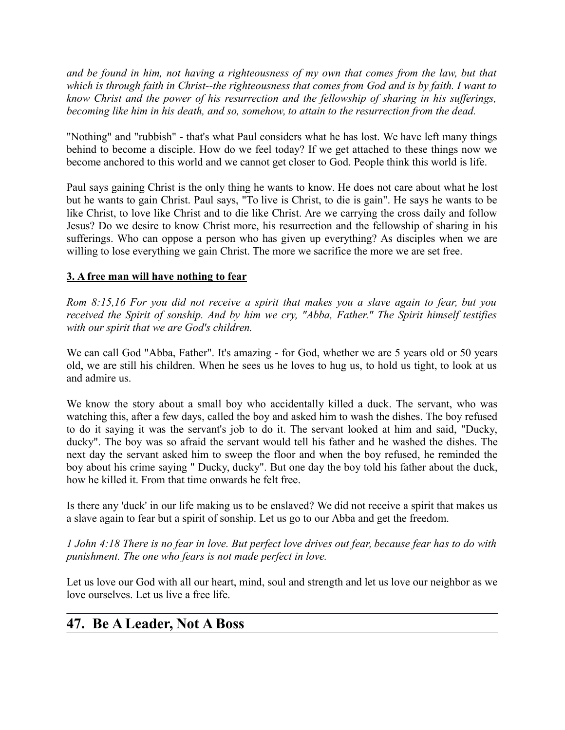*and be found in him, not having a righteousness of my own that comes from the law, but that which is through faith in Christ--the righteousness that comes from God and is by faith. I want to know Christ and the power of his resurrection and the fellowship of sharing in his sufferings, becoming like him in his death, and so, somehow, to attain to the resurrection from the dead.*

"Nothing" and "rubbish" - that's what Paul considers what he has lost. We have left many things behind to become a disciple. How do we feel today? If we get attached to these things now we become anchored to this world and we cannot get closer to God. People think this world is life.

Paul says gaining Christ is the only thing he wants to know. He does not care about what he lost but he wants to gain Christ. Paul says, "To live is Christ, to die is gain". He says he wants to be like Christ, to love like Christ and to die like Christ. Are we carrying the cross daily and follow Jesus? Do we desire to know Christ more, his resurrection and the fellowship of sharing in his sufferings. Who can oppose a person who has given up everything? As disciples when we are willing to lose everything we gain Christ. The more we sacrifice the more we are set free.

#### **3. A free man will have nothing to fear**

*Rom 8:15,16 For you did not receive a spirit that makes you a slave again to fear, but you received the Spirit of sonship. And by him we cry, "Abba, Father." The Spirit himself testifies with our spirit that we are God's children.*

We can call God "Abba, Father". It's amazing - for God, whether we are 5 years old or 50 years old, we are still his children. When he sees us he loves to hug us, to hold us tight, to look at us and admire us.

We know the story about a small boy who accidentally killed a duck. The servant, who was watching this, after a few days, called the boy and asked him to wash the dishes. The boy refused to do it saying it was the servant's job to do it. The servant looked at him and said, "Ducky, ducky". The boy was so afraid the servant would tell his father and he washed the dishes. The next day the servant asked him to sweep the floor and when the boy refused, he reminded the boy about his crime saying " Ducky, ducky". But one day the boy told his father about the duck, how he killed it. From that time onwards he felt free.

Is there any 'duck' in our life making us to be enslaved? We did not receive a spirit that makes us a slave again to fear but a spirit of sonship. Let us go to our Abba and get the freedom.

*1 John 4:18 There is no fear in love. But perfect love drives out fear, because fear has to do with punishment. The one who fears is not made perfect in love.*

Let us love our God with all our heart, mind, soul and strength and let us love our neighbor as we love ourselves. Let us live a free life.

## **47. Be A Leader, Not A Boss**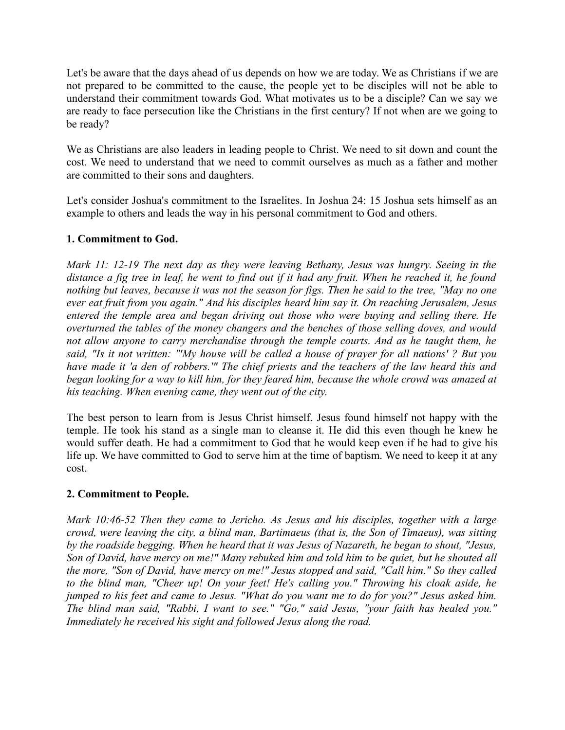Let's be aware that the days ahead of us depends on how we are today. We as Christians if we are not prepared to be committed to the cause, the people yet to be disciples will not be able to understand their commitment towards God. What motivates us to be a disciple? Can we say we are ready to face persecution like the Christians in the first century? If not when are we going to be ready?

We as Christians are also leaders in leading people to Christ. We need to sit down and count the cost. We need to understand that we need to commit ourselves as much as a father and mother are committed to their sons and daughters.

Let's consider Joshua's commitment to the Israelites. In Joshua 24: 15 Joshua sets himself as an example to others and leads the way in his personal commitment to God and others.

#### **1. Commitment to God.**

*Mark 11: 12-19 The next day as they were leaving Bethany, Jesus was hungry. Seeing in the distance a fig tree in leaf, he went to find out if it had any fruit. When he reached it, he found nothing but leaves, because it was not the season for figs. Then he said to the tree, "May no one ever eat fruit from you again." And his disciples heard him say it. On reaching Jerusalem, Jesus entered the temple area and began driving out those who were buying and selling there. He overturned the tables of the money changers and the benches of those selling doves, and would not allow anyone to carry merchandise through the temple courts. And as he taught them, he said, "Is it not written: "'My house will be called a house of prayer for all nations' ? But you have made it 'a den of robbers.'" The chief priests and the teachers of the law heard this and began looking for a way to kill him, for they feared him, because the whole crowd was amazed at his teaching. When evening came, they went out of the city.* 

The best person to learn from is Jesus Christ himself. Jesus found himself not happy with the temple. He took his stand as a single man to cleanse it. He did this even though he knew he would suffer death. He had a commitment to God that he would keep even if he had to give his life up. We have committed to God to serve him at the time of baptism. We need to keep it at any cost.

#### **2. Commitment to People.**

*Mark 10:46-52 Then they came to Jericho. As Jesus and his disciples, together with a large crowd, were leaving the city, a blind man, Bartimaeus (that is, the Son of Timaeus), was sitting by the roadside begging. When he heard that it was Jesus of Nazareth, he began to shout, "Jesus, Son of David, have mercy on me!" Many rebuked him and told him to be quiet, but he shouted all the more, "Son of David, have mercy on me!" Jesus stopped and said, "Call him." So they called to the blind man, "Cheer up! On your feet! He's calling you." Throwing his cloak aside, he jumped to his feet and came to Jesus. "What do you want me to do for you?" Jesus asked him. The blind man said, "Rabbi, I want to see." "Go," said Jesus, "your faith has healed you." Immediately he received his sight and followed Jesus along the road.*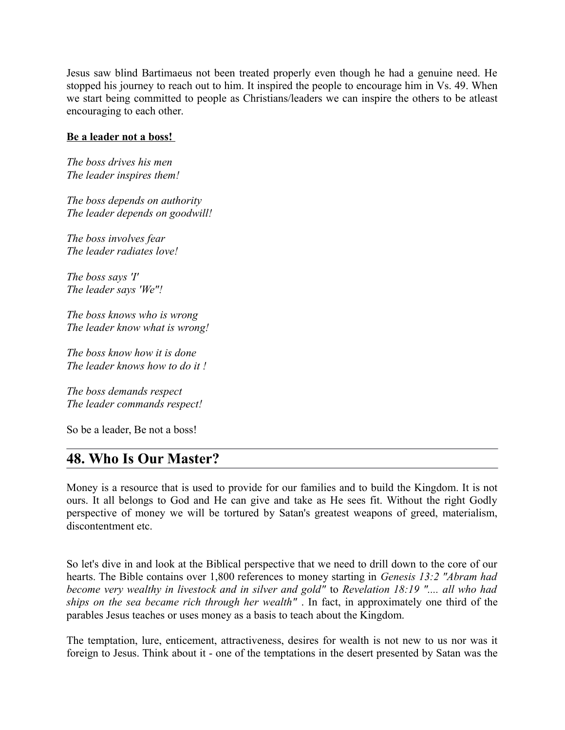Jesus saw blind Bartimaeus not been treated properly even though he had a genuine need. He stopped his journey to reach out to him. It inspired the people to encourage him in Vs. 49. When we start being committed to people as Christians/leaders we can inspire the others to be atleast encouraging to each other.

#### **Be a leader not a boss!**

*The boss drives his men The leader inspires them!* 

*The boss depends on authority The leader depends on goodwill!* 

*The boss involves fear The leader radiates love!* 

*The boss says 'I' The leader says 'We"!* 

*The boss knows who is wrong The leader know what is wrong!* 

*The boss know how it is done The leader knows how to do it !* 

*The boss demands respect The leader commands respect!*

So be a leader, Be not a boss!

## **48. Who Is Our Master?**

Money is a resource that is used to provide for our families and to build the Kingdom. It is not ours. It all belongs to God and He can give and take as He sees fit. Without the right Godly perspective of money we will be tortured by Satan's greatest weapons of greed, materialism, discontentment etc.

So let's dive in and look at the Biblical perspective that we need to drill down to the core of our hearts. The Bible contains over 1,800 references to money starting in *Genesis 13:2 "Abram had become very wealthy in livestock and in silver and gold"* to *Revelation 18:19 ".... all who had ships on the sea became rich through her wealth"* . In fact, in approximately one third of the parables Jesus teaches or uses money as a basis to teach about the Kingdom.

The temptation, lure, enticement, attractiveness, desires for wealth is not new to us nor was it foreign to Jesus. Think about it - one of the temptations in the desert presented by Satan was the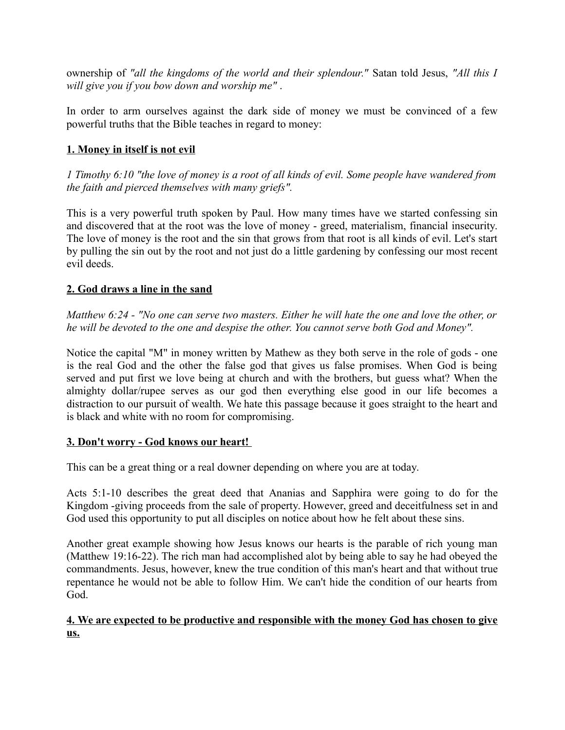ownership of *"all the kingdoms of the world and their splendour."* Satan told Jesus, *"All this I will give you if you bow down and worship me"* .

In order to arm ourselves against the dark side of money we must be convinced of a few powerful truths that the Bible teaches in regard to money:

### **1. Money in itself is not evil**

*1 Timothy 6:10 "the love of money is a root of all kinds of evil. Some people have wandered from the faith and pierced themselves with many griefs".*

This is a very powerful truth spoken by Paul. How many times have we started confessing sin and discovered that at the root was the love of money - greed, materialism, financial insecurity. The love of money is the root and the sin that grows from that root is all kinds of evil. Let's start by pulling the sin out by the root and not just do a little gardening by confessing our most recent evil deeds.

### **2. God draws a line in the sand**

*Matthew 6:24 - "No one can serve two masters. Either he will hate the one and love the other, or he will be devoted to the one and despise the other. You cannot serve both God and Money".*

Notice the capital "M" in money written by Mathew as they both serve in the role of gods - one is the real God and the other the false god that gives us false promises. When God is being served and put first we love being at church and with the brothers, but guess what? When the almighty dollar/rupee serves as our god then everything else good in our life becomes a distraction to our pursuit of wealth. We hate this passage because it goes straight to the heart and is black and white with no room for compromising.

### **3. Don't worry - God knows our heart!**

This can be a great thing or a real downer depending on where you are at today.

Acts 5:1-10 describes the great deed that Ananias and Sapphira were going to do for the Kingdom -giving proceeds from the sale of property. However, greed and deceitfulness set in and God used this opportunity to put all disciples on notice about how he felt about these sins.

Another great example showing how Jesus knows our hearts is the parable of rich young man (Matthew 19:16-22). The rich man had accomplished alot by being able to say he had obeyed the commandments. Jesus, however, knew the true condition of this man's heart and that without true repentance he would not be able to follow Him. We can't hide the condition of our hearts from God.

#### **4. We are expected to be productive and responsible with the money God has chosen to give us.**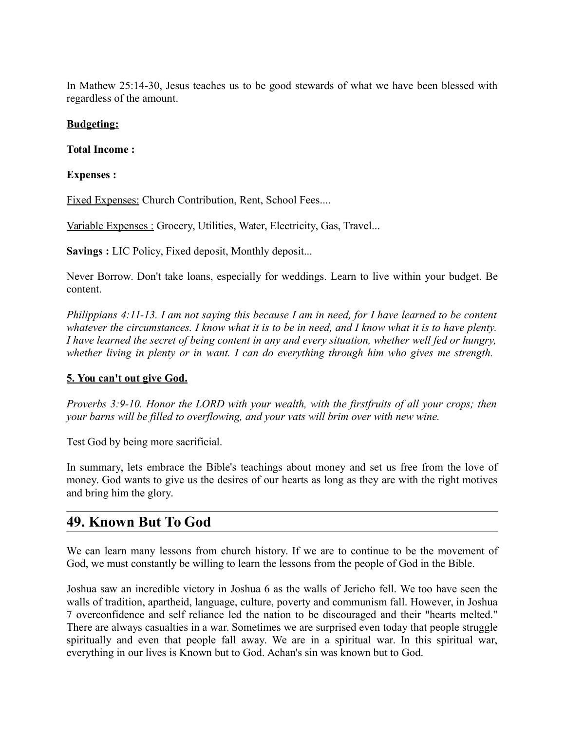In Mathew 25:14-30, Jesus teaches us to be good stewards of what we have been blessed with regardless of the amount.

### **Budgeting:**

#### **Total Income :**

#### **Expenses :**

Fixed Expenses: Church Contribution, Rent, School Fees....

Variable Expenses : Grocery, Utilities, Water, Electricity, Gas, Travel...

**Savings :** LIC Policy, Fixed deposit, Monthly deposit...

Never Borrow. Don't take loans, especially for weddings. Learn to live within your budget. Be content.

*Philippians 4:11-13. I am not saying this because I am in need, for I have learned to be content whatever the circumstances. I know what it is to be in need, and I know what it is to have plenty. I have learned the secret of being content in any and every situation, whether well fed or hungry, whether living in plenty or in want. I can do everything through him who gives me strength.*

### **5. You can't out give God.**

*Proverbs 3:9-10. Honor the LORD with your wealth, with the firstfruits of all your crops; then your barns will be filled to overflowing, and your vats will brim over with new wine.*

Test God by being more sacrificial.

In summary, lets embrace the Bible's teachings about money and set us free from the love of money. God wants to give us the desires of our hearts as long as they are with the right motives and bring him the glory.

# **49. Known But To God**

We can learn many lessons from church history. If we are to continue to be the movement of God, we must constantly be willing to learn the lessons from the people of God in the Bible.

Joshua saw an incredible victory in Joshua 6 as the walls of Jericho fell. We too have seen the walls of tradition, apartheid, language, culture, poverty and communism fall. However, in Joshua 7 overconfidence and self reliance led the nation to be discouraged and their "hearts melted." There are always casualties in a war. Sometimes we are surprised even today that people struggle spiritually and even that people fall away. We are in a spiritual war. In this spiritual war, everything in our lives is Known but to God. Achan's sin was known but to God.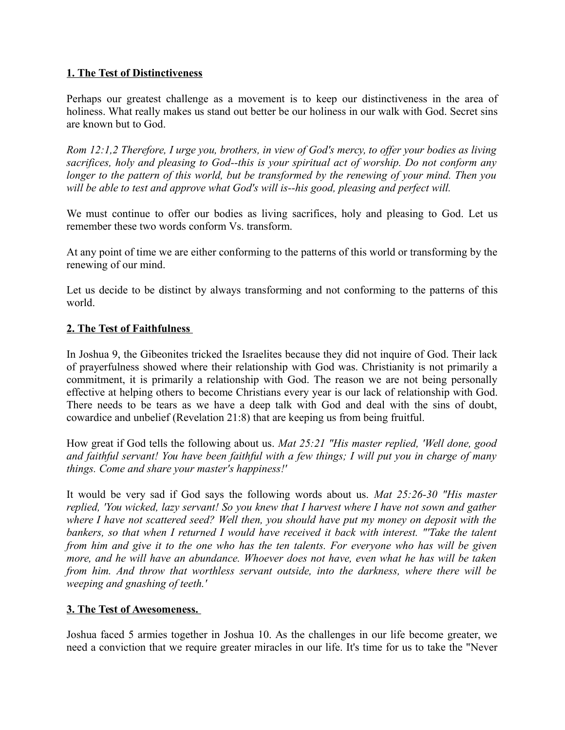#### **1. The Test of Distinctiveness**

Perhaps our greatest challenge as a movement is to keep our distinctiveness in the area of holiness. What really makes us stand out better be our holiness in our walk with God. Secret sins are known but to God.

*Rom 12:1,2 Therefore, I urge you, brothers, in view of God's mercy, to offer your bodies as living sacrifices, holy and pleasing to God--this is your spiritual act of worship. Do not conform any longer to the pattern of this world, but be transformed by the renewing of your mind. Then you will be able to test and approve what God's will is--his good, pleasing and perfect will.*

We must continue to offer our bodies as living sacrifices, holy and pleasing to God. Let us remember these two words conform Vs. transform.

At any point of time we are either conforming to the patterns of this world or transforming by the renewing of our mind.

Let us decide to be distinct by always transforming and not conforming to the patterns of this world.

#### **2. The Test of Faithfulness**

In Joshua 9, the Gibeonites tricked the Israelites because they did not inquire of God. Their lack of prayerfulness showed where their relationship with God was. Christianity is not primarily a commitment, it is primarily a relationship with God. The reason we are not being personally effective at helping others to become Christians every year is our lack of relationship with God. There needs to be tears as we have a deep talk with God and deal with the sins of doubt, cowardice and unbelief (Revelation 21:8) that are keeping us from being fruitful.

How great if God tells the following about us. *Mat 25:21 "His master replied, 'Well done, good and faithful servant! You have been faithful with a few things; I will put you in charge of many things. Come and share your master's happiness!'* 

It would be very sad if God says the following words about us. *Mat 25:26-30 "His master replied, 'You wicked, lazy servant! So you knew that I harvest where I have not sown and gather where I have not scattered seed? Well then, you should have put my money on deposit with the bankers, so that when I returned I would have received it back with interest. "'Take the talent from him and give it to the one who has the ten talents. For everyone who has will be given more, and he will have an abundance. Whoever does not have, even what he has will be taken from him. And throw that worthless servant outside, into the darkness, where there will be weeping and gnashing of teeth.'*

#### **3. The Test of Awesomeness.**

Joshua faced 5 armies together in Joshua 10. As the challenges in our life become greater, we need a conviction that we require greater miracles in our life. It's time for us to take the "Never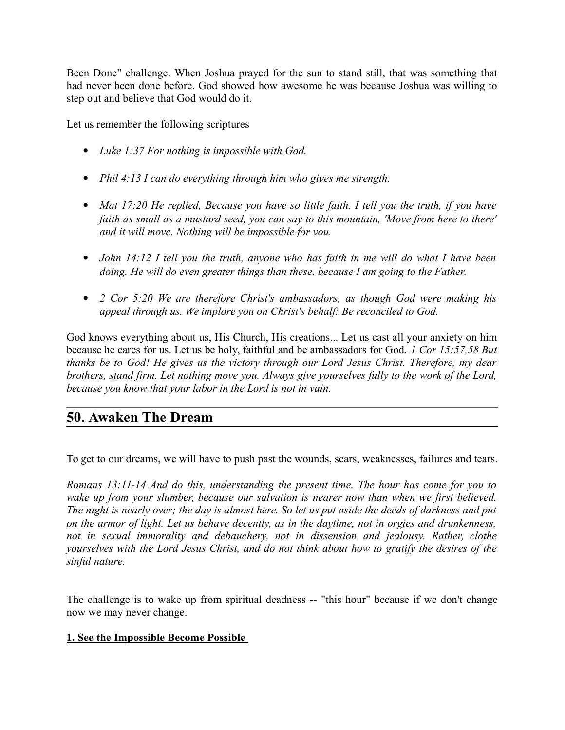Been Done" challenge. When Joshua prayed for the sun to stand still, that was something that had never been done before. God showed how awesome he was because Joshua was willing to step out and believe that God would do it.

Let us remember the following scriptures

- *Luke 1:37 For nothing is impossible with God.*
- *Phil 4:13 I can do everything through him who gives me strength.*
- *Mat 17:20 He replied, Because you have so little faith. I tell you the truth, if you have faith as small as a mustard seed, you can say to this mountain, 'Move from here to there' and it will move. Nothing will be impossible for you.*
- *John 14:12 I tell you the truth, anyone who has faith in me will do what I have been doing. He will do even greater things than these, because I am going to the Father.*
- *2 Cor 5:20 We are therefore Christ's ambassadors, as though God were making his appeal through us. We implore you on Christ's behalf: Be reconciled to God.*

God knows everything about us, His Church, His creations... Let us cast all your anxiety on him because he cares for us. Let us be holy, faithful and be ambassadors for God. *1 Cor 15:57,58 But thanks be to God! He gives us the victory through our Lord Jesus Christ. Therefore, my dear brothers, stand firm. Let nothing move you. Always give yourselves fully to the work of the Lord, because you know that your labor in the Lord is not in vain.*

## **50. Awaken The Dream**

To get to our dreams, we will have to push past the wounds, scars, weaknesses, failures and tears.

*Romans 13:11-14 And do this, understanding the present time. The hour has come for you to wake up from your slumber, because our salvation is nearer now than when we first believed. The night is nearly over; the day is almost here. So let us put aside the deeds of darkness and put on the armor of light. Let us behave decently, as in the daytime, not in orgies and drunkenness, not in sexual immorality and debauchery, not in dissension and jealousy. Rather, clothe yourselves with the Lord Jesus Christ, and do not think about how to gratify the desires of the sinful nature.* 

The challenge is to wake up from spiritual deadness -- "this hour" because if we don't change now we may never change.

#### **1. See the Impossible Become Possible**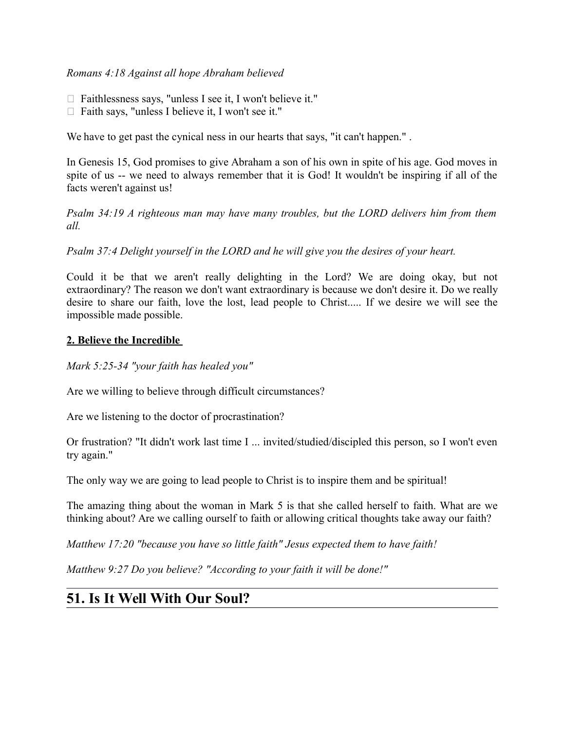#### *Romans 4:18 Against all hope Abraham believed*

- $\Box$  Faithlessness says, "unless I see it, I won't believe it."
- $\Box$  Faith says, "unless I believe it, I won't see it."

We have to get past the cynical ness in our hearts that says, "it can't happen.".

In Genesis 15, God promises to give Abraham a son of his own in spite of his age. God moves in spite of us -- we need to always remember that it is God! It wouldn't be inspiring if all of the facts weren't against us!

*Psalm 34:19 A righteous man may have many troubles, but the LORD delivers him from them all.* 

*Psalm 37:4 Delight yourself in the LORD and he will give you the desires of your heart.*

Could it be that we aren't really delighting in the Lord? We are doing okay, but not extraordinary? The reason we don't want extraordinary is because we don't desire it. Do we really desire to share our faith, love the lost, lead people to Christ..... If we desire we will see the impossible made possible.

#### **2. Believe the Incredible**

*Mark 5:25-34 "your faith has healed you"*

Are we willing to believe through difficult circumstances?

Are we listening to the doctor of procrastination?

Or frustration? "It didn't work last time I ... invited/studied/discipled this person, so I won't even try again."

The only way we are going to lead people to Christ is to inspire them and be spiritual!

The amazing thing about the woman in Mark 5 is that she called herself to faith. What are we thinking about? Are we calling ourself to faith or allowing critical thoughts take away our faith?

*Matthew 17:20 "because you have so little faith" Jesus expected them to have faith!* 

*Matthew 9:27 Do you believe? "According to your faith it will be done!"*

## **51. Is It Well With Our Soul?**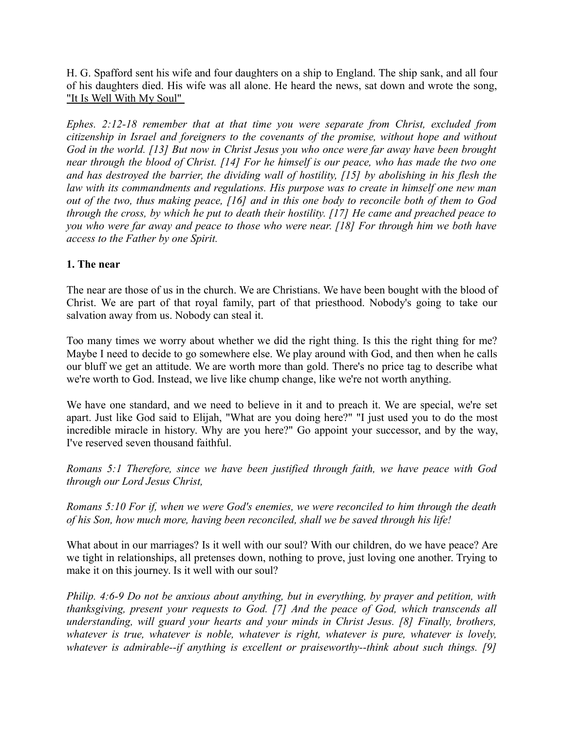H. G. Spafford sent his wife and four daughters on a ship to England. The ship sank, and all four of his daughters died. His wife was all alone. He heard the news, sat down and wrote the song, ["It Is Well With My Soul"](http://en.wikipedia.org/wiki/Horatio_Spafford) 

*Ephes. 2:12-18 remember that at that time you were separate from Christ, excluded from citizenship in Israel and foreigners to the covenants of the promise, without hope and without God in the world. [13] But now in Christ Jesus you who once were far away have been brought near through the blood of Christ. [14] For he himself is our peace, who has made the two one and has destroyed the barrier, the dividing wall of hostility, [15] by abolishing in his flesh the law with its commandments and regulations. His purpose was to create in himself one new man out of the two, thus making peace, [16] and in this one body to reconcile both of them to God through the cross, by which he put to death their hostility. [17] He came and preached peace to you who were far away and peace to those who were near. [18] For through him we both have access to the Father by one Spirit.*

#### **1. The near**

The near are those of us in the church. We are Christians. We have been bought with the blood of Christ. We are part of that royal family, part of that priesthood. Nobody's going to take our salvation away from us. Nobody can steal it.

Too many times we worry about whether we did the right thing. Is this the right thing for me? Maybe I need to decide to go somewhere else. We play around with God, and then when he calls our bluff we get an attitude. We are worth more than gold. There's no price tag to describe what we're worth to God. Instead, we live like chump change, like we're not worth anything.

We have one standard, and we need to believe in it and to preach it. We are special, we're set apart. Just like God said to Elijah, "What are you doing here?" "I just used you to do the most incredible miracle in history. Why are you here?" Go appoint your successor, and by the way, I've reserved seven thousand faithful.

*Romans 5:1 Therefore, since we have been justified through faith, we have peace with God through our Lord Jesus Christ,* 

*Romans 5:10 For if, when we were God's enemies, we were reconciled to him through the death of his Son, how much more, having been reconciled, shall we be saved through his life!*

What about in our marriages? Is it well with our soul? With our children, do we have peace? Are we tight in relationships, all pretenses down, nothing to prove, just loving one another. Trying to make it on this journey. Is it well with our soul?

*Philip. 4:6-9 Do not be anxious about anything, but in everything, by prayer and petition, with thanksgiving, present your requests to God. [7] And the peace of God, which transcends all understanding, will guard your hearts and your minds in Christ Jesus. [8] Finally, brothers, whatever is true, whatever is noble, whatever is right, whatever is pure, whatever is lovely, whatever is admirable--if anything is excellent or praiseworthy--think about such things. [9]*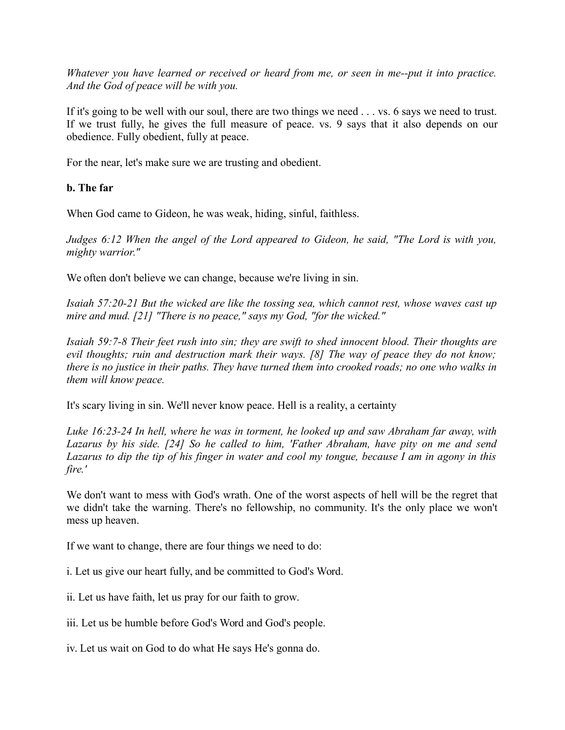*Whatever you have learned or received or heard from me, or seen in me--put it into practice. And the God of peace will be with you.*

If it's going to be well with our soul, there are two things we need . . . vs. 6 says we need to trust. If we trust fully, he gives the full measure of peace. vs. 9 says that it also depends on our obedience. Fully obedient, fully at peace.

For the near, let's make sure we are trusting and obedient.

#### **b. The far**

When God came to Gideon, he was weak, hiding, sinful, faithless.

*Judges 6:12 When the angel of the Lord appeared to Gideon, he said, "The Lord is with you, mighty warrior."* 

We often don't believe we can change, because we're living in sin.

*Isaiah 57:20-21 But the wicked are like the tossing sea, which cannot rest, whose waves cast up mire and mud. [21] "There is no peace," says my God, "for the wicked."* 

*Isaiah 59:7-8 Their feet rush into sin; they are swift to shed innocent blood. Their thoughts are evil thoughts; ruin and destruction mark their ways. [8] The way of peace they do not know; there is no justice in their paths. They have turned them into crooked roads; no one who walks in them will know peace.*

It's scary living in sin. We'll never know peace. Hell is a reality, a certainty

*Luke 16:23-24 In hell, where he was in torment, he looked up and saw Abraham far away, with Lazarus by his side. [24] So he called to him, 'Father Abraham, have pity on me and send Lazarus to dip the tip of his finger in water and cool my tongue, because I am in agony in this fire.'*

We don't want to mess with God's wrath. One of the worst aspects of hell will be the regret that we didn't take the warning. There's no fellowship, no community. It's the only place we won't mess up heaven.

If we want to change, there are four things we need to do:

i. Let us give our heart fully, and be committed to God's Word.

ii. Let us have faith, let us pray for our faith to grow.

iii. Let us be humble before God's Word and God's people.

iv. Let us wait on God to do what He says He's gonna do.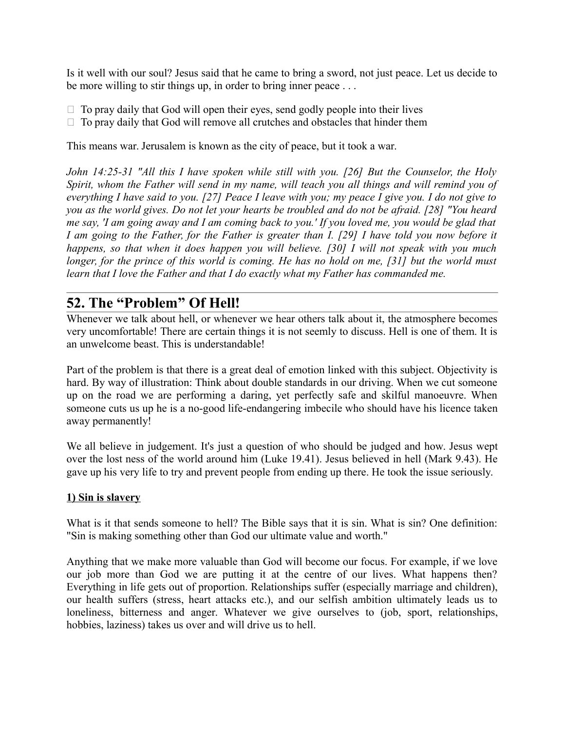Is it well with our soul? Jesus said that he came to bring a sword, not just peace. Let us decide to be more willing to stir things up, in order to bring inner peace ...

- $\Box$  To pray daily that God will open their eyes, send godly people into their lives
- $\Box$  To pray daily that God will remove all crutches and obstacles that hinder them

This means war. Jerusalem is known as the city of peace, but it took a war.

*John 14:25-31 "All this I have spoken while still with you. [26] But the Counselor, the Holy Spirit, whom the Father will send in my name, will teach you all things and will remind you of everything I have said to you. [27] Peace I leave with you; my peace I give you. I do not give to you as the world gives. Do not let your hearts be troubled and do not be afraid. [28] "You heard me say, 'I am going away and I am coming back to you.' If you loved me, you would be glad that I am going to the Father, for the Father is greater than I. [29] I have told you now before it happens, so that when it does happen you will believe. [30] I will not speak with you much longer, for the prince of this world is coming. He has no hold on me, [31] but the world must learn that I love the Father and that I do exactly what my Father has commanded me.*

# **52. The "Problem" Of Hell!**

Whenever we talk about hell, or whenever we hear others talk about it, the atmosphere becomes very uncomfortable! There are certain things it is not seemly to discuss. Hell is one of them. It is an unwelcome beast. This is understandable!

Part of the problem is that there is a great deal of emotion linked with this subject. Objectivity is hard. By way of illustration: Think about double standards in our driving. When we cut someone up on the road we are performing a daring, yet perfectly safe and skilful manoeuvre. When someone cuts us up he is a no-good life-endangering imbecile who should have his licence taken away permanently!

We all believe in judgement. It's just a question of who should be judged and how. Jesus wept over the lost ness of the world around him (Luke 19.41). Jesus believed in hell (Mark 9.43). He gave up his very life to try and prevent people from ending up there. He took the issue seriously.

#### **1) Sin is slavery**

What is it that sends someone to hell? The Bible says that it is sin. What is sin? One definition: "Sin is making something other than God our ultimate value and worth."

Anything that we make more valuable than God will become our focus. For example, if we love our job more than God we are putting it at the centre of our lives. What happens then? Everything in life gets out of proportion. Relationships suffer (especially marriage and children), our health suffers (stress, heart attacks etc.), and our selfish ambition ultimately leads us to loneliness, bitterness and anger. Whatever we give ourselves to (job, sport, relationships, hobbies, laziness) takes us over and will drive us to hell.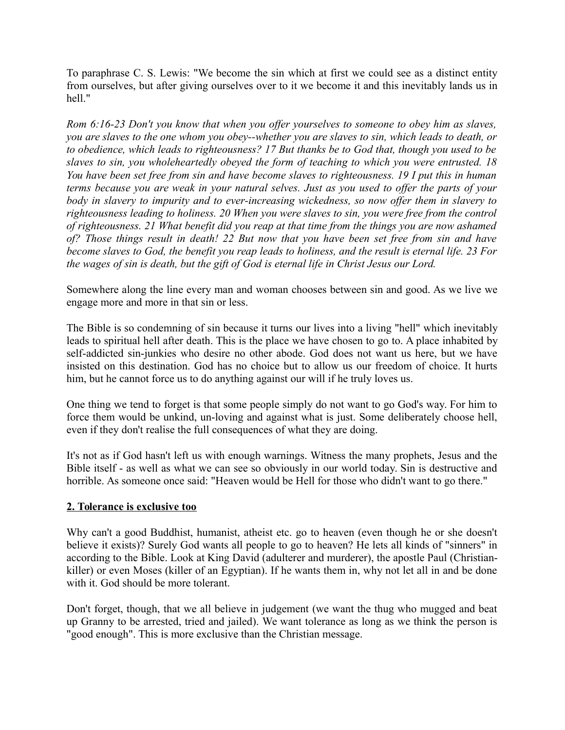To paraphrase C. S. Lewis: "We become the sin which at first we could see as a distinct entity from ourselves, but after giving ourselves over to it we become it and this inevitably lands us in hell."

*Rom 6:16-23 Don't you know that when you offer yourselves to someone to obey him as slaves, you are slaves to the one whom you obey--whether you are slaves to sin, which leads to death, or to obedience, which leads to righteousness? 17 But thanks be to God that, though you used to be slaves to sin, you wholeheartedly obeyed the form of teaching to which you were entrusted. 18 You have been set free from sin and have become slaves to righteousness. 19 I put this in human terms because you are weak in your natural selves. Just as you used to offer the parts of your body in slavery to impurity and to ever-increasing wickedness, so now offer them in slavery to righteousness leading to holiness. 20 When you were slaves to sin, you were free from the control of righteousness. 21 What benefit did you reap at that time from the things you are now ashamed of? Those things result in death! 22 But now that you have been set free from sin and have become slaves to God, the benefit you reap leads to holiness, and the result is eternal life. 23 For the wages of sin is death, but the gift of God is eternal life in Christ Jesus our Lord.*

Somewhere along the line every man and woman chooses between sin and good. As we live we engage more and more in that sin or less.

The Bible is so condemning of sin because it turns our lives into a living "hell" which inevitably leads to spiritual hell after death. This is the place we have chosen to go to. A place inhabited by self-addicted sin-junkies who desire no other abode. God does not want us here, but we have insisted on this destination. God has no choice but to allow us our freedom of choice. It hurts him, but he cannot force us to do anything against our will if he truly loves us.

One thing we tend to forget is that some people simply do not want to go God's way. For him to force them would be unkind, un-loving and against what is just. Some deliberately choose hell, even if they don't realise the full consequences of what they are doing.

It's not as if God hasn't left us with enough warnings. Witness the many prophets, Jesus and the Bible itself - as well as what we can see so obviously in our world today. Sin is destructive and horrible. As someone once said: "Heaven would be Hell for those who didn't want to go there."

#### **2. Tolerance is exclusive too**

Why can't a good Buddhist, humanist, atheist etc. go to heaven (even though he or she doesn't believe it exists)? Surely God wants all people to go to heaven? He lets all kinds of "sinners" in according to the Bible. Look at King David (adulterer and murderer), the apostle Paul (Christiankiller) or even Moses (killer of an Egyptian). If he wants them in, why not let all in and be done with it. God should be more tolerant.

Don't forget, though, that we all believe in judgement (we want the thug who mugged and beat up Granny to be arrested, tried and jailed). We want tolerance as long as we think the person is "good enough". This is more exclusive than the Christian message.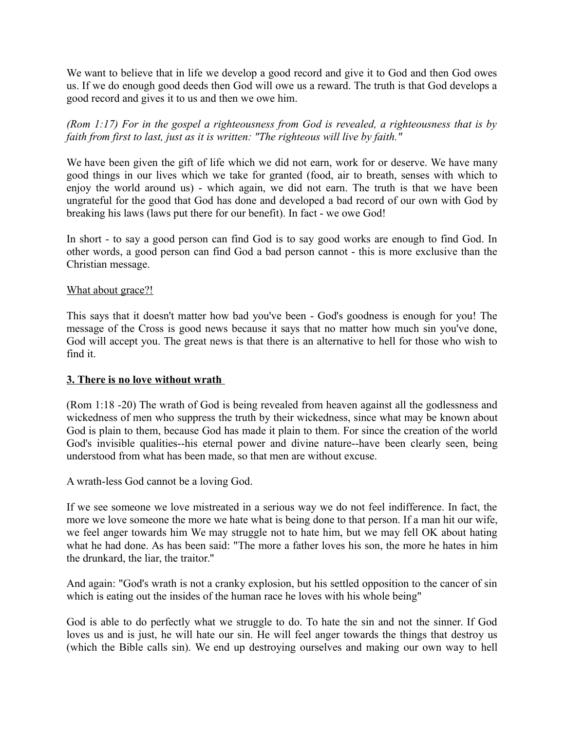We want to believe that in life we develop a good record and give it to God and then God owes us. If we do enough good deeds then God will owe us a reward. The truth is that God develops a good record and gives it to us and then we owe him.

*(Rom 1:17) For in the gospel a righteousness from God is revealed, a righteousness that is by faith from first to last, just as it is written: "The righteous will live by faith."* 

We have been given the gift of life which we did not earn, work for or deserve. We have many good things in our lives which we take for granted (food, air to breath, senses with which to enjoy the world around us) - which again, we did not earn. The truth is that we have been ungrateful for the good that God has done and developed a bad record of our own with God by breaking his laws (laws put there for our benefit). In fact - we owe God!

In short - to say a good person can find God is to say good works are enough to find God. In other words, a good person can find God a bad person cannot - this is more exclusive than the Christian message.

#### What about grace?!

This says that it doesn't matter how bad you've been - God's goodness is enough for you! The message of the Cross is good news because it says that no matter how much sin you've done, God will accept you. The great news is that there is an alternative to hell for those who wish to find it.

#### **3. There is no love without wrath**

(Rom 1:18 -20) The wrath of God is being revealed from heaven against all the godlessness and wickedness of men who suppress the truth by their wickedness, since what may be known about God is plain to them, because God has made it plain to them. For since the creation of the world God's invisible qualities--his eternal power and divine nature--have been clearly seen, being understood from what has been made, so that men are without excuse.

A wrath-less God cannot be a loving God.

If we see someone we love mistreated in a serious way we do not feel indifference. In fact, the more we love someone the more we hate what is being done to that person. If a man hit our wife, we feel anger towards him We may struggle not to hate him, but we may fell OK about hating what he had done. As has been said: "The more a father loves his son, the more he hates in him the drunkard, the liar, the traitor."

And again: "God's wrath is not a cranky explosion, but his settled opposition to the cancer of sin which is eating out the insides of the human race he loves with his whole being"

God is able to do perfectly what we struggle to do. To hate the sin and not the sinner. If God loves us and is just, he will hate our sin. He will feel anger towards the things that destroy us (which the Bible calls sin). We end up destroying ourselves and making our own way to hell